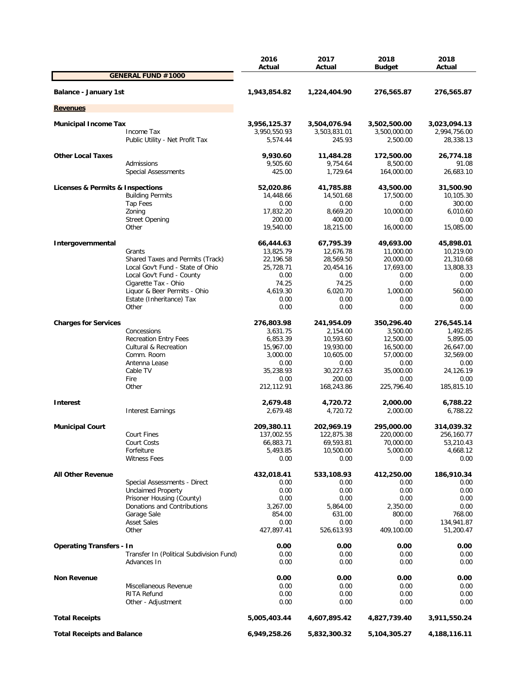|                                   |                                          | 2016<br>Actual   | 2017<br>Actual         | 2018             | 2018<br>Actual   |
|-----------------------------------|------------------------------------------|------------------|------------------------|------------------|------------------|
|                                   | <b>GENERAL FUND #1000</b>                |                  |                        | <b>Budget</b>    |                  |
| Balance - January 1st             |                                          | 1,943,854.82     | 1,224,404.90           | 276,565.87       | 276,565.87       |
| <b>Revenues</b>                   |                                          |                  |                        |                  |                  |
|                                   |                                          |                  |                        |                  |                  |
| <b>Municipal Income Tax</b>       |                                          | 3,956,125.37     | 3,504,076.94           | 3,502,500.00     | 3,023,094.13     |
|                                   | Income Tax                               | 3,950,550.93     | 3,503,831.01<br>245.93 | 3,500,000.00     | 2,994,756.00     |
|                                   | Public Utility - Net Profit Tax          | 5,574.44         |                        | 2,500.00         | 28,338.13        |
| <b>Other Local Taxes</b>          |                                          | 9,930.60         | 11,484.28              | 172,500.00       | 26,774.18        |
|                                   | Admissions                               | 9,505.60         | 9,754.64               | 8,500.00         | 91.08            |
|                                   | <b>Special Assessments</b>               | 425.00           | 1,729.64               | 164,000.00       | 26,683.10        |
| Licenses & Permits & Inspections  |                                          | 52,020.86        | 41,785.88              | 43,500.00        | 31,500.90        |
|                                   | <b>Building Permits</b>                  | 14,448.66        | 14,501.68              | 17,500.00        | 10,105.30        |
|                                   | Tap Fees                                 | 0.00             | 0.00                   | 0.00             | 300.00           |
|                                   | Zoning                                   | 17,832.20        | 8,669.20               | 10,000.00        | 6,010.60         |
|                                   | <b>Street Opening</b>                    | 200.00           | 400.00                 | 0.00             | 0.00             |
|                                   | Other                                    | 19,540.00        | 18,215.00              | 16,000.00        | 15,085.00        |
| Intergovernmental                 |                                          | 66,444.63        | 67,795.39              | 49,693.00        | 45,898.01        |
|                                   | Grants                                   | 13,825.79        | 12,676.78              | 11,000.00        | 10,219.00        |
|                                   | Shared Taxes and Permits (Track)         | 22,196.58        | 28,569.50              | 20,000.00        | 21,310.68        |
|                                   | Local Gov't Fund - State of Ohio         | 25,728.71        | 20,454.16              | 17,693.00        | 13,808.33        |
|                                   | Local Gov't Fund - County                | 0.00             | 0.00                   | 0.00             | 0.00             |
|                                   | Cigarette Tax - Ohio                     | 74.25            | 74.25                  | 0.00             | 0.00             |
|                                   | Liquor & Beer Permits - Ohio             | 4,619.30         | 6,020.70               | 1,000.00         | 560.00           |
|                                   | Estate (Inheritance) Tax                 | 0.00             | 0.00                   | 0.00             | 0.00             |
|                                   | Other                                    | 0.00             | 0.00                   | 0.00             | 0.00             |
| <b>Charges for Services</b>       |                                          | 276,803.98       | 241,954.09             | 350,296.40       | 276,545.14       |
|                                   | Concessions                              | 3,631.75         | 2,154.00               | 3,500.00         | 1,492.85         |
|                                   | <b>Recreation Entry Fees</b>             | 6,853.39         | 10,593.60              | 12,500.00        | 5,895.00         |
|                                   | <b>Cultural &amp; Recreation</b>         | 15,967.00        | 19,930.00              | 16,500.00        | 26,647.00        |
|                                   | Comm. Room                               | 3,000.00         | 10,605.00              | 57,000.00        | 32,569.00        |
|                                   | Antenna Lease                            | 0.00             | 0.00                   | 0.00             | 0.00             |
|                                   | Cable TV                                 | 35,238.93        | 30,227.63              | 35,000.00        | 24,126.19        |
|                                   | Fire                                     | 0.00             | 200.00                 | 0.00             | 0.00             |
|                                   | Other                                    | 212,112.91       | 168,243.86             | 225,796.40       | 185,815.10       |
| Interest                          |                                          | 2,679.48         | 4,720.72               | 2,000.00         | 6,788.22         |
|                                   | <b>Interest Earnings</b>                 | 2,679.48         | 4,720.72               | 2,000.00         | 6,788.22         |
|                                   |                                          |                  |                        |                  |                  |
| <b>Municipal Court</b>            |                                          | 209,380.11       | 202,969.19             | 295,000.00       | 314,039.32       |
|                                   | <b>Court Fines</b>                       | 137,002.55       | 122,875.38             | 220,000.00       | 256,160.77       |
|                                   | Court Costs                              | 66,883.71        | 69,593.81              | 70,000.00        | 53,210.43        |
|                                   | Forfeiture<br><b>Witness Fees</b>        | 5,493.85<br>0.00 | 10,500.00<br>0.00      | 5,000.00<br>0.00 | 4,668.12<br>0.00 |
|                                   |                                          |                  |                        |                  |                  |
| <b>All Other Revenue</b>          |                                          | 432,018.41       | 533,108.93             | 412,250.00       | 186,910.34       |
|                                   | Special Assessments - Direct             | 0.00             | 0.00                   | 0.00             | 0.00             |
|                                   | <b>Unclaimed Property</b>                | 0.00             | 0.00                   | 0.00             | 0.00             |
|                                   | Prisoner Housing (County)                | 0.00             | 0.00                   | 0.00             | 0.00             |
|                                   | Donations and Contributions              | 3,267.00         | 5,864.00               | 2,350.00         | 0.00             |
|                                   | Garage Sale                              | 854.00           | 631.00                 | 800.00           | 768.00           |
|                                   | <b>Asset Sales</b><br>Other              | 0.00             | 0.00                   | 0.00             | 134,941.87       |
|                                   |                                          | 427,897.41       | 526,613.93             | 409,100.00       | 51,200.47        |
| <b>Operating Transfers - In</b>   |                                          | 0.00             | 0.00                   | 0.00             | 0.00             |
|                                   | Transfer In (Political Subdivision Fund) | 0.00             | 0.00                   | 0.00             | 0.00             |
|                                   | Advances In                              | 0.00             | 0.00                   | 0.00             | 0.00             |
| <b>Non Revenue</b>                |                                          | 0.00             | 0.00                   | 0.00             | 0.00             |
|                                   | Miscellaneous Revenue                    | 0.00             | 0.00                   | 0.00             | 0.00             |
|                                   | RITA Refund                              | 0.00             | 0.00                   | 0.00             | 0.00             |
|                                   | Other - Adjustment                       | 0.00             | 0.00                   | 0.00             | 0.00             |
| <b>Total Receipts</b>             |                                          | 5,005,403.44     | 4,607,895.42           | 4,827,739.40     | 3,911,550.24     |
| <b>Total Receipts and Balance</b> |                                          | 6,949,258.26     | 5,832,300.32           | 5,104,305.27     | 4,188,116.11     |
|                                   |                                          |                  |                        |                  |                  |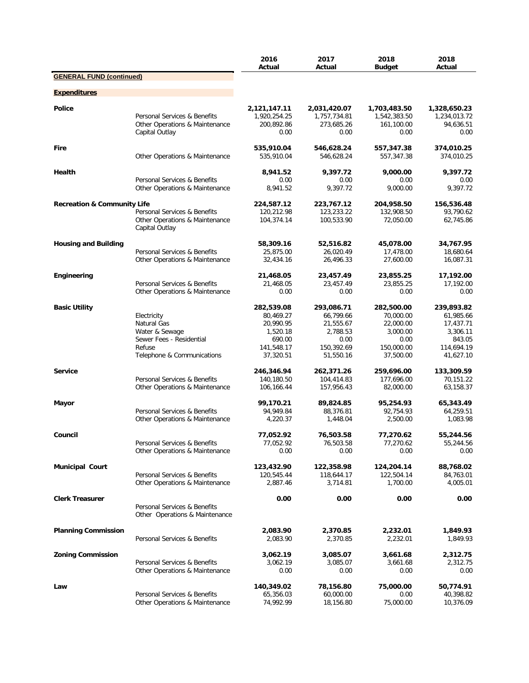|                                        |                                                                                                                  | 2016<br>Actual                                                                        | 2017<br>Actual                                                                      | 2018<br><b>Budget</b>                                                               | 2018<br>Actual                                                                        |
|----------------------------------------|------------------------------------------------------------------------------------------------------------------|---------------------------------------------------------------------------------------|-------------------------------------------------------------------------------------|-------------------------------------------------------------------------------------|---------------------------------------------------------------------------------------|
| <b>GENERAL FUND (continued)</b>        |                                                                                                                  |                                                                                       |                                                                                     |                                                                                     |                                                                                       |
| <b>Expenditures</b>                    |                                                                                                                  |                                                                                       |                                                                                     |                                                                                     |                                                                                       |
| <b>Police</b>                          | Personal Services & Benefits<br>Other Operations & Maintenance<br>Capital Outlay                                 | 2,121,147.11<br>1,920,254.25<br>200,892.86<br>0.00                                    | 2,031,420.07<br>1,757,734.81<br>273,685.26<br>0.00                                  | 1,703,483.50<br>1,542,383.50<br>161,100.00<br>0.00                                  | 1,328,650.23<br>1,234,013.72<br>94,636.51<br>0.00                                     |
| <b>Fire</b>                            | Other Operations & Maintenance                                                                                   | 535,910.04<br>535,910.04                                                              | 546,628.24<br>546,628.24                                                            | 557,347.38<br>557,347.38                                                            | 374,010.25<br>374,010.25                                                              |
| Health                                 | Personal Services & Benefits                                                                                     | 8,941.52<br>0.00                                                                      | 9.397.72<br>0.00                                                                    | 9,000.00<br>0.00                                                                    | 9,397.72<br>0.00                                                                      |
|                                        | Other Operations & Maintenance                                                                                   | 8,941.52                                                                              | 9,397.72                                                                            | 9,000.00                                                                            | 9,397.72                                                                              |
| <b>Recreation &amp; Community Life</b> | Personal Services & Benefits<br>Other Operations & Maintenance<br>Capital Outlay                                 | 224,587.12<br>120,212.98<br>104,374.14                                                | 223,767.12<br>123,233.22<br>100,533.90                                              | 204,958.50<br>132,908.50<br>72,050.00                                               | 156,536.48<br>93,790.62<br>62,745.86                                                  |
| <b>Housing and Building</b>            | Personal Services & Benefits<br>Other Operations & Maintenance                                                   | 58,309.16<br>25,875.00<br>32,434.16                                                   | 52,516.82<br>26,020.49<br>26,496.33                                                 | 45,078.00<br>17,478.00<br>27,600.00                                                 | 34,767.95<br>18,680.64<br>16,087.31                                                   |
| Engineering                            | Personal Services & Benefits<br>Other Operations & Maintenance                                                   | 21,468.05<br>21,468.05<br>0.00                                                        | 23,457.49<br>23,457.49<br>0.00                                                      | 23,855.25<br>23,855.25<br>0.00                                                      | 17,192.00<br>17,192.00<br>0.00                                                        |
| <b>Basic Utility</b>                   | Electricity<br>Natural Gas<br>Water & Sewage<br>Sewer Fees - Residential<br>Refuse<br>Telephone & Communications | 282,539.08<br>80,469.27<br>20,990.95<br>1,520.18<br>690.00<br>141,548.17<br>37,320.51 | 293,086.71<br>66,799.66<br>21,555.67<br>2,788.53<br>0.00<br>150,392.69<br>51,550.16 | 282,500.00<br>70,000.00<br>22,000.00<br>3,000.00<br>0.00<br>150,000.00<br>37,500.00 | 239,893.82<br>61,985.66<br>17,437.71<br>3,306.11<br>843.05<br>114,694.19<br>41,627.10 |
| <b>Service</b>                         | Personal Services & Benefits<br>Other Operations & Maintenance                                                   | 246,346.94<br>140,180.50<br>106,166.44                                                | 262,371.26<br>104,414.83<br>157,956.43                                              | 259,696.00<br>177,696.00<br>82,000.00                                               | 133,309.59<br>70,151.22<br>63,158.37                                                  |
| Mayor                                  | Personal Services & Benefits<br>Other Operations & Maintenance                                                   | 99,170.21<br>94,949.84<br>4,220.37                                                    | 89,824.85<br>88,376.81<br>1,448.04                                                  | 95,254.93<br>92,754.93<br>2,500.00                                                  | 65,343.49<br>64,259.51<br>1,083.98                                                    |
| Council                                | Personal Services & Benefits<br>Other Operations & Maintenance                                                   | 77,052.92<br>77,052.92<br>0.00                                                        | 76,503.58<br>76,503.58<br>0.00                                                      | 77,270.62<br>77,270.62<br>0.00                                                      | 55,244.56<br>55,244.56<br>0.00                                                        |
| <b>Municipal Court</b>                 | Personal Services & Benefits<br>Other Operations & Maintenance                                                   | 123,432.90<br>120,545.44<br>2,887.46                                                  | 122,358.98<br>118,644.17<br>3,714.81                                                | 124,204.14<br>122,504.14<br>1,700.00                                                | 88,768.02<br>84,763.01<br>4,005.01                                                    |
| <b>Clerk Treasurer</b>                 | Personal Services & Benefits<br>Other Operations & Maintenance                                                   | 0.00                                                                                  | 0.00                                                                                | 0.00                                                                                | 0.00                                                                                  |
| <b>Planning Commission</b>             | Personal Services & Benefits                                                                                     | 2,083.90<br>2,083.90                                                                  | 2,370.85<br>2,370.85                                                                | 2,232.01<br>2,232.01                                                                | 1,849.93<br>1,849.93                                                                  |
| <b>Zoning Commission</b>               | Personal Services & Benefits<br>Other Operations & Maintenance                                                   | 3,062.19<br>3,062.19<br>0.00                                                          | 3,085.07<br>3,085.07<br>0.00                                                        | 3,661.68<br>3,661.68<br>0.00                                                        | 2,312.75<br>2,312.75<br>0.00                                                          |
| Law                                    | Personal Services & Benefits<br>Other Operations & Maintenance                                                   | 140,349.02<br>65,356.03<br>74,992.99                                                  | 78,156.80<br>60,000.00<br>18,156.80                                                 | 75,000.00<br>0.00<br>75,000.00                                                      | 50,774.91<br>40,398.82<br>10,376.09                                                   |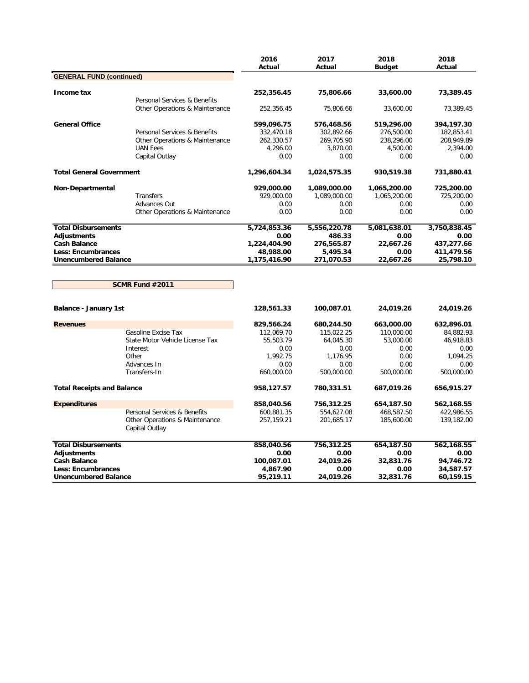|                                   |                                                  | 2016<br>Actual | 2017<br>Actual | 2018<br><b>Budget</b> | 2018<br>Actual |
|-----------------------------------|--------------------------------------------------|----------------|----------------|-----------------------|----------------|
| <b>GENERAL FUND (continued)</b>   |                                                  |                |                |                       |                |
| Income tax                        |                                                  | 252,356.45     | 75,806.66      | 33,600.00             | 73,389.45      |
|                                   | Personal Services & Benefits                     |                |                |                       |                |
|                                   | Other Operations & Maintenance                   | 252,356.45     | 75,806.66      | 33,600.00             | 73,389.45      |
| <b>General Office</b>             |                                                  | 599,096.75     | 576,468.56     | 519,296.00            | 394,197.30     |
|                                   | Personal Services & Benefits                     | 332,470.18     | 302,892.66     | 276,500.00            | 182,853.41     |
|                                   | Other Operations & Maintenance                   | 262,330.57     | 269,705.90     | 238,296.00            | 208,949.89     |
|                                   | <b>UAN Fees</b>                                  | 4,296.00       | 3,870.00       | 4,500.00              | 2,394.00       |
|                                   | Capital Outlay                                   | 0.00           | 0.00           | 0.00                  | 0.00           |
| <b>Total General Government</b>   |                                                  | 1,296,604.34   | 1,024,575.35   | 930,519.38            | 731,880.41     |
| Non-Departmental                  |                                                  | 929,000.00     | 1,089,000.00   | 1,065,200.00          | 725,200.00     |
|                                   | Transfers                                        | 929,000.00     | 1,089,000.00   | 1,065,200.00          | 725,200.00     |
|                                   | Advances Out                                     | 0.00           | 0.00           | 0.00                  | 0.00           |
|                                   | Other Operations & Maintenance                   | 0.00           | 0.00           | 0.00                  | 0.00           |
| <b>Total Disbursements</b>        |                                                  | 5,724,853.36   | 5,556,220.78   | 5,081,638.01          | 3,750,838.45   |
| Adjustments                       |                                                  | 0.00           | 486.33         | 0.00                  | 0.00           |
| <b>Cash Balance</b>               |                                                  | 1,224,404.90   | 276,565.87     | 22,667.26             | 437,277.66     |
| <b>Less: Encumbrances</b>         |                                                  | 48,988.00      | 5,495.34       | 0.00                  | 411,479.56     |
| <b>Unencumbered Balance</b>       |                                                  | 1,175,416.90   | 271,070.53     | 22,667.26             | 25,798.10      |
|                                   | SCMR Fund #2011                                  |                |                |                       |                |
| <b>Balance - January 1st</b>      |                                                  | 128,561.33     | 100,087.01     | 24,019.26             | 24,019.26      |
| <b>Revenues</b>                   |                                                  | 829,566.24     | 680,244.50     | 663,000.00            | 632,896.01     |
|                                   | Gasoline Excise Tax                              | 112,069.70     | 115,022.25     | 110,000.00            | 84,882.93      |
|                                   | State Motor Vehicle License Tax                  | 55,503.79      | 64,045.30      | 53,000.00             | 46,918.83      |
|                                   | Interest                                         | 0.00           | 0.00           | 0.00                  | 0.00           |
|                                   | Other                                            | 1,992.75       | 1,176.95       | 0.00                  | 1,094.25       |
|                                   | Advances In                                      | 0.00           | 0.00           | 0.00                  | 0.00           |
|                                   | Transfers-In                                     | 660,000.00     | 500,000.00     | 500,000.00            | 500,000.00     |
| <b>Total Receipts and Balance</b> |                                                  | 958,127.57     | 780,331.51     | 687,019.26            | 656,915.27     |
| <b>Expenditures</b>               |                                                  | 858,040.56     | 756,312.25     | 654,187.50            | 562,168.55     |
|                                   | Personal Services & Benefits                     | 600,881.35     | 554,627.08     | 468,587.50            | 422,986.55     |
|                                   | Other Operations & Maintenance<br>Capital Outlay | 257,159.21     | 201,685.17     | 185,600.00            | 139,182.00     |
| <b>Total Disbursements</b>        |                                                  | 858,040.56     | 756,312.25     | 654,187.50            | 562,168.55     |
| <b>Adjustments</b>                |                                                  | 0.00           | 0.00           | 0.00                  | 0.00           |
| <b>Cash Balance</b>               |                                                  | 100,087.01     | 24,019.26      | 32,831.76             | 94,746.72      |
| <b>Less: Encumbrances</b>         |                                                  | 4,867.90       | 0.00           | 0.00                  | 34,587.57      |
| <b>Unencumbered Balance</b>       |                                                  | 95,219.11      | 24,019.26      | 32,831.76             | 60,159.15      |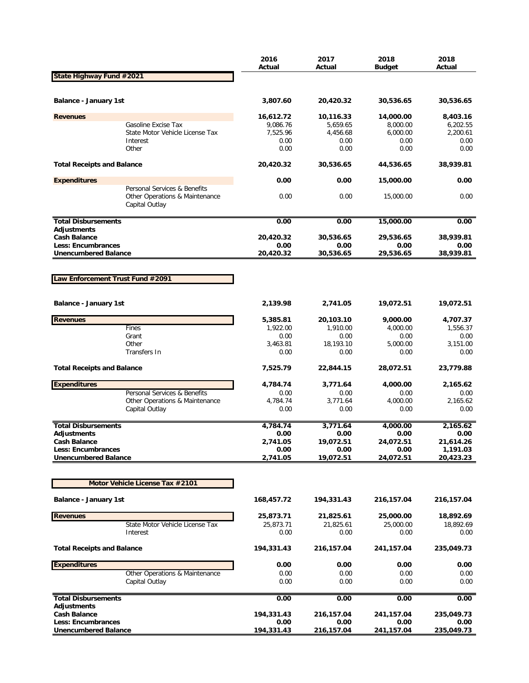|                                                  |                                                                                  | 2016<br>Actual   | 2017<br>Actual   | 2018<br>Budget   | 2018<br>Actual   |
|--------------------------------------------------|----------------------------------------------------------------------------------|------------------|------------------|------------------|------------------|
| State Highway Fund #2021                         |                                                                                  |                  |                  |                  |                  |
| <b>Balance - January 1st</b>                     |                                                                                  | 3,807.60         | 20,420.32        | 30,536.65        | 30,536.65        |
| <b>Revenues</b>                                  |                                                                                  | 16,612.72        | 10,116.33        | 14,000.00        | 8,403.16         |
|                                                  | Gasoline Excise Tax                                                              | 9,086.76         | 5,659.65         | 8,000.00         | 6,202.55         |
|                                                  | State Motor Vehicle License Tax                                                  | 7,525.96         | 4,456.68         | 6,000.00         | 2,200.61         |
|                                                  | Interest                                                                         | 0.00             | 0.00             | 0.00             | 0.00             |
|                                                  | Other                                                                            | 0.00             | 0.00             | 0.00             | 0.00             |
| <b>Total Receipts and Balance</b>                |                                                                                  | 20,420.32        | 30,536.65        | 44,536.65        | 38,939.81        |
| <b>Expenditures</b>                              |                                                                                  | 0.00             | 0.00             | 15,000.00        | 0.00             |
|                                                  | Personal Services & Benefits<br>Other Operations & Maintenance<br>Capital Outlay | 0.00             | 0.00             | 15,000.00        | 0.00             |
| <b>Total Disbursements</b>                       |                                                                                  | 0.00             | 0.00             | 15,000.00        | 0.00             |
| <b>Adjustments</b>                               |                                                                                  |                  |                  |                  |                  |
| <b>Cash Balance</b>                              |                                                                                  | 20,420.32        | 30,536.65        | 29,536.65        | 38,939.81        |
| Less: Encumbrances                               |                                                                                  | 0.00             | 0.00             | 0.00             | 0.00             |
| <b>Unencumbered Balance</b>                      |                                                                                  | 20,420.32        | 30,536.65        | 29,536.65        | 38,939.81        |
|                                                  |                                                                                  |                  |                  |                  |                  |
| Law Enforcement Trust Fund #2091                 |                                                                                  |                  |                  |                  |                  |
|                                                  |                                                                                  |                  |                  |                  |                  |
| <b>Balance - January 1st</b>                     |                                                                                  | 2,139.98         | 2,741.05         | 19,072.51        | 19,072.51        |
| <b>Revenues</b>                                  |                                                                                  | 5,385.81         | 20,103.10        | 9,000.00         | 4,707.37         |
|                                                  | Fines                                                                            | 1,922.00         | 1,910.00         | 4,000.00         | 1,556.37         |
|                                                  | Grant                                                                            | 0.00             | 0.00             | 0.00             | 0.00             |
|                                                  | Other                                                                            | 3,463.81         | 18,193.10        | 5,000.00         | 3,151.00         |
|                                                  | Transfers In                                                                     | 0.00             | 0.00             | 0.00             | 0.00             |
| <b>Total Receipts and Balance</b>                |                                                                                  | 7,525.79         | 22,844.15        | 28,072.51        | 23,779.88        |
| <b>Expenditures</b>                              |                                                                                  | 4,784.74         | 3,771.64         | 4,000.00         | 2,165.62         |
|                                                  | Personal Services & Benefits                                                     | 0.00             | 0.00             | 0.00             | 0.00             |
|                                                  | Other Operations & Maintenance                                                   | 4,784.74         | 3,771.64         | 4,000.00         | 2,165.62         |
|                                                  | Capital Outlay                                                                   | 0.00             | 0.00             | 0.00             | 0.00             |
|                                                  |                                                                                  |                  |                  |                  |                  |
| <b>Total Disbursements</b><br><b>Adjustments</b> |                                                                                  | 4,784.74<br>0.00 | 3,771.64<br>0.00 | 4,000.00<br>0.00 | 2,165.62<br>0.00 |
| <b>Cash Balance</b>                              |                                                                                  | 2,741.05         | 19,072.51        | 24,072.51        | 21,614.26        |
| <b>Less: Encumbrances</b>                        |                                                                                  | 0.00             | 0.00             | 0.00             | 1,191.03         |
| <b>Unencumbered Balance</b>                      |                                                                                  | 2,741.05         | 19,072.51        | 24,072.51        | 20,423.23        |
|                                                  |                                                                                  |                  |                  |                  |                  |
|                                                  | Motor Vehicle License Tax #2101                                                  |                  |                  |                  |                  |
| <b>Balance - January 1st</b>                     |                                                                                  | 168,457.72       | 194,331.43       | 216,157.04       | 216,157.04       |
| <b>Revenues</b>                                  |                                                                                  | 25,873.71        | 21,825.61        | 25,000.00        | 18,892.69        |
|                                                  | State Motor Vehicle License Tax                                                  | 25,873.71        | 21,825.61        | 25,000.00        | 18,892.69        |
|                                                  | Interest                                                                         | 0.00             | 0.00             | 0.00             | 0.00             |
| <b>Total Receipts and Balance</b>                |                                                                                  | 194,331.43       | 216,157.04       | 241,157.04       | 235,049.73       |
| <b>Expenditures</b>                              |                                                                                  | 0.00             | 0.00             | 0.00             | 0.00             |
|                                                  | Other Operations & Maintenance                                                   | 0.00             | 0.00             | 0.00             | 0.00             |
|                                                  | Capital Outlay                                                                   | 0.00             | 0.00             | 0.00             | 0.00             |
| <b>Total Disbursements</b><br><b>Adjustments</b> |                                                                                  | 0.00             | 0.00             | 0.00             | 0.00             |
| <b>Cash Balance</b>                              |                                                                                  | 194,331.43       | 216,157.04       | 241,157.04       | 235,049.73       |
| Less: Encumbrances                               |                                                                                  | 0.00             | 0.00             | 0.00             | 0.00             |
| <b>Unencumbered Balance</b>                      |                                                                                  | 194,331.43       | 216,157.04       | 241,157.04       | 235,049.73       |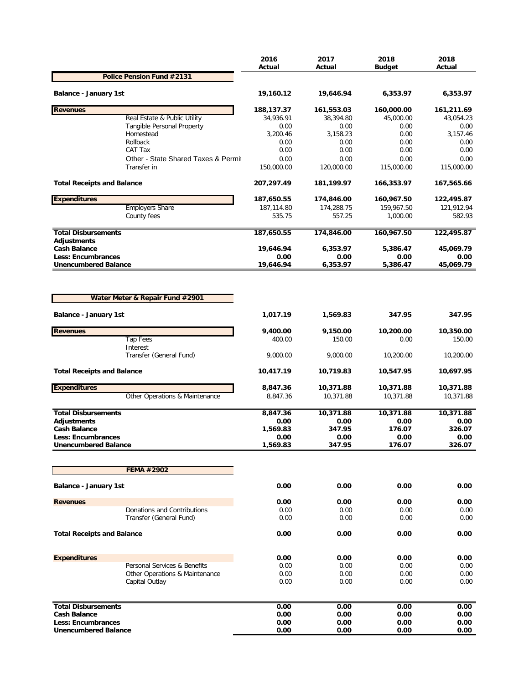|                                           |                                     | 2016<br>Actual          | 2017<br>Actual          | 2018<br><b>Budget</b>   | 2018<br>Actual          |
|-------------------------------------------|-------------------------------------|-------------------------|-------------------------|-------------------------|-------------------------|
|                                           | Police Pension Fund #2131           |                         |                         |                         |                         |
| Balance - January 1st                     |                                     | 19,160.12               | 19,646.94               | 6,353.97                | 6,353.97                |
|                                           |                                     |                         |                         |                         |                         |
| <b>Revenues</b>                           | Real Estate & Public Utility        | 188,137.37<br>34,936.91 | 161,553.03<br>38,394.80 | 160,000.00<br>45,000.00 | 161,211.69<br>43,054.23 |
|                                           | Tangible Personal Property          | 0.00                    | 0.00                    | 0.00                    | 0.00                    |
|                                           | Homestead                           | 3,200.46                | 3,158.23                | 0.00                    | 3,157.46                |
|                                           | Rollback                            | 0.00                    | 0.00                    | 0.00                    | 0.00                    |
|                                           | CAT Tax                             | 0.00                    | 0.00                    | 0.00                    | 0.00                    |
|                                           | Other - State Shared Taxes & Permit | 0.00                    | 0.00                    | 0.00                    | 0.00                    |
|                                           | Transfer in                         | 150,000.00              | 120,000.00              | 115,000.00              | 115,000.00              |
| <b>Total Receipts and Balance</b>         |                                     | 207,297.49              | 181,199.97              | 166,353.97              | 167,565.66              |
| <b>Expenditures</b>                       |                                     | 187,650.55              | 174,846.00              | 160,967.50              | 122,495.87              |
|                                           | <b>Employers Share</b>              | 187,114.80              | 174,288.75              | 159,967.50              | 121,912.94              |
|                                           | County fees                         | 535.75                  | 557.25                  | 1,000.00                | 582.93                  |
| <b>Total Disbursements</b>                |                                     | 187,650.55              | 174,846.00              | 160,967.50              | 122,495.87              |
| <b>Adjustments</b><br><b>Cash Balance</b> |                                     | 19,646.94               | 6,353.97                | 5,386.47                | 45,069.79               |
| Less: Encumbrances                        |                                     | 0.00                    | 0.00                    | 0.00                    | 0.00                    |
| <b>Unencumbered Balance</b>               |                                     | 19,646.94               | 6,353.97                | 5,386.47                | 45,069.79               |
| Balance - January 1st                     |                                     | 1,017.19                | 1,569.83                | 347.95                  | 347.95                  |
| <b>Revenues</b>                           |                                     | 9,400.00                | 9,150.00                | 10,200.00               | 10,350.00               |
|                                           | <b>Tap Fees</b>                     | 400.00                  | 150.00                  | 0.00                    | 150.00                  |
|                                           | Interest                            |                         |                         |                         |                         |
|                                           | Transfer (General Fund)             | 9,000.00                | 9,000.00                | 10,200.00               | 10,200.00               |
| <b>Total Receipts and Balance</b>         |                                     | 10,417.19               | 10,719.83               | 10,547.95               | 10,697.95               |
| <b>Expenditures</b>                       |                                     | 8,847.36                | 10,371.88               | 10,371.88               | 10,371.88               |
|                                           | Other Operations & Maintenance      | 8,847.36                | 10,371.88               | 10,371.88               | 10,371.88               |
| <b>Total Disbursements</b>                |                                     | 8,847.36                | 10,371.88               | 10,371.88               | 10,371.88               |
| <b>Adiustments</b>                        |                                     | 0.00                    | 0.00                    | 0.00                    | 0.00                    |
| <b>Cash Balance</b>                       |                                     | 1,569.83                | 347.95                  | 176.07                  | 326.07                  |
| Less: Encumbrances                        |                                     | 0.00                    | 0.00                    | 0.00                    | 0.00                    |
| <b>Unencumbered Balance</b>               |                                     | 1,569.83                | 347.95                  | 176.07                  | 326.07                  |
|                                           | FEMA #2902                          |                         |                         |                         |                         |
| <b>Balance - January 1st</b>              |                                     | 0.00                    | 0.00                    | 0.00                    | 0.00                    |
|                                           |                                     |                         |                         |                         |                         |
| <b>Revenues</b>                           |                                     | 0.00                    | 0.00                    | 0.00                    | 0.00                    |
|                                           | Donations and Contributions         | 0.00                    | 0.00                    | 0.00                    | 0.00                    |
|                                           | Transfer (General Fund)             | 0.00                    | 0.00                    | 0.00                    | 0.00                    |
| <b>Total Receipts and Balance</b>         |                                     | 0.00                    | 0.00                    | 0.00                    | 0.00                    |
| <b>Expenditures</b>                       |                                     | 0.00                    | 0.00                    | 0.00                    | 0.00                    |
|                                           | Personal Services & Benefits        | 0.00                    | 0.00                    | 0.00                    | 0.00                    |
|                                           | Other Operations & Maintenance      | 0.00                    | 0.00                    | 0.00                    | 0.00                    |
|                                           | Capital Outlay                      | 0.00                    | 0.00                    | 0.00                    | 0.00                    |
|                                           |                                     |                         |                         |                         |                         |
| <b>Total Disbursements</b>                |                                     | 0.00                    | 0.00                    | 0.00                    | 0.00                    |
| <b>Cash Balance</b><br>Less: Encumbrances |                                     | 0.00<br>0.00            | 0.00<br>0.00            | 0.00<br>0.00            | 0.00<br>0.00            |
| <b>Unencumbered Balance</b>               |                                     | 0.00                    | 0.00                    | 0.00                    | 0.00                    |
|                                           |                                     |                         |                         |                         |                         |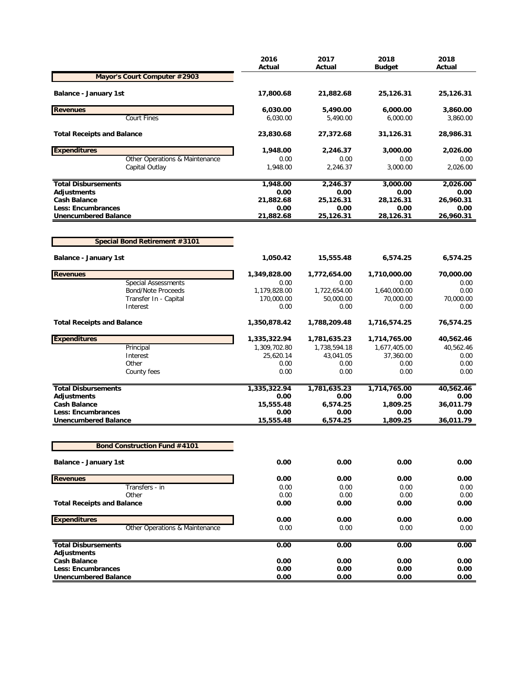| Mayor's Court Computer #2903<br><b>Balance - January 1st</b><br>17,800.68<br>21,882.68<br>25,126.31<br>25,126.31<br><b>Revenues</b><br>6,030.00<br>5,490.00<br>6,000.00<br>Court Fines<br>6,030.00<br>5,490.00<br>6,000.00<br><b>Total Receipts and Balance</b><br>23,830.68<br>27,372.68<br>31,126.31<br>28,986.31<br><b>Expenditures</b><br>1,948.00<br>2,246.37<br>3,000.00<br>Other Operations & Maintenance<br>0.00<br>0.00<br>0.00<br>2.246.37<br>3,000.00<br>Capital Outlay<br>1,948.00<br>1,948.00<br>2,246.37<br>3,000.00<br><b>Total Disbursements</b><br>0.00<br>Adjustments<br>0.00<br>0.00<br><b>Cash Balance</b><br>25,126.31<br>26,960.31<br>21,882.68<br>28,126.31<br><b>Less: Encumbrances</b><br>0.00<br>0.00<br>0.00<br>0.00<br><b>Unencumbered Balance</b><br>21,882.68<br>25,126.31<br>28,126.31<br>26,960.31<br>Special Bond Retirement #3101<br><b>Balance - January 1st</b><br>1,050.42<br>15,555.48<br>6,574.25<br>1,349,828.00<br>1,710,000.00<br><b>Revenues</b><br>1,772,654.00<br><b>Special Assessments</b><br>0.00<br>0.00<br>0.00<br><b>Bond/Note Proceeds</b><br>1,179,828.00<br>1,640,000.00<br>0.00<br>1,722,654.00<br>170,000.00<br>70,000.00<br>70,000.00<br>Transfer In - Capital<br>50,000.00<br>0.00<br>Interest<br>0.00<br>0.00<br><b>Total Receipts and Balance</b><br>1,350,878.42<br>1,788,209.48<br>1,716,574.25<br>76,574.25<br><b>Expenditures</b><br>1,335,322.94<br>1,781,635.23<br>1,714,765.00<br>Principal<br>1,677,405.00<br>1,309,702.80<br>1,738,594.18<br>Interest<br>25,620.14<br>43,041.05<br>37,360.00<br>Other<br>0.00<br>0.00<br>0.00<br>0.00<br>0.00<br>0.00<br>County fees<br>0.00<br>0.00<br><b>Total Disbursements</b><br>1,781,635.23<br>1,714,765.00<br>1,335,322.94<br>Adjustments<br>0.00<br>0.00<br>0.00<br>0.00<br>15,555.48<br>6,574.25<br>1,809.25<br>36,011.79<br><b>Cash Balance</b><br><b>Less: Encumbrances</b><br>0.00<br>0.00<br>0.00<br>0.00<br>15,555.48<br>6,574.25<br><b>Unencumbered Balance</b><br>1,809.25<br>36,011.79<br><b>Bond Construction Fund #4101</b> |                              | 2016<br>Actual | 2017<br>Actual | 2018<br><b>Budget</b> | 2018<br>Actual   |
|------------------------------------------------------------------------------------------------------------------------------------------------------------------------------------------------------------------------------------------------------------------------------------------------------------------------------------------------------------------------------------------------------------------------------------------------------------------------------------------------------------------------------------------------------------------------------------------------------------------------------------------------------------------------------------------------------------------------------------------------------------------------------------------------------------------------------------------------------------------------------------------------------------------------------------------------------------------------------------------------------------------------------------------------------------------------------------------------------------------------------------------------------------------------------------------------------------------------------------------------------------------------------------------------------------------------------------------------------------------------------------------------------------------------------------------------------------------------------------------------------------------------------------------------------------------------------------------------------------------------------------------------------------------------------------------------------------------------------------------------------------------------------------------------------------------------------------------------------------------------------------------------------------------------------------------------------------------------------------------------------------------------------------------------------|------------------------------|----------------|----------------|-----------------------|------------------|
|                                                                                                                                                                                                                                                                                                                                                                                                                                                                                                                                                                                                                                                                                                                                                                                                                                                                                                                                                                                                                                                                                                                                                                                                                                                                                                                                                                                                                                                                                                                                                                                                                                                                                                                                                                                                                                                                                                                                                                                                                                                      |                              |                |                |                       |                  |
|                                                                                                                                                                                                                                                                                                                                                                                                                                                                                                                                                                                                                                                                                                                                                                                                                                                                                                                                                                                                                                                                                                                                                                                                                                                                                                                                                                                                                                                                                                                                                                                                                                                                                                                                                                                                                                                                                                                                                                                                                                                      |                              |                |                |                       |                  |
|                                                                                                                                                                                                                                                                                                                                                                                                                                                                                                                                                                                                                                                                                                                                                                                                                                                                                                                                                                                                                                                                                                                                                                                                                                                                                                                                                                                                                                                                                                                                                                                                                                                                                                                                                                                                                                                                                                                                                                                                                                                      |                              |                |                |                       | 3,860.00         |
|                                                                                                                                                                                                                                                                                                                                                                                                                                                                                                                                                                                                                                                                                                                                                                                                                                                                                                                                                                                                                                                                                                                                                                                                                                                                                                                                                                                                                                                                                                                                                                                                                                                                                                                                                                                                                                                                                                                                                                                                                                                      |                              |                |                |                       | 3,860.00         |
|                                                                                                                                                                                                                                                                                                                                                                                                                                                                                                                                                                                                                                                                                                                                                                                                                                                                                                                                                                                                                                                                                                                                                                                                                                                                                                                                                                                                                                                                                                                                                                                                                                                                                                                                                                                                                                                                                                                                                                                                                                                      |                              |                |                |                       |                  |
|                                                                                                                                                                                                                                                                                                                                                                                                                                                                                                                                                                                                                                                                                                                                                                                                                                                                                                                                                                                                                                                                                                                                                                                                                                                                                                                                                                                                                                                                                                                                                                                                                                                                                                                                                                                                                                                                                                                                                                                                                                                      |                              |                |                |                       | 2,026.00         |
|                                                                                                                                                                                                                                                                                                                                                                                                                                                                                                                                                                                                                                                                                                                                                                                                                                                                                                                                                                                                                                                                                                                                                                                                                                                                                                                                                                                                                                                                                                                                                                                                                                                                                                                                                                                                                                                                                                                                                                                                                                                      |                              |                |                |                       | 0.00<br>2,026.00 |
|                                                                                                                                                                                                                                                                                                                                                                                                                                                                                                                                                                                                                                                                                                                                                                                                                                                                                                                                                                                                                                                                                                                                                                                                                                                                                                                                                                                                                                                                                                                                                                                                                                                                                                                                                                                                                                                                                                                                                                                                                                                      |                              |                |                |                       | 2,026.00         |
|                                                                                                                                                                                                                                                                                                                                                                                                                                                                                                                                                                                                                                                                                                                                                                                                                                                                                                                                                                                                                                                                                                                                                                                                                                                                                                                                                                                                                                                                                                                                                                                                                                                                                                                                                                                                                                                                                                                                                                                                                                                      |                              |                |                |                       | 0.00             |
|                                                                                                                                                                                                                                                                                                                                                                                                                                                                                                                                                                                                                                                                                                                                                                                                                                                                                                                                                                                                                                                                                                                                                                                                                                                                                                                                                                                                                                                                                                                                                                                                                                                                                                                                                                                                                                                                                                                                                                                                                                                      |                              |                |                |                       |                  |
|                                                                                                                                                                                                                                                                                                                                                                                                                                                                                                                                                                                                                                                                                                                                                                                                                                                                                                                                                                                                                                                                                                                                                                                                                                                                                                                                                                                                                                                                                                                                                                                                                                                                                                                                                                                                                                                                                                                                                                                                                                                      |                              |                |                |                       |                  |
|                                                                                                                                                                                                                                                                                                                                                                                                                                                                                                                                                                                                                                                                                                                                                                                                                                                                                                                                                                                                                                                                                                                                                                                                                                                                                                                                                                                                                                                                                                                                                                                                                                                                                                                                                                                                                                                                                                                                                                                                                                                      |                              |                |                |                       |                  |
|                                                                                                                                                                                                                                                                                                                                                                                                                                                                                                                                                                                                                                                                                                                                                                                                                                                                                                                                                                                                                                                                                                                                                                                                                                                                                                                                                                                                                                                                                                                                                                                                                                                                                                                                                                                                                                                                                                                                                                                                                                                      |                              |                |                |                       |                  |
|                                                                                                                                                                                                                                                                                                                                                                                                                                                                                                                                                                                                                                                                                                                                                                                                                                                                                                                                                                                                                                                                                                                                                                                                                                                                                                                                                                                                                                                                                                                                                                                                                                                                                                                                                                                                                                                                                                                                                                                                                                                      |                              |                |                |                       | 6,574.25         |
|                                                                                                                                                                                                                                                                                                                                                                                                                                                                                                                                                                                                                                                                                                                                                                                                                                                                                                                                                                                                                                                                                                                                                                                                                                                                                                                                                                                                                                                                                                                                                                                                                                                                                                                                                                                                                                                                                                                                                                                                                                                      |                              |                |                |                       | 70,000.00        |
|                                                                                                                                                                                                                                                                                                                                                                                                                                                                                                                                                                                                                                                                                                                                                                                                                                                                                                                                                                                                                                                                                                                                                                                                                                                                                                                                                                                                                                                                                                                                                                                                                                                                                                                                                                                                                                                                                                                                                                                                                                                      |                              |                |                |                       | 0.00             |
|                                                                                                                                                                                                                                                                                                                                                                                                                                                                                                                                                                                                                                                                                                                                                                                                                                                                                                                                                                                                                                                                                                                                                                                                                                                                                                                                                                                                                                                                                                                                                                                                                                                                                                                                                                                                                                                                                                                                                                                                                                                      |                              |                |                |                       |                  |
|                                                                                                                                                                                                                                                                                                                                                                                                                                                                                                                                                                                                                                                                                                                                                                                                                                                                                                                                                                                                                                                                                                                                                                                                                                                                                                                                                                                                                                                                                                                                                                                                                                                                                                                                                                                                                                                                                                                                                                                                                                                      |                              |                |                |                       | 0.00             |
|                                                                                                                                                                                                                                                                                                                                                                                                                                                                                                                                                                                                                                                                                                                                                                                                                                                                                                                                                                                                                                                                                                                                                                                                                                                                                                                                                                                                                                                                                                                                                                                                                                                                                                                                                                                                                                                                                                                                                                                                                                                      |                              |                |                |                       |                  |
|                                                                                                                                                                                                                                                                                                                                                                                                                                                                                                                                                                                                                                                                                                                                                                                                                                                                                                                                                                                                                                                                                                                                                                                                                                                                                                                                                                                                                                                                                                                                                                                                                                                                                                                                                                                                                                                                                                                                                                                                                                                      |                              |                |                |                       | 40,562.46        |
|                                                                                                                                                                                                                                                                                                                                                                                                                                                                                                                                                                                                                                                                                                                                                                                                                                                                                                                                                                                                                                                                                                                                                                                                                                                                                                                                                                                                                                                                                                                                                                                                                                                                                                                                                                                                                                                                                                                                                                                                                                                      |                              |                |                |                       | 40,562.46        |
|                                                                                                                                                                                                                                                                                                                                                                                                                                                                                                                                                                                                                                                                                                                                                                                                                                                                                                                                                                                                                                                                                                                                                                                                                                                                                                                                                                                                                                                                                                                                                                                                                                                                                                                                                                                                                                                                                                                                                                                                                                                      |                              |                |                |                       | 0.00             |
|                                                                                                                                                                                                                                                                                                                                                                                                                                                                                                                                                                                                                                                                                                                                                                                                                                                                                                                                                                                                                                                                                                                                                                                                                                                                                                                                                                                                                                                                                                                                                                                                                                                                                                                                                                                                                                                                                                                                                                                                                                                      |                              |                |                |                       |                  |
|                                                                                                                                                                                                                                                                                                                                                                                                                                                                                                                                                                                                                                                                                                                                                                                                                                                                                                                                                                                                                                                                                                                                                                                                                                                                                                                                                                                                                                                                                                                                                                                                                                                                                                                                                                                                                                                                                                                                                                                                                                                      |                              |                |                |                       |                  |
|                                                                                                                                                                                                                                                                                                                                                                                                                                                                                                                                                                                                                                                                                                                                                                                                                                                                                                                                                                                                                                                                                                                                                                                                                                                                                                                                                                                                                                                                                                                                                                                                                                                                                                                                                                                                                                                                                                                                                                                                                                                      |                              |                |                |                       | 40,562.46        |
|                                                                                                                                                                                                                                                                                                                                                                                                                                                                                                                                                                                                                                                                                                                                                                                                                                                                                                                                                                                                                                                                                                                                                                                                                                                                                                                                                                                                                                                                                                                                                                                                                                                                                                                                                                                                                                                                                                                                                                                                                                                      |                              |                |                |                       |                  |
|                                                                                                                                                                                                                                                                                                                                                                                                                                                                                                                                                                                                                                                                                                                                                                                                                                                                                                                                                                                                                                                                                                                                                                                                                                                                                                                                                                                                                                                                                                                                                                                                                                                                                                                                                                                                                                                                                                                                                                                                                                                      |                              |                |                |                       |                  |
|                                                                                                                                                                                                                                                                                                                                                                                                                                                                                                                                                                                                                                                                                                                                                                                                                                                                                                                                                                                                                                                                                                                                                                                                                                                                                                                                                                                                                                                                                                                                                                                                                                                                                                                                                                                                                                                                                                                                                                                                                                                      |                              |                |                |                       |                  |
|                                                                                                                                                                                                                                                                                                                                                                                                                                                                                                                                                                                                                                                                                                                                                                                                                                                                                                                                                                                                                                                                                                                                                                                                                                                                                                                                                                                                                                                                                                                                                                                                                                                                                                                                                                                                                                                                                                                                                                                                                                                      |                              |                |                |                       |                  |
|                                                                                                                                                                                                                                                                                                                                                                                                                                                                                                                                                                                                                                                                                                                                                                                                                                                                                                                                                                                                                                                                                                                                                                                                                                                                                                                                                                                                                                                                                                                                                                                                                                                                                                                                                                                                                                                                                                                                                                                                                                                      |                              |                |                |                       |                  |
|                                                                                                                                                                                                                                                                                                                                                                                                                                                                                                                                                                                                                                                                                                                                                                                                                                                                                                                                                                                                                                                                                                                                                                                                                                                                                                                                                                                                                                                                                                                                                                                                                                                                                                                                                                                                                                                                                                                                                                                                                                                      | <b>Balance - January 1st</b> | 0.00           | 0.00           | 0.00                  | 0.00             |
| 0.00<br><b>Revenues</b><br>0.00<br>0.00                                                                                                                                                                                                                                                                                                                                                                                                                                                                                                                                                                                                                                                                                                                                                                                                                                                                                                                                                                                                                                                                                                                                                                                                                                                                                                                                                                                                                                                                                                                                                                                                                                                                                                                                                                                                                                                                                                                                                                                                              |                              |                |                |                       | 0.00             |
| Transfers - in<br>0.00<br>0.00<br>0.00                                                                                                                                                                                                                                                                                                                                                                                                                                                                                                                                                                                                                                                                                                                                                                                                                                                                                                                                                                                                                                                                                                                                                                                                                                                                                                                                                                                                                                                                                                                                                                                                                                                                                                                                                                                                                                                                                                                                                                                                               |                              |                |                |                       | 0.00             |
| Other<br>0.00<br>0.00<br>0.00<br><b>Total Receipts and Balance</b><br>0.00<br>0.00<br>0.00                                                                                                                                                                                                                                                                                                                                                                                                                                                                                                                                                                                                                                                                                                                                                                                                                                                                                                                                                                                                                                                                                                                                                                                                                                                                                                                                                                                                                                                                                                                                                                                                                                                                                                                                                                                                                                                                                                                                                           |                              |                |                |                       | 0.00<br>0.00     |
|                                                                                                                                                                                                                                                                                                                                                                                                                                                                                                                                                                                                                                                                                                                                                                                                                                                                                                                                                                                                                                                                                                                                                                                                                                                                                                                                                                                                                                                                                                                                                                                                                                                                                                                                                                                                                                                                                                                                                                                                                                                      |                              |                |                |                       |                  |
| <b>Expenditures</b><br>0.00<br>0.00<br>0.00                                                                                                                                                                                                                                                                                                                                                                                                                                                                                                                                                                                                                                                                                                                                                                                                                                                                                                                                                                                                                                                                                                                                                                                                                                                                                                                                                                                                                                                                                                                                                                                                                                                                                                                                                                                                                                                                                                                                                                                                          |                              |                |                |                       | 0.00             |
| Other Operations & Maintenance<br>0.00<br>0.00<br>0.00                                                                                                                                                                                                                                                                                                                                                                                                                                                                                                                                                                                                                                                                                                                                                                                                                                                                                                                                                                                                                                                                                                                                                                                                                                                                                                                                                                                                                                                                                                                                                                                                                                                                                                                                                                                                                                                                                                                                                                                               |                              |                |                |                       | 0.00             |
| <b>Total Disbursements</b><br>0.00<br>0.00<br>0.00                                                                                                                                                                                                                                                                                                                                                                                                                                                                                                                                                                                                                                                                                                                                                                                                                                                                                                                                                                                                                                                                                                                                                                                                                                                                                                                                                                                                                                                                                                                                                                                                                                                                                                                                                                                                                                                                                                                                                                                                   |                              |                |                |                       | 0.00             |
| <b>Adjustments</b><br><b>Cash Balance</b>                                                                                                                                                                                                                                                                                                                                                                                                                                                                                                                                                                                                                                                                                                                                                                                                                                                                                                                                                                                                                                                                                                                                                                                                                                                                                                                                                                                                                                                                                                                                                                                                                                                                                                                                                                                                                                                                                                                                                                                                            |                              |                |                |                       |                  |
| 0.00<br>0.00<br>0.00<br><b>Less: Encumbrances</b><br>0.00<br>0.00<br>0.00                                                                                                                                                                                                                                                                                                                                                                                                                                                                                                                                                                                                                                                                                                                                                                                                                                                                                                                                                                                                                                                                                                                                                                                                                                                                                                                                                                                                                                                                                                                                                                                                                                                                                                                                                                                                                                                                                                                                                                            |                              |                |                |                       | 0.00<br>0.00     |
| <b>Unencumbered Balance</b><br>0.00<br>0.00<br>0.00                                                                                                                                                                                                                                                                                                                                                                                                                                                                                                                                                                                                                                                                                                                                                                                                                                                                                                                                                                                                                                                                                                                                                                                                                                                                                                                                                                                                                                                                                                                                                                                                                                                                                                                                                                                                                                                                                                                                                                                                  |                              |                |                |                       | 0.00             |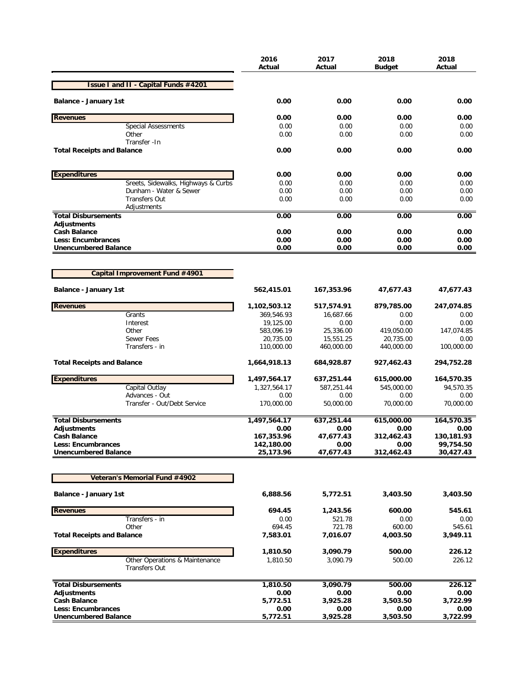|                                                        | 2016<br>Actual          | 2017<br>Actual         | 2018<br><b>Budget</b>   | 2018<br>Actual     |
|--------------------------------------------------------|-------------------------|------------------------|-------------------------|--------------------|
| <b>Issue I and II - Capital Funds #4201</b>            |                         |                        |                         |                    |
| <b>Balance - January 1st</b>                           | 0.00                    | 0.00                   | 0.00                    | 0.00               |
| <b>Revenues</b>                                        | 0.00                    | 0.00                   | 0.00                    | 0.00               |
| <b>Special Assessments</b>                             | 0.00                    | 0.00                   | 0.00                    | 0.00               |
| Other                                                  | 0.00                    | 0.00                   | 0.00                    | 0.00               |
| Transfer - In<br><b>Total Receipts and Balance</b>     | 0.00                    | 0.00                   | 0.00                    | 0.00               |
| <b>Expenditures</b>                                    | 0.00                    | 0.00                   | 0.00                    | 0.00               |
| Sreets, Sidewalks, Highways & Curbs                    | 0.00                    | 0.00                   | 0.00                    | 0.00               |
| Dunham - Water & Sewer                                 | 0.00                    | 0.00                   | 0.00                    | 0.00               |
| <b>Transfers Out</b>                                   | 0.00                    | 0.00                   | 0.00                    | 0.00               |
| Adjustments                                            |                         |                        |                         |                    |
| <b>Total Disbursements</b><br>Adjustments              | 0.00                    | 0.00                   | 0.00                    | 0.00               |
| <b>Cash Balance</b>                                    | 0.00                    | 0.00                   | 0.00                    | 0.00               |
| <b>Less: Encumbrances</b>                              | 0.00                    | 0.00                   | 0.00                    | 0.00               |
| <b>Unencumbered Balance</b>                            | 0.00                    | 0.00                   | 0.00                    | 0.00               |
|                                                        |                         |                        |                         |                    |
| Capital Improvement Fund #4901                         |                         |                        |                         |                    |
| <b>Balance - January 1st</b>                           | 562,415.01              | 167,353.96             | 47,677.43               | 47,677.43          |
| <b>Revenues</b>                                        | 1,102,503.12            | 517,574.91             | 879,785.00              | 247,074.85         |
| Grants                                                 | 369,546.93              | 16,687.66              | 0.00                    | 0.00               |
| Interest                                               | 19,125.00               | 0.00                   | 0.00                    | 0.00               |
| Other<br>Sewer Fees                                    | 583,096.19<br>20,735.00 | 25,336.00<br>15,551.25 | 419,050.00<br>20,735.00 | 147,074.85<br>0.00 |
| Transfers - in                                         | 110,000.00              | 460,000.00             | 440,000.00              | 100,000.00         |
| <b>Total Receipts and Balance</b>                      | 1,664,918.13            | 684,928.87             | 927,462.43              | 294,752.28         |
| <b>Expenditures</b>                                    | 1,497,564.17            | 637,251.44             | 615,000.00              | 164,570.35         |
| Capital Outlay                                         | 1,327,564.17            | 587,251.44             | 545,000.00              | 94.570.35          |
| Advances - Out                                         | 0.00                    | 0.00                   | 0.00                    | 0.00               |
| Transfer - Out/Debt Service                            | 170,000.00              | 50,000.00              | 70,000.00               | 70,000.00          |
| <b>Total Disbursements</b>                             | 1,497,564.17            | 637,251.44             | 615,000.00              | 164,570.35         |
| <b>Adjustments</b><br><b>Cash Balance</b>              | 0.00<br>167,353.96      | 0.00<br>47,677.43      | 0.00<br>312,462.43      | 0.00<br>130,181.93 |
| <b>Less: Encumbrances</b>                              | 142,180.00              | 0.00                   | 0.00                    | 99,754.50          |
| <b>Unencumbered Balance</b>                            | 25,173.96               | 47,677.43              | 312,462.43              | 30,427.43          |
|                                                        |                         |                        |                         |                    |
| Veteran's Memorial Fund #4902                          |                         |                        |                         |                    |
| <b>Balance - January 1st</b>                           | 6,888.56                | 5,772.51               | 3,403.50                | 3,403.50           |
| <b>Revenues</b>                                        | 694.45                  | 1,243.56               | 600.00                  | 545.61             |
| Transfers - in                                         | 0.00                    | 521.78                 | 0.00                    | 0.00               |
| Other                                                  | 694.45                  | 721.78                 | 600.00                  | 545.61             |
| <b>Total Receipts and Balance</b>                      | 7,583.01                | 7,016.07               | 4,003.50                | 3,949.11           |
| <b>Expenditures</b>                                    | 1,810.50                | 3,090.79               | 500.00                  | 226.12             |
| Other Operations & Maintenance<br><b>Transfers Out</b> | 1,810.50                | 3,090.79               | 500.00                  | 226.12             |
| <b>Total Disbursements</b>                             | 1,810.50                | 3,090.79               | 500.00                  | 226.12             |
| Adjustments                                            | 0.00                    | 0.00                   | 0.00                    | 0.00               |
| <b>Cash Balance</b>                                    | 5,772.51                | 3,925.28               | 3,503.50                | 3,722.99           |
| <b>Less: Encumbrances</b>                              | 0.00                    | 0.00                   | 0.00                    | 0.00               |
| <b>Unencumbered Balance</b>                            | 5,772.51                | 3,925.28               | 3,503.50                | 3,722.99           |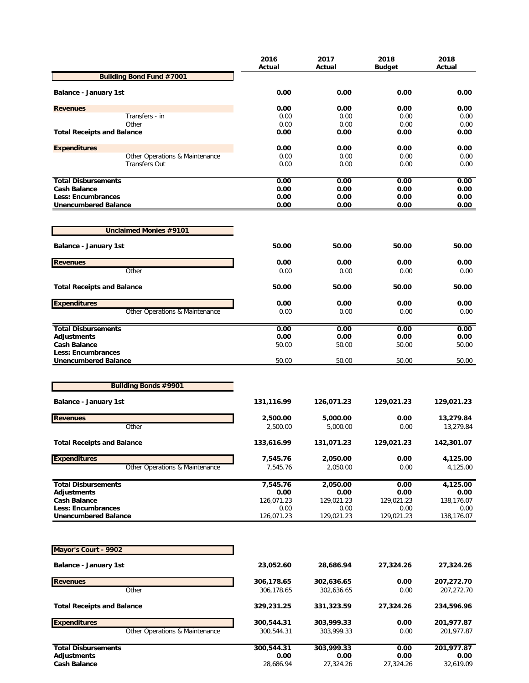|                                                          | 2016<br>Actual           | 2017<br>Actual     | 2018<br><b>Budget</b> | 2018<br>Actual     |
|----------------------------------------------------------|--------------------------|--------------------|-----------------------|--------------------|
| <b>Building Bond Fund #7001</b>                          |                          |                    |                       |                    |
| <b>Balance - January 1st</b>                             | 0.00                     | 0.00               | 0.00                  | 0.00               |
|                                                          | 0.00                     |                    | 0.00                  |                    |
| <b>Revenues</b><br>Transfers - in                        | 0.00                     | 0.00<br>0.00       | 0.00                  | 0.00<br>0.00       |
| Other                                                    | 0.00                     | 0.00               | 0.00                  | 0.00               |
| <b>Total Receipts and Balance</b>                        | 0.00                     | 0.00               | 0.00                  | 0.00               |
| <b>Expenditures</b>                                      | 0.00                     | 0.00               | 0.00                  | 0.00               |
| Other Operations & Maintenance                           | 0.00                     | 0.00               | 0.00                  | 0.00               |
| <b>Transfers Out</b>                                     | 0.00                     | 0.00               | 0.00                  | 0.00               |
| <b>Total Disbursements</b>                               | 0.00                     | 0.00               | 0.00                  | 0.00               |
| <b>Cash Balance</b>                                      | 0.00                     | 0.00               | 0.00                  | 0.00               |
| Less: Encumbrances                                       | 0.00                     | 0.00               | 0.00                  | 0.00               |
| <b>Unencumbered Balance</b>                              | 0.00                     | 0.00               | 0.00                  | 0.00               |
| <b>Unclaimed Monies #9101</b>                            |                          |                    |                       |                    |
| <b>Balance - January 1st</b>                             | 50.00                    | 50.00              | 50.00                 | 50.00              |
| <b>Revenues</b>                                          | 0.00                     | 0.00               | 0.00                  | 0.00               |
| Other                                                    | 0.00                     | 0.00               | 0.00                  | 0.00               |
| <b>Total Receipts and Balance</b>                        | 50.00                    | 50.00              | 50.00                 | 50.00              |
| <b>Expenditures</b>                                      | 0.00                     | 0.00               | 0.00                  | 0.00               |
| Other Operations & Maintenance                           | 0.00                     | 0.00               | 0.00                  | 0.00               |
| <b>Total Disbursements</b>                               | 0.00                     | 0.00               | 0.00                  | 0.00               |
| <b>Adjustments</b>                                       | 0.00                     | 0.00               | 0.00                  | 0.00               |
| <b>Cash Balance</b>                                      | 50.00                    | 50.00              | 50.00                 | 50.00              |
| Less: Encumbrances<br><b>Unencumbered Balance</b>        | 50.00                    | 50.00              | 50.00                 | 50.00              |
|                                                          |                          |                    |                       |                    |
| <b>Building Bonds #9901</b>                              |                          |                    |                       |                    |
| <b>Balance - January 1st</b>                             | 131,116.99               | 126,071.23         | 129,021.23            | 129,021.23         |
| <b>Revenues</b>                                          | 2,500.00                 | 5,000.00           | 0.00                  | 13,279.84          |
| Other                                                    | 2,500.00                 | 5,000.00           | 0.00                  | 13,279.84          |
| <b>Total Receipts and Balance</b>                        | 133,616.99               | 131,071.23         | 129,021.23            | 142,301.07         |
| <b>Expenditures</b>                                      | 7,545.76                 | 2,050.00           | 0.00                  | 4,125.00           |
| Other Operations & Maintenance                           | 7,545.76                 | 2,050.00           | 0.00                  | 4,125.00           |
| <b>Total Disbursements</b>                               | 7,545.76                 | 2,050.00           | 0.00                  | 4,125.00           |
| <b>Adjustments</b>                                       | 0.00                     | 0.00               | 0.00                  | 0.00               |
| <b>Cash Balance</b>                                      | 126,071.23               | 129,021.23         | 129,021.23            | 138,176.07         |
| <b>Less: Encumbrances</b><br><b>Unencumbered Balance</b> | 0.00<br>126,071.23       | 0.00<br>129,021.23 | 0.00<br>129,021.23    | 0.00<br>138,176.07 |
|                                                          |                          |                    |                       |                    |
| Mayor's Court - 9902                                     |                          |                    |                       |                    |
| Balance - January 1st                                    | 23,052.60                | 28,686.94          | 27,324.26             | 27,324.26          |
| <b>Revenues</b>                                          |                          | 302,636.65         | 0.00                  | 207,272.70         |
| Other                                                    | 306,178.65<br>306,178.65 | 302,636.65         | 0.00                  | 207,272.70         |
| <b>Total Receipts and Balance</b>                        | 329,231.25               | 331,323.59         | 27,324.26             | 234,596.96         |
|                                                          |                          |                    |                       |                    |
| <b>Expenditures</b>                                      | 300,544.31               | 303,999.33         | 0.00                  | 201,977.87         |
| Other Operations & Maintenance                           | 300,544.31               | 303,999.33         | 0.00                  | 201,977.87         |
| <b>Total Disbursements</b>                               | 300,544.31               | 303,999.33         | 0.00                  | 201,977.87         |
| <b>Adjustments</b>                                       | 0.00                     | 0.00               | 0.00                  | 0.00               |
| <b>Cash Balance</b>                                      | 28,686.94                | 27,324.26          | 27,324.26             | 32,619.09          |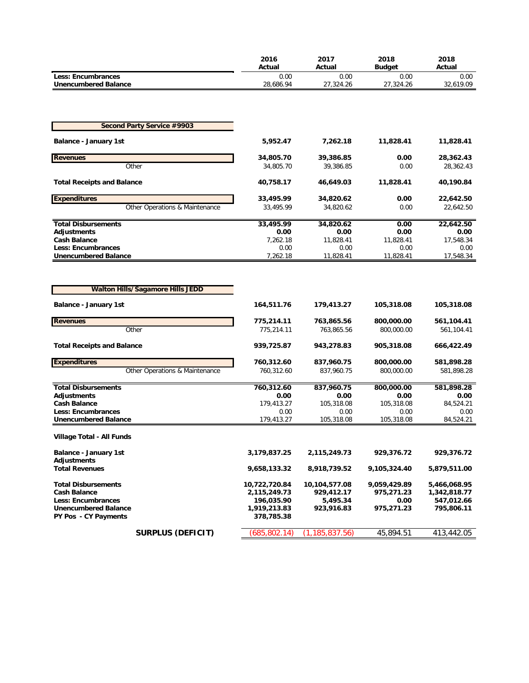|                                                     | 2016<br>Actual             | 2017<br>Actual         | 2018<br><b>Budget</b> | 2018<br>Actual         |
|-----------------------------------------------------|----------------------------|------------------------|-----------------------|------------------------|
| <b>Less: Encumbrances</b>                           | 0.00                       | 0.00                   | 0.00                  | 0.00                   |
| <b>Unencumbered Balance</b>                         | 28,686.94                  | 27,324.26              | 27,324.26             | 32,619.09              |
|                                                     |                            |                        |                       |                        |
|                                                     |                            |                        |                       |                        |
| <b>Second Party Service #9903</b>                   |                            |                        |                       |                        |
| <b>Balance - January 1st</b>                        | 5,952.47                   | 7,262.18               | 11,828.41             | 11,828.41              |
|                                                     |                            |                        |                       |                        |
| <b>Revenues</b><br>Other                            | 34,805.70<br>34,805.70     | 39,386.85<br>39,386.85 | 0.00<br>0.00          | 28,362.43<br>28,362.43 |
|                                                     |                            |                        |                       |                        |
| <b>Total Receipts and Balance</b>                   | 40,758.17                  | 46,649.03              | 11,828.41             | 40,190.84              |
| <b>Expenditures</b>                                 | 33,495.99                  | 34,820.62              | 0.00                  | 22,642.50              |
| Other Operations & Maintenance                      | 33,495.99                  | 34,820.62              | 0.00                  | 22,642.50              |
|                                                     |                            |                        |                       |                        |
| <b>Total Disbursements</b><br><b>Adjustments</b>    | 33,495.99<br>0.00          | 34,820.62<br>0.00      | 0.00<br>0.00          | 22,642.50<br>0.00      |
| Cash Balance                                        | 7,262.18                   | 11,828.41              | 11,828.41             | 17,548.34              |
| <b>Less: Encumbrances</b>                           | 0.00                       | 0.00                   | 0.00                  | 0.00                   |
| <b>Unencumbered Balance</b>                         | 7,262.18                   | 11,828.41              | 11,828.41             | 17,548.34              |
|                                                     |                            |                        |                       |                        |
|                                                     |                            |                        |                       |                        |
| <b>Walton Hills/Sagamore Hills JEDD</b>             |                            |                        |                       |                        |
| <b>Balance - January 1st</b>                        | 164,511.76                 | 179,413.27             | 105,318.08            | 105,318.08             |
| <b>Revenues</b>                                     | 775,214.11                 | 763,865.56             | 800,000.00            | 561,104.41             |
| Other                                               | 775,214.11                 | 763,865.56             | 800,000.00            | 561,104.41             |
|                                                     |                            |                        |                       |                        |
| <b>Total Receipts and Balance</b>                   | 939,725.87                 | 943,278.83             | 905,318.08            | 666,422.49             |
| <b>Expenditures</b>                                 | 760,312.60                 | 837,960.75             | 800,000.00            | 581,898.28             |
| Other Operations & Maintenance                      | 760,312.60                 | 837,960.75             | 800,000.00            | 581,898.28             |
| <b>Total Disbursements</b>                          | 760,312.60                 | 837,960.75             | 800,000.00            | 581,898.28             |
| <b>Adjustments</b>                                  | 0.00                       | 0.00                   | 0.00                  | 0.00                   |
| <b>Cash Balance</b>                                 | 179,413.27                 | 105,318.08             | 105,318.08            | 84,524.21              |
| <b>Less: Encumbrances</b>                           | 0.00                       | 0.00                   | 0.00                  | 0.00                   |
| <b>Unencumbered Balance</b>                         | 179,413.27                 | 105,318.08             | 105,318.08            | 84,524.21              |
| Village Total - All Funds                           |                            |                        |                       |                        |
| <b>Balance - January 1st</b>                        | 3,179,837.25               | 2,115,249.73           | 929,376.72            | 929,376.72             |
| Adjustments                                         |                            |                        |                       |                        |
| <b>Total Revenues</b>                               | 9,658,133.32               | 8,918,739.52           | 9,105,324.40          | 5,879,511.00           |
| <b>Total Disbursements</b>                          | 10,722,720.84              | 10,104,577.08          | 9,059,429.89          | 5,466,068.95           |
| <b>Cash Balance</b>                                 | 2,115,249.73               | 929,412.17             | 975,271.23            | 1,342,818.77           |
| <b>Less: Encumbrances</b>                           | 196,035.90                 | 5,495.34               | 0.00                  | 547,012.66             |
| <b>Unencumbered Balance</b><br>PY Pos - CY Payments | 1,919,213.83<br>378,785.38 | 923,916.83             | 975,271.23            | 795,806.11             |
|                                                     |                            |                        |                       |                        |
| <b>SURPLUS (DEFICIT)</b>                            | (685, 802.14)              | (1, 185, 837.56)       | 45,894.51             | 413,442.05             |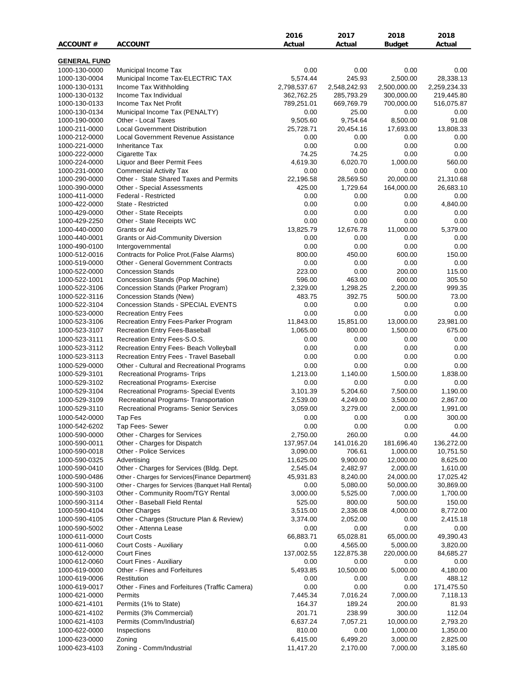|                     |                                                    | 2016         | 2017         | 2018          | 2018         |
|---------------------|----------------------------------------------------|--------------|--------------|---------------|--------------|
| <b>ACCOUNT #</b>    | <b>ACCOUNT</b>                                     | Actual       | Actual       | <b>Budget</b> | Actual       |
|                     |                                                    |              |              |               |              |
| <b>GENERAL FUND</b> |                                                    |              |              |               |              |
| 1000-130-0000       | Municipal Income Tax                               | 0.00         | 0.00         | 0.00          | 0.00         |
| 1000-130-0004       | Municipal Income Tax-ELECTRIC TAX                  | 5,574.44     | 245.93       | 2,500.00      | 28,338.13    |
| 1000-130-0131       | Income Tax Withholding                             | 2,798,537.67 | 2,548,242.93 | 2,500,000.00  | 2,259,234.33 |
| 1000-130-0132       | Income Tax Individual                              | 362,762.25   | 285,793.29   | 300,000.00    | 219,445.80   |
| 1000-130-0133       | Income Tax Net Profit                              | 789,251.01   | 669,769.79   | 700,000.00    | 516,075.87   |
| 1000-130-0134       | Municipal Income Tax (PENALTY)                     | 0.00         | 25.00        | 0.00          | 0.00         |
| 1000-190-0000       | Other - Local Taxes                                | 9,505.60     | 9,754.64     | 8,500.00      | 91.08        |
| 1000-211-0000       | <b>Local Government Distribution</b>               | 25,728.71    | 20,454.16    | 17,693.00     | 13,808.33    |
| 1000-212-0000       | Local Government Revenue Assistance                | 0.00         | 0.00         | 0.00          | 0.00         |
| 1000-221-0000       | <b>Inheritance Tax</b>                             | 0.00         | 0.00         | 0.00          | 0.00         |
| 1000-222-0000       | Cigarette Tax                                      | 74.25        | 74.25        | 0.00          | 0.00         |
| 1000-224-0000       | Liquor and Beer Permit Fees                        | 4,619.30     | 6,020.70     | 1,000.00      | 560.00       |
| 1000-231-0000       | <b>Commercial Activity Tax</b>                     | 0.00         | 0.00         | 0.00          | 0.00         |
| 1000-290-0000       | Other - State Shared Taxes and Permits             | 22,196.58    | 28,569.50    | 20,000.00     | 21,310.68    |
| 1000-390-0000       | Other - Special Assessments                        | 425.00       | 1,729.64     | 164,000.00    | 26,683.10    |
| 1000-411-0000       | Federal - Restricted                               | 0.00         | 0.00         | 0.00          | 0.00         |
| 1000-422-0000       | State - Restricted                                 | 0.00         | 0.00         | 0.00          | 4,840.00     |
| 1000-429-0000       | Other - State Receipts                             | 0.00         | 0.00         | 0.00          | 0.00         |
| 1000-429-2250       | Other - State Receipts WC                          | 0.00         | 0.00         | 0.00          | 0.00         |
| 1000-440-0000       | Grants or Aid                                      | 13,825.79    | 12,676.78    | 11,000.00     | 5,379.00     |
| 1000-440-0001       | <b>Grants or Aid-Community Diversion</b>           | 0.00         | 0.00         | 0.00          | 0.00         |
| 1000-490-0100       | Intergovernmental                                  | 0.00         | 0.00         | 0.00          | 0.00         |
| 1000-512-0016       | Contracts for Police Prot. (False Alarms)          | 800.00       | 450.00       | 600.00        | 150.00       |
| 1000-519-0000       | <b>Other - General Government Contracts</b>        | 0.00         | 0.00         | 0.00          | 0.00         |
| 1000-522-0000       | <b>Concession Stands</b>                           | 223.00       | 0.00         | 200.00        | 115.00       |
| 1000-522-1001       | Concession Stands (Pop Machine)                    | 596.00       | 463.00       | 600.00        | 305.50       |
| 1000-522-3106       | Concession Stands (Parker Program)                 | 2,329.00     | 1,298.25     | 2,200.00      | 999.35       |
| 1000-522-3116       | Concession Stands (New)                            | 483.75       | 392.75       | 500.00        | 73.00        |
| 1000-522-3104       | Concession Stands - SPECIAL EVENTS                 | 0.00         | 0.00         | 0.00          | 0.00         |
| 1000-523-0000       | <b>Recreation Entry Fees</b>                       | 0.00         | 0.00         | 0.00          | 0.00         |
| 1000-523-3106       | Recreation Entry Fees-Parker Program               | 11,843.00    | 15,851.00    | 13,000.00     | 23,981.00    |
| 1000-523-3107       | Recreation Entry Fees-Baseball                     | 1,065.00     | 800.00       | 1,500.00      | 675.00       |
| 1000-523-3111       | Recreation Entry Fees-S.O.S.                       | 0.00         | 0.00         | 0.00          | 0.00         |
| 1000-523-3112       | Recreation Entry Fees- Beach Volleyball            | 0.00         | 0.00         | 0.00          | 0.00         |
| 1000-523-3113       | Recreation Entry Fees - Travel Baseball            | 0.00         | 0.00         | 0.00          | 0.00         |
| 1000-529-0000       | Other - Cultural and Recreational Programs         | 0.00         | 0.00         | 0.00          | 0.00         |
| 1000-529-3101       | <b>Recreational Programs- Trips</b>                | 1,213.00     | 1,140.00     | 1,500.00      | 1,838.00     |
|                     |                                                    |              | 0.00         | 0.00          |              |
| 1000-529-3102       | Recreational Programs- Exercise                    | 0.00         |              |               | 0.00         |
| 1000-529-3104       | Recreational Programs- Special Events              | 3,101.39     | 5,204.60     | 7,500.00      | 1,190.00     |
| 1000-529-3109       | Recreational Programs- Transportation              | 2,539.00     | 4,249.00     | 3,500.00      | 2,867.00     |
| 1000-529-3110       | Recreational Programs- Senior Services             | 3,059.00     | 3,279.00     | 2,000.00      | 1,991.00     |
| 1000-542-0000       | Tap Fes                                            | 0.00         | 0.00         | 0.00          | 300.00       |
| 1000-542-6202       | Tap Fees- Sewer                                    | 0.00         | 0.00         | 0.00          | 0.00         |
| 1000-590-0000       | Other - Charges for Services                       | 2,750.00     | 260.00       | 0.00          | 44.00        |
| 1000-590-0011       | Other - Charges for Dispatch                       | 137,957.04   | 141,016.20   | 181,696.40    | 136,272.00   |
| 1000-590-0018       | Other - Police Services                            | 3,090.00     | 706.61       | 1,000.00      | 10,751.50    |
| 1000-590-0325       | Advertising                                        | 11,625.00    | 9,900.00     | 12,000.00     | 8,625.00     |
| 1000-590-0410       | Other - Charges for Services (Bldg. Dept.          | 2,545.04     | 2,482.97     | 2,000.00      | 1,610.00     |
| 1000-590-0486       | Other - Charges for Services{Finance Department}   | 45,931.83    | 8,240.00     | 24,000.00     | 17,025.42    |
| 1000-590-3100       | Other - Charges for Services {Banquet Hall Rental} | 0.00         | 5,080.00     | 50,000.00     | 30,869.00    |
| 1000-590-3103       | Other - Community Room/TGY Rental                  | 3,000.00     | 5,525.00     | 7,000.00      | 1,700.00     |
| 1000-590-3114       | Other - Baseball Field Rental                      | 525.00       | 800.00       | 500.00        | 150.00       |
| 1000-590-4104       | <b>Other Charges</b>                               | 3,515.00     | 2,336.08     | 4,000.00      | 8,772.00     |
| 1000-590-4105       | Other - Charges (Structure Plan & Review)          | 3,374.00     | 2,052.00     | 0.00          | 2,415.18     |
| 1000-590-5002       | Other - Attenna Lease                              | 0.00         | 0.00         | 0.00          | 0.00         |
| 1000-611-0000       | <b>Court Costs</b>                                 | 66,883.71    | 65,028.81    | 65,000.00     | 49,390.43    |
| 1000-611-0060       | Court Costs - Auxiliary                            | 0.00         | 4,565.00     | 5,000.00      | 3,820.00     |
| 1000-612-0000       | <b>Court Fines</b>                                 | 137,002.55   | 122,875.38   | 220,000.00    | 84,685.27    |
| 1000-612-0060       | Court Fines - Auxiliary                            | 0.00         | 0.00         | 0.00          | 0.00         |
| 1000-619-0000       | Other - Fines and Forfeitures                      | 5,493.85     | 10,500.00    | 5,000.00      | 4,180.00     |
| 1000-619-0006       | Restitution                                        | 0.00         | 0.00         | 0.00          | 488.12       |
| 1000-619-0017       | Other - Fines and Forfeitures (Traffic Camera)     | 0.00         | 0.00         | 0.00          | 171,475.50   |
| 1000-621-0000       | Permits                                            | 7,445.34     | 7,016.24     | 7,000.00      | 7,118.13     |
| 1000-621-4101       | Permits (1% to State)                              | 164.37       | 189.24       | 200.00        | 81.93        |
| 1000-621-4102       | Permits (3% Commercial)                            | 201.71       | 238.99       | 300.00        | 112.04       |
| 1000-621-4103       | Permits (Comm/Industrial)                          | 6,637.24     | 7,057.21     | 10,000.00     | 2,793.20     |
| 1000-622-0000       | Inspections                                        | 810.00       | 0.00         | 1,000.00      | 1,350.00     |
| 1000-623-0000       | Zoning                                             | 6,415.00     | 6,499.20     | 3,000.00      | 2,825.00     |
| 1000-623-4103       | Zoning - Comm/Industrial                           | 11,417.20    | 2,170.00     | 7,000.00      | 3,185.60     |
|                     |                                                    |              |              |               |              |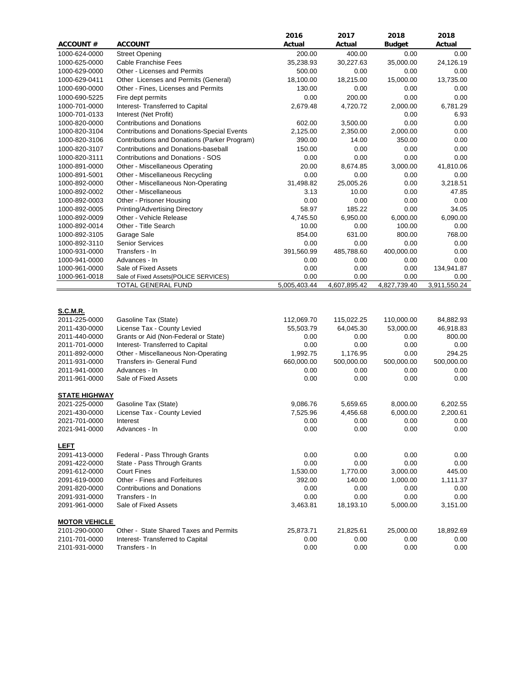|                                  |                                                   | 2016         | 2017         | 2018          | 2018         |
|----------------------------------|---------------------------------------------------|--------------|--------------|---------------|--------------|
| <b>ACCOUNT#</b>                  | <b>ACCOUNT</b>                                    | Actual       | Actual       | <b>Budget</b> | Actual       |
| 1000-624-0000                    | <b>Street Opening</b>                             | 200.00       | 400.00       | 0.00          | 0.00         |
| 1000-625-0000                    | Cable Franchise Fees                              | 35,238.93    | 30,227.63    | 35,000.00     | 24,126.19    |
| 1000-629-0000                    | Other - Licenses and Permits                      | 500.00       | 0.00         | 0.00          | 0.00         |
| 1000-629-0411                    | Other Licenses and Permits (General)              | 18,100.00    | 18,215.00    | 15,000.00     | 13,735.00    |
| 1000-690-0000                    | Other - Fines, Licenses and Permits               | 130.00       | 0.00         | 0.00          | 0.00         |
| 1000-690-5225                    | Fire dept permits                                 | 0.00         | 200.00       | 0.00          | 0.00         |
| 1000-701-0000                    | Interest- Transferred to Capital                  | 2,679.48     | 4,720.72     | 2,000.00      | 6,781.29     |
| 1000-701-0133                    | Interest (Net Profit)                             |              |              | 0.00          | 6.93         |
| 1000-820-0000                    | <b>Contributions and Donations</b>                | 602.00       | 3,500.00     | 0.00          | 0.00         |
| 1000-820-3104                    | <b>Contributions and Donations-Special Events</b> | 2,125.00     | 2,350.00     | 2,000.00      | 0.00         |
| 1000-820-3106                    | Contributions and Donations (Parker Program)      | 390.00       | 14.00        | 350.00        | 0.00         |
| 1000-820-3107                    | Contributions and Donations-baseball              | 150.00       | 0.00         | 0.00          | 0.00         |
| 1000-820-3111                    | Contributions and Donations - SOS                 | 0.00         | 0.00         | 0.00          | 0.00         |
| 1000-891-0000                    | Other - Miscellaneous Operating                   | 20.00        | 8,674.85     | 3,000.00      | 41,810.06    |
| 1000-891-5001                    | Other - Miscellaneous Recycling                   | 0.00         | 0.00         | 0.00          | 0.00         |
| 1000-892-0000                    | Other - Miscellaneous Non-Operating               | 31,498.82    | 25,005.26    | 0.00          | 3,218.51     |
| 1000-892-0002                    | Other - Miscellaneous                             | 3.13         | 10.00        | 0.00          | 47.85        |
| 1000-892-0003                    | Other - Prisoner Housing                          | 0.00         | 0.00         | 0.00          | 0.00         |
| 1000-892-0005                    | Printing/Advertising Directory                    | 58.97        | 185.22       | 0.00          | 34.05        |
| 1000-892-0009                    | Other - Vehicle Release                           | 4,745.50     | 6,950.00     | 6,000.00      | 6,090.00     |
| 1000-892-0014                    | Other - Title Search                              | 10.00        | 0.00         | 100.00        | 0.00         |
| 1000-892-3105                    | Garage Sale                                       | 854.00       | 631.00       | 800.00        | 768.00       |
| 1000-892-3110                    | <b>Senior Services</b>                            | 0.00         | 0.00         | 0.00          | 0.00         |
| 1000-931-0000                    | Transfers - In                                    | 391,560.99   | 485,788.60   | 400,000.00    | 0.00         |
| 1000-941-0000                    | Advances - In                                     | 0.00         | 0.00         | 0.00          | 0.00         |
| 1000-961-0000                    | Sale of Fixed Assets                              | 0.00         | 0.00         | 0.00          | 134,941.87   |
| 1000-961-0018                    | Sale of Fixed Assets{POLICE SERVICES}             | 0.00         | 0.00         | 0.00          | 0.00         |
|                                  | TOTAL GENERAL FUND                                | 5,005,403.44 | 4,607,895.42 | 4,827,739.40  | 3,911,550.24 |
| <b>S.C.M.R.</b><br>2011-225-0000 | Gasoline Tax (State)                              | 112,069.70   | 115,022.25   | 110,000.00    | 84,882.93    |
| 2011-430-0000                    | License Tax - County Levied                       | 55,503.79    | 64,045.30    | 53,000.00     | 46,918.83    |
| 2011-440-0000                    | Grants or Aid (Non-Federal or State)              | 0.00         | 0.00         | 0.00          | 800.00       |
| 2011-701-0000                    | Interest- Transferred to Capital                  | 0.00         | 0.00         | 0.00          | 0.00         |
| 2011-892-0000                    | Other - Miscellaneous Non-Operating               | 1,992.75     | 1,176.95     | 0.00          | 294.25       |
| 2011-931-0000                    | Transfers in- General Fund                        | 660,000.00   | 500,000.00   | 500,000.00    | 500,000.00   |
| 2011-941-0000                    | Advances - In                                     | 0.00         | 0.00         | 0.00          | 0.00         |
| 2011-961-0000                    | Sale of Fixed Assets                              | 0.00         | 0.00         | 0.00          | 0.00         |
|                                  |                                                   |              |              |               |              |
| <b>STATE HIGHWAY</b>             |                                                   |              |              |               |              |
| 2021-225-0000                    | Gasoline Tax (State)                              | 9,086.76     | 5,659.65     | 8,000.00      | 6,202.55     |
| 2021-430-0000                    | License Tax - County Levied                       | 7,525.96     | 4,456.68     | 6,000.00      | 2,200.61     |
| 2021-701-0000                    | Interest                                          | 0.00         | 0.00         | 0.00          | 0.00         |
| 2021-941-0000                    | Advances - In                                     | 0.00         | 0.00         | 0.00          | 0.00         |
|                                  |                                                   |              |              |               |              |
| <b>LEFT</b>                      |                                                   |              |              |               |              |
| 2091-413-0000                    | Federal - Pass Through Grants                     | 0.00         | 0.00         | 0.00          | 0.00         |
| 2091-422-0000                    | State - Pass Through Grants                       | 0.00         | 0.00         | 0.00          | 0.00         |
| 2091-612-0000                    | <b>Court Fines</b>                                | 1,530.00     | 1,770.00     | 3,000.00      | 445.00       |
| 2091-619-0000                    | Other - Fines and Forfeitures                     | 392.00       | 140.00       | 1,000.00      | 1,111.37     |
| 2091-820-0000                    | <b>Contributions and Donations</b>                | 0.00         | 0.00         | 0.00          | 0.00         |
| 2091-931-0000                    | Transfers - In                                    | 0.00         | 0.00         | 0.00          | 0.00         |
| 2091-961-0000                    | Sale of Fixed Assets                              | 3,463.81     | 18,193.10    | 5,000.00      | 3,151.00     |
| <b>MOTOR VEHICLE</b>             |                                                   |              |              |               |              |
| 2101-290-0000                    | Other - State Shared Taxes and Permits            | 25,873.71    | 21,825.61    | 25,000.00     | 18,892.69    |
| 2101-701-0000                    | Interest-Transferred to Capital                   | 0.00         | 0.00         | 0.00          | 0.00         |
| 2101-931-0000                    | Transfers - In                                    | 0.00         | $0.00\,$     | 0.00          | 0.00         |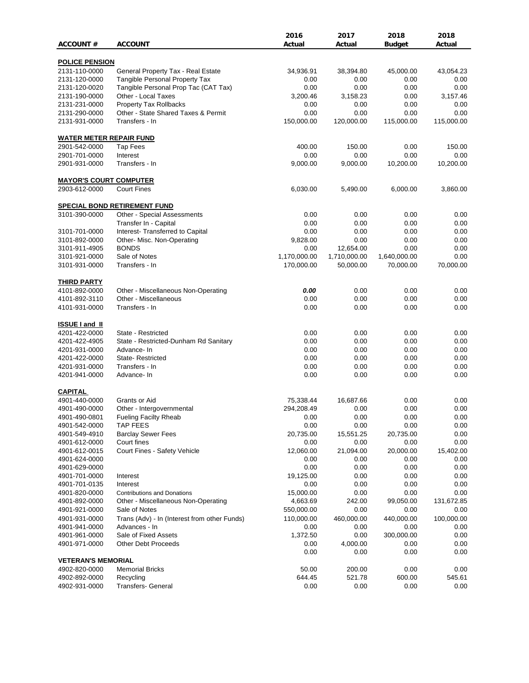|                                                 |                                              | 2016         | 2017         | 2018         | 2018       |
|-------------------------------------------------|----------------------------------------------|--------------|--------------|--------------|------------|
| <b>ACCOUNT #</b>                                | <b>ACCOUNT</b>                               | Actual       | Actual       | Budget       | Actual     |
| <b>POLICE PENSION</b>                           |                                              |              |              |              |            |
| 2131-110-0000                                   | General Property Tax - Real Estate           | 34,936.91    | 38,394.80    | 45,000.00    | 43,054.23  |
| 2131-120-0000                                   | <b>Tangible Personal Property Tax</b>        | 0.00         | 0.00         | 0.00         | 0.00       |
| 2131-120-0020                                   | Tangible Personal Prop Tac (CAT Tax)         | 0.00         | 0.00         | 0.00         | 0.00       |
| 2131-190-0000                                   | Other - Local Taxes                          | 3,200.46     | 3,158.23     | 0.00         | 3,157.46   |
| 2131-231-0000                                   | <b>Property Tax Rollbacks</b>                | 0.00         | 0.00         | 0.00         | 0.00       |
| 2131-290-0000                                   | Other - State Shared Taxes & Permit          | 0.00         | 0.00         | 0.00         | 0.00       |
| 2131-931-0000                                   | Transfers - In                               | 150,000.00   | 120,000.00   | 115,000.00   | 115,000.00 |
|                                                 |                                              |              |              |              |            |
| <b>WATER METER REPAIR FUND</b><br>2901-542-0000 | Tap Fees                                     | 400.00       | 150.00       | 0.00         | 150.00     |
| 2901-701-0000                                   | Interest                                     | 0.00         | 0.00         | 0.00         | 0.00       |
| 2901-931-0000                                   | Transfers - In                               | 9,000.00     | 9,000.00     | 10,200.00    | 10,200.00  |
|                                                 |                                              |              |              |              |            |
| <b>MAYOR'S COURT COMPUTER</b>                   |                                              |              |              |              |            |
| 2903-612-0000                                   | <b>Court Fines</b>                           | 6,030.00     | 5,490.00     | 6,000.00     | 3,860.00   |
|                                                 | <b>SPECIAL BOND RETIREMENT FUND</b>          |              |              |              |            |
| 3101-390-0000                                   | Other - Special Assessments                  | 0.00         | 0.00         | 0.00         | 0.00       |
|                                                 | Transfer In - Capital                        | 0.00         | 0.00         | 0.00         | 0.00       |
| 3101-701-0000                                   | Interest- Transferred to Capital             | 0.00         | 0.00         | 0.00         | 0.00       |
| 3101-892-0000                                   | Other- Misc. Non-Operating                   | 9,828.00     | 0.00         | 0.00         | 0.00       |
| 3101-911-4905                                   | <b>BONDS</b>                                 | 0.00         | 12,654.00    | 0.00         | 0.00       |
| 3101-921-0000                                   | Sale of Notes                                | 1,170,000.00 | 1,710,000.00 | 1,640,000.00 | 0.00       |
| 3101-931-0000                                   | Transfers - In                               | 170,000.00   | 50,000.00    | 70,000.00    | 70,000.00  |
| <b>THIRD PARTY</b>                              |                                              |              |              |              |            |
| 4101-892-0000                                   | Other - Miscellaneous Non-Operating          | 0.00         | 0.00         | 0.00         | 0.00       |
| 4101-892-3110                                   | Other - Miscellaneous                        | 0.00         | 0.00         | 0.00         | 0.00       |
| 4101-931-0000                                   | Transfers - In                               | 0.00         | 0.00         | 0.00         | 0.00       |
|                                                 |                                              |              |              |              |            |
| <b>ISSUE I and II</b>                           |                                              |              |              |              |            |
| 4201-422-0000                                   | State - Restricted                           | 0.00         | 0.00         | 0.00         | 0.00       |
| 4201-422-4905                                   | State - Restricted-Dunham Rd Sanitary        | 0.00         | 0.00         | 0.00         | 0.00       |
| 4201-931-0000                                   | Advance-In                                   | 0.00         | 0.00         | 0.00         | 0.00       |
| 4201-422-0000                                   | State-Restricted                             | 0.00         | 0.00         | 0.00         | 0.00       |
| 4201-931-0000                                   | Transfers - In                               | 0.00         | 0.00         | 0.00         | 0.00       |
| 4201-941-0000                                   | Advance- In                                  | 0.00         | 0.00         | 0.00         | 0.00       |
| <b>CAPITAL</b>                                  |                                              |              |              |              |            |
| 4901-440-0000                                   | Grants or Aid                                | 75,338.44    | 16,687.66    | 0.00         | 0.00       |
| 4901-490-0000                                   | Other - Intergovernmental                    | 294,208.49   | 0.00         | 0.00         | 0.00       |
| 4901-490-0801                                   | <b>Fueling Facilty Rheab</b>                 | 0.00         | 0.00         | 0.00         | 0.00       |
| 4901-542-0000                                   | <b>TAP FEES</b>                              | 0.00         | 0.00         | 0.00         | 0.00       |
| 4901-549-4910                                   | <b>Barclay Sewer Fees</b>                    | 20,735.00    | 15,551.25    | 20,735.00    | 0.00       |
| 4901-612-0000                                   | Court fines                                  | 0.00         | 0.00         | 0.00         | 0.00       |
| 4901-612-0015                                   | Court Fines - Safety Vehicle                 | 12,060.00    | 21,094.00    | 20,000.00    | 15,402.00  |
| 4901-624-0000                                   |                                              | 0.00         | 0.00         | 0.00         | 0.00       |
| 4901-629-0000                                   |                                              | 0.00         | 0.00         | 0.00         | 0.00       |
| 4901-701-0000                                   | Interest                                     | 19,125.00    | 0.00         | 0.00         | 0.00       |
| 4901-701-0135                                   | Interest                                     | 0.00         | 0.00         | 0.00         | 0.00       |
| 4901-820-0000                                   | <b>Contributions and Donations</b>           | 15,000.00    | 0.00         | 0.00         | 0.00       |
| 4901-892-0000                                   | Other - Miscellaneous Non-Operating          | 4,663.69     | 242.00       | 99,050.00    | 131,672.85 |
| 4901-921-0000                                   | Sale of Notes                                | 550,000.00   | 0.00         | 0.00         | 0.00       |
| 4901-931-0000                                   | Trans (Adv) - In (Interest from other Funds) | 110,000.00   | 460,000.00   | 440,000.00   | 100,000.00 |
| 4901-941-0000                                   | Advances - In                                | 0.00         | 0.00         | 0.00         | 0.00       |
| 4901-961-0000                                   | Sale of Fixed Assets                         | 1,372.50     | 0.00         | 300,000.00   | 0.00       |
| 4901-971-0000                                   | Other Debt Proceeds                          | 0.00         | 4,000.00     | 0.00         | 0.00       |
|                                                 |                                              | 0.00         | 0.00         | 0.00         | 0.00       |
| <b>VETERAN'S MEMORIAL</b>                       |                                              |              |              |              |            |
| 4902-820-0000                                   | <b>Memorial Bricks</b>                       | 50.00        | 200.00       | 0.00         | 0.00       |
| 4902-892-0000                                   | Recycling                                    | 644.45       | 521.78       | 600.00       | 545.61     |
| 4902-931-0000                                   | Transfers- General                           | 0.00         | 0.00         | 0.00         | 0.00       |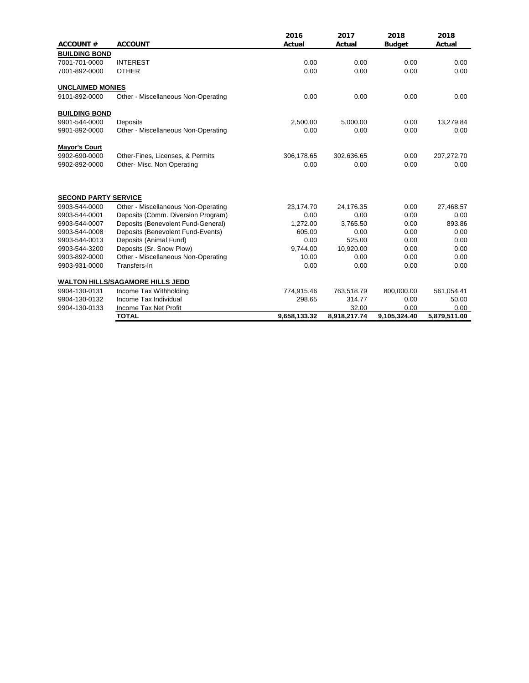| <b>ACCOUNT#</b>             | <b>ACCOUNT</b>                          | 2016<br>Actual | 2017<br>Actual | 2018<br><b>Budget</b> | 2018<br>Actual |
|-----------------------------|-----------------------------------------|----------------|----------------|-----------------------|----------------|
| <b>BUILDING BOND</b>        |                                         |                |                |                       |                |
| 7001-701-0000               | <b>INTEREST</b>                         | 0.00           | 0.00           | 0.00                  | 0.00           |
| 7001-892-0000               | <b>OTHER</b>                            | 0.00           | 0.00           | 0.00                  | 0.00           |
| <b>UNCLAIMED MONIES</b>     |                                         |                |                |                       |                |
| 9101-892-0000               | Other - Miscellaneous Non-Operating     | 0.00           | 0.00           | 0.00                  | 0.00           |
| <b>BUILDING BOND</b>        |                                         |                |                |                       |                |
| 9901-544-0000               | Deposits                                | 2,500.00       | 5,000.00       | 0.00                  | 13,279.84      |
| 9901-892-0000               | Other - Miscellaneous Non-Operating     | 0.00           | 0.00           | 0.00                  | 0.00           |
| <b>Mayor's Court</b>        |                                         |                |                |                       |                |
| 9902-690-0000               | Other-Fines, Licenses, & Permits        | 306,178.65     | 302,636.65     | 0.00                  | 207,272.70     |
| 9902-892-0000               | Other- Misc. Non Operating              | 0.00           | 0.00           | 0.00                  | 0.00           |
| <b>SECOND PARTY SERVICE</b> |                                         |                |                |                       |                |
| 9903-544-0000               | Other - Miscellaneous Non-Operating     | 23,174.70      | 24,176.35      | 0.00                  | 27,468.57      |
| 9903-544-0001               | Deposits (Comm. Diversion Program)      | 0.00           | 0.00           | 0.00                  | 0.00           |
| 9903-544-0007               | Deposits (Benevolent Fund-General)      | 1,272.00       | 3,765.50       | 0.00                  | 893.86         |
| 9903-544-0008               | Deposits (Benevolent Fund-Events)       | 605.00         | 0.00           | 0.00                  | 0.00           |
| 9903-544-0013               | Deposits (Animal Fund)                  | 0.00           | 525.00         | 0.00                  | 0.00           |
| 9903-544-3200               | Deposits (Sr. Snow Plow)                | 9,744.00       | 10,920.00      | 0.00                  | 0.00           |
| 9903-892-0000               | Other - Miscellaneous Non-Operating     | 10.00          | 0.00           | 0.00                  | 0.00           |
| 9903-931-0000               | Transfers-In                            | 0.00           | 0.00           | 0.00                  | 0.00           |
|                             | <b>WALTON HILLS/SAGAMORE HILLS JEDD</b> |                |                |                       |                |
| 9904-130-0131               | Income Tax Withholding                  | 774,915.46     | 763,518.79     | 800,000.00            | 561,054.41     |
| 9904-130-0132               | Income Tax Individual                   | 298.65         | 314.77         | 0.00                  | 50.00          |
| 9904-130-0133               | Income Tax Net Profit                   |                | 32.00          | 0.00                  | 0.00           |
|                             | <b>TOTAL</b>                            | 9,658,133.32   | 8,918,217.74   | 9,105,324.40          | 5,879,511.00   |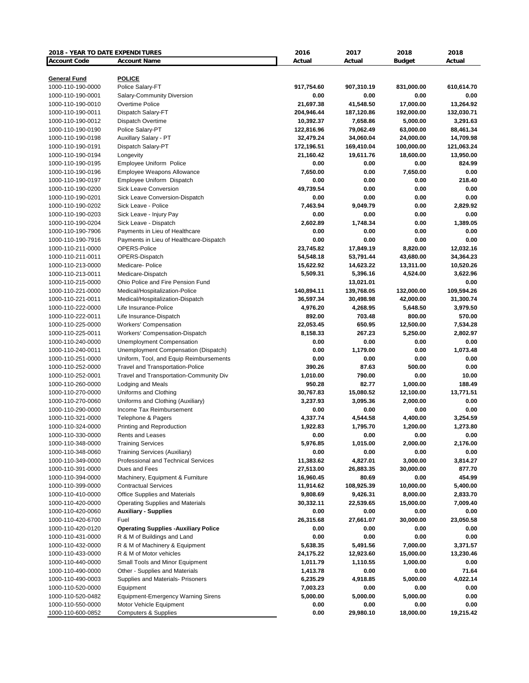| 2018 - YEAR TO DATE EXPENDITURES |                                                               | 2016       | 2017       | 2018                  | 2018       |
|----------------------------------|---------------------------------------------------------------|------------|------------|-----------------------|------------|
| <b>Account Code</b>              | <b>Account Name</b>                                           | Actual     | Actual     | <b>Budget</b>         | Actual     |
|                                  |                                                               |            |            |                       |            |
| <b>General Fund</b>              | <b>POLICE</b>                                                 |            |            |                       |            |
| 1000-110-190-0000                | Police Salary-FT                                              | 917,754.60 | 907,310.19 | 831,000.00            | 610,614.70 |
| 1000-110-190-0001                | Salary-Community Diversion                                    | 0.00       | 0.00       | 0.00                  | 0.00       |
| 1000-110-190-0010                | Overtime Police                                               | 21,697.38  | 41,548.50  | 17,000.00             | 13,264.92  |
| 1000-110-190-0011                | Dispatch Salary-FT                                            | 204,946.44 | 187,120.86 | 192,000.00            | 132,030.71 |
| 1000-110-190-0012                | Dispatch Overtime                                             | 10,392.37  | 7,658.86   | 5,000.00              | 3,291.63   |
| 1000-110-190-0190                | Police Salary-PT                                              | 122,816.96 | 79,062.49  | 63,000.00             | 88,461.34  |
| 1000-110-190-0198                | Auxillary Salary - PT                                         | 32,479.24  | 34,060.04  | 24,000.00             | 14,709.98  |
| 1000-110-190-0191                | Dispatch Salary-PT                                            | 172,196.51 | 169,410.04 | 100,000.00            | 121,063.24 |
| 1000-110-190-0194                | Longevity                                                     | 21,160.42  | 19,611.76  | 18,600.00             | 13,950.00  |
| 1000-110-190-0195                | Employee Uniform Police                                       | 0.00       | 0.00       | 0.00                  | 824.99     |
| 1000-110-190-0196                | <b>Employee Weapons Allowance</b>                             | 7,650.00   | 0.00       | 7,650.00              | 0.00       |
| 1000-110-190-0197                | Employee Uniform Dispatch                                     | 0.00       | 0.00       | 0.00                  | 218.40     |
| 1000-110-190-0200                | Sick Leave Conversion                                         | 49,739.54  | 0.00       | 0.00                  | 0.00       |
| 1000-110-190-0201                | Sick Leave Conversion-Dispatch                                | 0.00       | 0.00       | 0.00                  | 0.00       |
| 1000-110-190-0202                | Sick Leave - Police                                           | 7,463.94   | 9,049.79   | 0.00                  | 2,829.92   |
| 1000-110-190-0203                | Sick Leave - Injury Pay                                       | 0.00       | 0.00       | 0.00                  | 0.00       |
| 1000-110-190-0204                | Sick Leave - Dispatch                                         | 2,602.89   | 1,748.34   | 0.00                  | 1,389.05   |
| 1000-110-190-7906                | Payments in Lieu of Healthcare                                | 0.00       | 0.00       | 0.00                  | 0.00       |
| 1000-110-190-7916                | Payments in Lieu of Healthcare-Dispatch                       | 0.00       | 0.00       | 0.00                  | 0.00       |
| 1000-110-211-0000                | OPERS-Police                                                  | 23,745.82  | 17,849.19  | 8,820.00              | 12,032.16  |
| 1000-110-211-0011                | OPERS-Dispatch                                                | 54,548.18  | 53,791.44  | 43,680.00             | 34,364.23  |
| 1000-110-213-0000                | Medicare-Police                                               | 15,622.92  | 14,623.22  | 13,311.00             | 10,520.26  |
| 1000-110-213-0011                | Medicare-Dispatch                                             | 5,509.31   | 5,396.16   | 4,524.00              | 3,622.96   |
| 1000-110-215-0000                | Ohio Police and Fire Pension Fund                             |            | 13,021.01  |                       | 0.00       |
| 1000-110-221-0000                | Medical/Hospitalization-Police                                | 140,894.11 | 139,768.05 | 132,000.00            | 109,594.26 |
| 1000-110-221-0011                | Medical/Hospitalization-Dispatch                              | 36,597.34  | 30,498.98  | 42,000.00             | 31,300.74  |
| 1000-110-222-0000                | Life Insurance-Police                                         | 4,976.20   | 4,268.95   | 5,648.50              | 3,979.50   |
| 1000-110-222-0011                | Life Insurance-Dispatch                                       | 892.00     | 703.48     | 800.00                | 570.00     |
| 1000-110-225-0000                | <b>Workers' Compensation</b>                                  | 22,053.45  | 650.95     | 12,500.00             | 7,534.28   |
| 1000-110-225-0011                | Workers' Compensation-Dispatch                                | 8,158.33   | 267.23     | 5,250.00              | 2,802.97   |
| 1000-110-240-0000                | Unemployment Compensation                                     | 0.00       | 0.00       | 0.00                  | 0.00       |
| 1000-110-240-0011                | Unemployment Compensation (Dispatch)                          | 0.00       | 1,179.00   | 0.00                  | 1,073.48   |
| 1000-110-251-0000                | Uniform, Tool, and Equip Reimbursements                       | 0.00       | 0.00       | 0.00                  | 0.00       |
| 1000-110-252-0000                |                                                               | 390.26     | 87.63      | 500.00                | 0.00       |
| 1000-110-252-0001                | <b>Travel and Transportation-Police</b>                       | 1,010.00   | 790.00     | 0.00                  | 10.00      |
| 1000-110-260-0000                | Travel and Transportation-Community Div<br>Lodging and Meals  | 950.28     | 82.77      | 1,000.00              | 188.49     |
| 1000-110-270-0000                | Uniforms and Clothing                                         | 30,767.83  | 15,080.52  |                       | 13,771.51  |
| 1000-110-270-0060                |                                                               | 3,237.93   | 3,095.36   | 12,100.00<br>2,000.00 | 0.00       |
| 1000-110-290-0000                | Uniforms and Clothing (Auxiliary)<br>Income Tax Reimbursement | 0.00       | 0.00       | 0.00                  | 0.00       |
| 1000-110-321-0000                |                                                               | 4,337.74   | 4,544.58   | 4,400.00              | 3,254.59   |
|                                  | Telephone & Pagers                                            |            |            |                       |            |
| 1000-110-324-0000                | Printing and Reproduction                                     | 1,922.83   | 1,795.70   | 1,200.00              | 1,273.80   |
| 1000-110-330-0000                | Rents and Leases                                              | 0.00       | 0.00       | 0.00                  | 0.00       |
| 1000-110-348-0000                | <b>Training Services</b>                                      | 5,976.85   | 1,015.00   | 2,000.00              | 2,176.00   |
| 1000-110-348-0060                | <b>Training Services (Auxiliary)</b>                          | 0.00       | 0.00       | 0.00                  | 0.00       |
| 1000-110-349-0000                | Professional and Technical Services                           | 11,383.62  | 4,827.01   | 3,000.00              | 3,814.27   |
| 1000-110-391-0000                | Dues and Fees                                                 | 27,513.00  | 26,883.35  | 30,000.00             | 877.70     |
| 1000-110-394-0000                | Machinery, Equipment & Furniture                              | 16,960.45  | 80.69      | 0.00                  | 454.99     |
| 1000-110-399-0000                | <b>Contractual Services</b>                                   | 11,914.62  | 108,925.39 | 10,000.00             | 5,400.00   |
| 1000-110-410-0000                | Office Supplies and Materials                                 | 9,808.69   | 9,426.31   | 8,000.00              | 2,833.70   |
| 1000-110-420-0000                | Operating Supplies and Materials                              | 30,332.11  | 22,539.65  | 15,000.00             | 7,009.40   |
| 1000-110-420-0060                | <b>Auxiliary - Supplies</b>                                   | 0.00       | 0.00       | 0.00                  | 0.00       |
| 1000-110-420-6700                | Fuel                                                          | 26,315.68  | 27,661.07  | 30,000.00             | 23,050.58  |
| 1000-110-420-0120                | <b>Operating Supplies -Auxiliary Police</b>                   | 0.00       | 0.00       | 0.00                  | 0.00       |
| 1000-110-431-0000                | R & M of Buildings and Land                                   | 0.00       | 0.00       | 0.00                  | 0.00       |
| 1000-110-432-0000                | R & M of Machinery & Equipment                                | 5,638.35   | 5,491.56   | 7,000.00              | 3,371.57   |
| 1000-110-433-0000                | R & M of Motor vehicles                                       | 24,175.22  | 12,923.60  | 15,000.00             | 13,230.46  |
| 1000-110-440-0000                | Small Tools and Minor Equipment                               | 1,011.79   | 1,110.55   | 1,000.00              | 0.00       |
| 1000-110-490-0000                | Other - Supplies and Materials                                | 1,413.78   | 0.00       | 0.00                  | 71.64      |
| 1000-110-490-0003                | Supplies and Materials- Prisoners                             | 6,235.29   | 4,918.85   | 5,000.00              | 4,022.14   |
| 1000-110-520-0000                | Equipment                                                     | 7,003.23   | 0.00       | 0.00                  | 0.00       |
| 1000-110-520-0482                | <b>Equipment-Emergency Warning Sirens</b>                     | 5,000.00   | 5,000.00   | 5,000.00              | 0.00       |
| 1000-110-550-0000                | Motor Vehicle Equipment                                       | 0.00       | 0.00       | 0.00                  | 0.00       |
| 1000-110-600-0852                | <b>Computers &amp; Supplies</b>                               | 0.00       | 29,980.10  | 18,000.00             | 19,215.42  |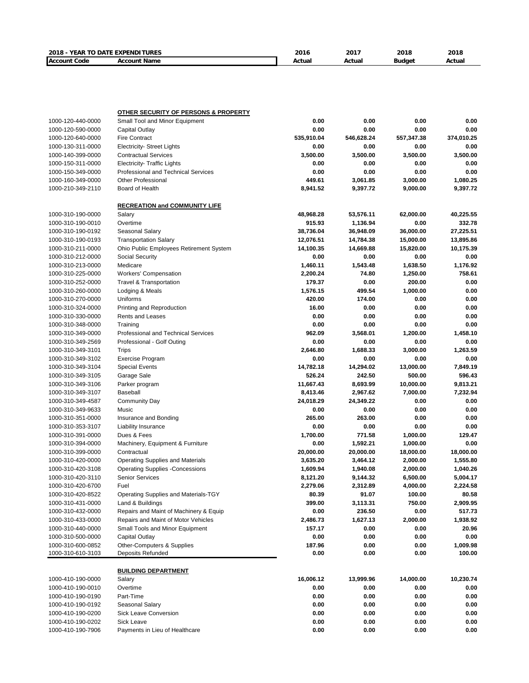| 2018 - YEAR TO DATE EXPENDITURES       |                                                     | 2016           | 2017           | 2018         | 2018         |
|----------------------------------------|-----------------------------------------------------|----------------|----------------|--------------|--------------|
| <b>Account Code</b>                    | <b>Account Name</b>                                 | Actual         | Actual         | Budget       | Actual       |
|                                        |                                                     |                |                |              |              |
|                                        |                                                     |                |                |              |              |
|                                        |                                                     |                |                |              |              |
|                                        |                                                     |                |                |              |              |
|                                        | <b>OTHER SECURITY OF PERSONS &amp; PROPERTY</b>     |                |                |              |              |
| 1000-120-440-0000                      | Small Tool and Minor Equipment                      | 0.00           | 0.00           | 0.00         | 0.00         |
| 1000-120-590-0000                      | Capital Outlay                                      | 0.00           | 0.00           | 0.00         | 0.00         |
| 1000-120-640-0000                      | <b>Fire Contract</b>                                | 535,910.04     | 546,628.24     | 557,347.38   | 374,010.25   |
| 1000-130-311-0000                      | <b>Electricity- Street Lights</b>                   | 0.00           | 0.00           | 0.00         | 0.00         |
| 1000-140-399-0000                      | <b>Contractual Services</b>                         | 3,500.00       | 3,500.00       | 3,500.00     | 3,500.00     |
| 1000-150-311-0000                      | <b>Electricity- Traffic Lights</b>                  | 0.00           | 0.00           | 0.00         | 0.00         |
| 1000-150-349-0000                      | <b>Professional and Technical Services</b>          | 0.00           | 0.00           | 0.00         | 0.00         |
| 1000-160-349-0000                      | <b>Other Professional</b>                           | 449.61         | 3,061.85       | 3,000.00     | 1,080.25     |
| 1000-210-349-2110                      | Board of Health                                     | 8,941.52       | 9,397.72       | 9,000.00     | 9,397.72     |
|                                        | <b>RECREATION and COMMUNITY LIFE</b>                |                |                |              |              |
| 1000-310-190-0000                      | Salary                                              | 48,968.28      | 53,576.11      | 62,000.00    | 40,225.55    |
| 1000-310-190-0010                      | Overtime                                            | 915.93         | 1,136.94       | 0.00         | 332.78       |
| 1000-310-190-0192                      | Seasonal Salary                                     | 38,736.04      | 36,948.09      | 36,000.00    | 27,225.51    |
| 1000-310-190-0193                      | <b>Transportation Salary</b>                        | 12,076.51      | 14,784.38      | 15,000.00    | 13,895.86    |
| 1000-310-211-0000                      | Ohio Public Employees Retirement System             | 14,100.35      | 14,669.88      | 15,820.00    | 10,175.39    |
| 1000-310-212-0000                      | Social Security                                     | 0.00           | 0.00           | 0.00         | 0.00         |
| 1000-310-213-0000                      | Medicare                                            | 1,460.11       | 1,543.48       | 1,638.50     | 1,176.92     |
| 1000-310-225-0000                      | <b>Workers' Compensation</b>                        | 2,200.24       | 74.80          | 1,250.00     | 758.61       |
| 1000-310-252-0000                      | <b>Travel &amp; Transportation</b>                  | 179.37         | 0.00           | 200.00       | 0.00         |
| 1000-310-260-0000                      | Lodging & Meals                                     | 1,576.15       | 499.54         | 1,000.00     | 0.00         |
| 1000-310-270-0000                      | Uniforms                                            | 420.00         | 174.00         | 0.00         | 0.00         |
| 1000-310-324-0000                      | Printing and Reproduction                           | 16.00          | 0.00           | 0.00         | 0.00         |
| 1000-310-330-0000                      | <b>Rents and Leases</b>                             | 0.00           | 0.00           | 0.00         | 0.00         |
| 1000-310-348-0000                      | Training                                            | 0.00           | 0.00           | 0.00         | 0.00         |
| 1000-310-349-0000                      | Professional and Technical Services                 | 962.09         | 3,568.01       | 1,200.00     | 1,458.10     |
| 1000-310-349-2569                      | Professional - Golf Outing                          | 0.00           | 0.00           | 0.00         | 0.00         |
| 1000-310-349-3101                      | Trips                                               | 2,646.80       | 1,688.33       | 3,000.00     | 1,263.59     |
| 1000-310-349-3102                      | <b>Exercise Program</b>                             | 0.00           | 0.00           | 0.00         | 0.00         |
| 1000-310-349-3104                      | <b>Special Events</b>                               | 14,782.18      | 14,294.02      | 13,000.00    | 7,849.19     |
| 1000-310-349-3105                      | Garage Sale                                         | 526.24         | 242.50         | 500.00       | 596.43       |
| 1000-310-349-3106                      | Parker program                                      | 11,667.43      | 8,693.99       | 10,000.00    | 9,813.21     |
| 1000-310-349-3107                      | <b>Baseball</b>                                     | 8,413.46       | 2,967.62       | 7,000.00     | 7,232.94     |
| 1000-310-349-4587                      | <b>Community Day</b>                                | 24,018.29      | 24,349.22      | 0.00         | 0.00         |
| 1000-310-349-9633<br>1000-310-351-0000 | Music                                               | 0.00<br>265.00 | 0.00<br>263.00 | 0.00<br>0.00 | 0.00<br>0.00 |
| 1000-310-353-3107                      | Insurance and Bonding<br><b>Liability Insurance</b> | 0.00           | 0.00           | 0.00         | 0.00         |
| 1000-310-391-0000                      | Dues & Fees                                         | 1,700.00       | 771.58         | 1,000.00     | 129.47       |
| 1000-310-394-0000                      | Machinery, Equipment & Furniture                    | 0.00           | 1,592.21       | 1,000.00     | 0.00         |
| 1000-310-399-0000                      | Contractual                                         | 20,000.00      | 20,000.00      | 18,000.00    | 18,000.00    |
| 1000-310-420-0000                      | Operating Supplies and Materials                    | 3,635.20       | 3,464.12       | 2,000.00     | 1,555.80     |
| 1000-310-420-3108                      | <b>Operating Supplies -Concessions</b>              | 1,609.94       | 1,940.08       | 2,000.00     | 1,040.26     |
| 1000-310-420-3110                      | <b>Senior Services</b>                              | 8,121.20       | 9,144.32       | 6,500.00     | 5,004.17     |
| 1000-310-420-6700                      | Fuel                                                | 2,279.06       | 2,312.89       | 4,000.00     | 2,224.58     |
| 1000-310-420-8522                      | Operating Supplies and Materials-TGY                | 80.39          | 91.07          | 100.00       | 80.58        |
| 1000-310-431-0000                      | Land & Buildings                                    | 399.00         | 3,113.31       | 750.00       | 2,909.95     |
| 1000-310-432-0000                      | Repairs and Maint of Machinery & Equip              | 0.00           | 236.50         | 0.00         | 517.73       |
| 1000-310-433-0000                      | Repairs and Maint of Motor Vehicles                 | 2,486.73       | 1,627.13       | 2,000.00     | 1,938.92     |
| 1000-310-440-0000                      | Small Tools and Minor Equipment                     | 157.17         | 0.00           | 0.00         | 20.96        |
| 1000-310-500-0000                      | <b>Capital Outlay</b>                               | 0.00           | 0.00           | 0.00         | 0.00         |
| 1000-310-600-0852                      | <b>Other-Computers &amp; Supplies</b>               | 187.96         | 0.00           | 0.00         | 1,009.98     |
| 1000-310-610-3103                      | <b>Deposits Refunded</b>                            | 0.00           | 0.00           | 0.00         | 100.00       |
|                                        |                                                     |                |                |              |              |
| 1000-410-190-0000                      | <b>BUILDING DEPARTMENT</b><br>Salary                | 16,006.12      | 13,999.96      | 14,000.00    | 10,230.74    |
| 1000-410-190-0010                      | Overtime                                            | 0.00           | 0.00           | 0.00         | 0.00         |
| 1000-410-190-0190                      | Part-Time                                           | 0.00           | 0.00           | 0.00         | 0.00         |
| 1000-410-190-0192                      | Seasonal Salary                                     | 0.00           | 0.00           | 0.00         | 0.00         |
| 1000-410-190-0200                      | Sick Leave Conversion                               | 0.00           | 0.00           | 0.00         | 0.00         |
| 1000-410-190-0202                      | Sick Leave                                          | 0.00           | 0.00           | 0.00         | 0.00         |
| 1000-410-190-7906                      | Payments in Lieu of Healthcare                      | 0.00           | 0.00           | 0.00         | 0.00         |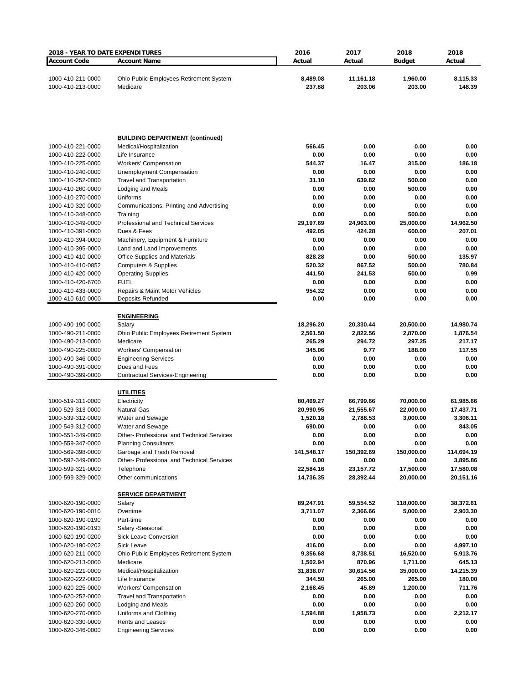| 2018 - YEAR TO DATE EXPENDITURES       |                                                                  | 2016                  | 2017                  | 2018                  | 2018                  |
|----------------------------------------|------------------------------------------------------------------|-----------------------|-----------------------|-----------------------|-----------------------|
| <b>Account Code</b>                    | <b>Account Name</b>                                              | Actual                | Actual                | <b>Budget</b>         | Actual                |
| 1000-410-211-0000<br>1000-410-213-0000 | Ohio Public Employees Retirement System<br>Medicare              | 8,489.08<br>237.88    | 11,161.18<br>203.06   | 1,960.00<br>203.00    | 8,115.33<br>148.39    |
|                                        |                                                                  |                       |                       |                       |                       |
|                                        | <b>BUILDING DEPARTMENT (continued)</b>                           |                       |                       |                       |                       |
| 1000-410-221-0000<br>1000-410-222-0000 | Medical/Hospitalization<br>Life Insurance                        | 566.45<br>0.00        | 0.00<br>0.00          | 0.00<br>0.00          | 0.00<br>0.00          |
| 1000-410-225-0000                      | <b>Workers' Compensation</b>                                     | 544.37                | 16.47                 | 315.00                | 186.18                |
| 1000-410-240-0000                      | <b>Unemployment Compensation</b>                                 | 0.00                  | 0.00                  | 0.00                  | 0.00                  |
| 1000-410-252-0000                      | <b>Travel and Transportation</b>                                 | 31.10                 | 639.82                | 500.00                | 0.00                  |
| 1000-410-260-0000                      | Lodging and Meals                                                | 0.00                  | 0.00                  | 500.00                | 0.00                  |
| 1000-410-270-0000<br>1000-410-320-0000 | Uniforms<br>Communications, Printing and Advertising             | 0.00<br>0.00          | 0.00<br>0.00          | 0.00<br>0.00          | 0.00<br>0.00          |
| 1000-410-348-0000                      | Training                                                         | 0.00                  | 0.00                  | 500.00                | 0.00                  |
| 1000-410-349-0000                      | Professional and Technical Services                              | 29,197.69             | 24,963.00             | 25,000.00             | 14,962.50             |
| 1000-410-391-0000                      | Dues & Fees                                                      | 492.05                | 424.28                | 600.00                | 207.01                |
| 1000-410-394-0000                      | Machinery, Equipment & Furniture                                 | 0.00                  | 0.00                  | 0.00                  | 0.00                  |
| 1000-410-395-0000                      | Land and Land Improvements                                       | 0.00                  | 0.00                  | 0.00                  | 0.00                  |
| 1000-410-410-0000                      | <b>Office Supplies and Materials</b>                             | 828.28<br>520.32      | 0.00<br>867.52        | 500.00<br>500.00      | 135.97<br>780.84      |
| 1000-410-410-0852<br>1000-410-420-0000 | <b>Computers &amp; Supplies</b><br><b>Operating Supplies</b>     | 441.50                | 241.53                | 500.00                | 0.99                  |
| 1000-410-420-6700                      | <b>FUEL</b>                                                      | 0.00                  | 0.00                  | 0.00                  | 0.00                  |
| 1000-410-433-0000                      | Repairs & Maint Motor Vehicles                                   | 954.32                | 0.00                  | 0.00                  | 0.00                  |
| 1000-410-610-0000                      | Deposits Refunded                                                | 0.00                  | 0.00                  | 0.00                  | 0.00                  |
|                                        | <b>ENGINEERING</b>                                               |                       |                       |                       |                       |
| 1000-490-190-0000                      | Salary                                                           | 18,296.20             | 20,330.44             | 20,500.00             | 14,980.74             |
| 1000-490-211-0000                      | Ohio Public Employees Retirement System                          | 2,561.50              | 2,822.56              | 2,870.00              | 1,876.54              |
| 1000-490-213-0000                      | Medicare                                                         | 265.29                | 294.72                | 297.25                | 217.17                |
| 1000-490-225-0000                      | <b>Workers' Compensation</b>                                     | 345.06                | 9.77                  | 188.00                | 117.55                |
| 1000-490-346-0000                      | <b>Engineering Services</b>                                      | 0.00                  | 0.00                  | 0.00                  | 0.00                  |
| 1000-490-391-0000<br>1000-490-399-0000 | Dues and Fees<br><b>Contractual Services-Engineering</b>         | 0.00<br>0.00          | 0.00<br>0.00          | 0.00<br>0.00          | 0.00<br>0.00          |
|                                        |                                                                  |                       |                       |                       |                       |
|                                        | <u>UTILITIES</u>                                                 |                       |                       |                       |                       |
| 1000-519-311-0000                      | Electricity                                                      | 80,469.27             | 66,799.66             | 70,000.00             | 61,985.66             |
| 1000-529-313-0000<br>1000-539-312-0000 | <b>Natural Gas</b>                                               | 20,990.95<br>1,520.18 | 21,555.67<br>2,788.53 | 22,000.00<br>3,000.00 | 17,437.71<br>3,306.11 |
| 1000-549-312-0000                      | Water and Sewage<br>Water and Sewage                             | 690.00                | 0.00                  | 0.00                  | 843.05                |
| 1000-551-349-0000                      | Other- Professional and Technical Services                       | 0.00                  | 0.00                  | 0.00                  | 0.00                  |
| 1000-559-347-0000                      | <b>Planning Consultants</b>                                      | 0.00                  | 0.00                  | 0.00                  | 0.00                  |
| 1000-569-398-0000                      | Garbage and Trash Removal                                        | 141,548.17            | 150,392.69            | 150,000.00            | 114,694.19            |
| 1000-592-349-0000                      | Other-Professional and Technical Services                        | 0.00                  | 0.00                  | 0.00                  | 3,895.86              |
| 1000-599-321-0000                      | Telephone                                                        | 22,584.16             | 23,157.72             | 17,500.00             | 17,580.08             |
| 1000-599-329-0000                      | Other communications                                             | 14,736.35             | 28,392.44             | 20,000.00             | 20,151.16             |
|                                        | <b>SERVICE DEPARTMENT</b>                                        |                       |                       |                       |                       |
| 1000-620-190-0000                      | Salary                                                           | 89,247.91             | 59,554.52             | 118,000.00            | 38,372.61             |
| 1000-620-190-0010<br>1000-620-190-0190 | Overtime<br>Part-time                                            | 3,711.07<br>0.00      | 2,366.66<br>0.00      | 5,000.00<br>0.00      | 2,903.30<br>0.00      |
| 1000-620-190-0193                      | Salary - Seasonal                                                | 0.00                  | 0.00                  | 0.00                  | 0.00                  |
| 1000-620-190-0200                      | <b>Sick Leave Conversion</b>                                     | 0.00                  | 0.00                  | 0.00                  | 0.00                  |
| 1000-620-190-0202                      | Sick Leave                                                       | 416.00                | 0.00                  | 0.00                  | 4,997.10              |
| 1000-620-211-0000                      | Ohio Public Employees Retirement System                          | 9,356.68              | 8,738.51              | 16,520.00             | 5,913.76              |
| 1000-620-213-0000                      | Medicare                                                         | 1,502.94              | 870.96                | 1,711.00              | 645.13                |
| 1000-620-221-0000                      | Medical/Hospitalization                                          | 31,838.07             | 30,614.56             | 35,000.00             | 14,215.39             |
| 1000-620-222-0000                      | Life Insurance                                                   | 344.50                | 265.00<br>45.89       | 265.00                | 180.00                |
| 1000-620-225-0000<br>1000-620-252-0000 | <b>Workers' Compensation</b><br><b>Travel and Transportation</b> | 2,168.45<br>0.00      | 0.00                  | 1,200.00<br>0.00      | 711.76<br>0.00        |
| 1000-620-260-0000                      | Lodging and Meals                                                | 0.00                  | 0.00                  | 0.00                  | 0.00                  |
| 1000-620-270-0000                      | Uniforms and Clothing                                            | 1,594.88              | 1,958.73              | 0.00                  | 2,212.17              |
| 1000-620-330-0000                      | <b>Rents and Leases</b>                                          | 0.00                  | 0.00                  | 0.00                  | 0.00                  |
| 1000-620-346-0000                      | <b>Engineering Services</b>                                      | 0.00                  | 0.00                  | 0.00                  | 0.00                  |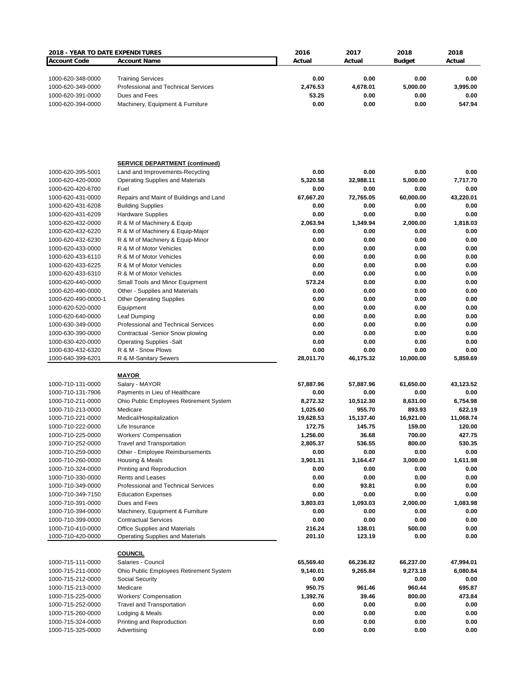| <b>2018 - YEAR TO DATE EXPENDITURES</b> |                                         | 2016              | 2017      | 2018              | 2018             |
|-----------------------------------------|-----------------------------------------|-------------------|-----------|-------------------|------------------|
| <b>Account Code</b>                     | <b>Account Name</b>                     | Actual            | Actual    | <b>Budget</b>     | Actual           |
|                                         |                                         |                   |           |                   |                  |
|                                         |                                         |                   |           |                   |                  |
| 1000-620-348-0000                       | <b>Training Services</b>                | 0.00              | 0.00      | 0.00              | 0.00             |
| 1000-620-349-0000                       | Professional and Technical Services     | 2,476.53          | 4,678.01  | 5,000.00          | 3,995.00         |
| 1000-620-391-0000                       | Dues and Fees                           | 53.25             | 0.00      | 0.00              | 0.00             |
| 1000-620-394-0000                       | Machinery, Equipment & Furniture        | 0.00              | 0.00      | 0.00              | 547.94           |
|                                         |                                         |                   |           |                   |                  |
|                                         |                                         |                   |           |                   |                  |
|                                         | <b>SERVICE DEPARTMENT (continued)</b>   |                   |           |                   |                  |
| 1000-620-395-5001                       | Land and Improvements-Recycling         | 0.00              | 0.00      | 0.00              | 0.00             |
| 1000-620-420-0000                       | Operating Supplies and Materials        | 5,320.58          | 32,988.11 | 5,000.00          | 7,717.70         |
| 1000-620-420-6700                       | Fuel                                    | 0.00              | 0.00      | 0.00              | 0.00             |
| 1000-620-431-0000                       | Repairs and Maint of Buildings and Land | 67,667.20         | 72,765.05 | 60,000.00         | 43,220.01        |
| 1000-620-431-6208                       | <b>Building Supplies</b>                | 0.00              | 0.00      | 0.00              | 0.00             |
|                                         |                                         | 0.00              | 0.00      | 0.00              | 0.00             |
| 1000-620-431-6209                       | <b>Hardware Supplies</b>                |                   |           |                   |                  |
| 1000-620-432-0000                       | R & M of Machinery & Equip              | 2,063.94          | 1,349.94  | 2,000.00          | 1,818.03         |
| 1000-620-432-6220                       | R & M of Machinery & Equip-Major        | 0.00              | 0.00      | 0.00              | 0.00             |
| 1000-620-432-6230                       | R & M of Machinery & Equip-Minor        | 0.00              | 0.00      | 0.00              | 0.00             |
| 1000-620-433-0000                       | R & M of Motor Vehicles                 | 0.00              | 0.00      | 0.00              | 0.00             |
| 1000-620-433-6110                       | R & M of Motor Vehicles                 | 0.00              | 0.00      | 0.00              | 0.00             |
| 1000-620-433-6225                       | R & M of Motor Vehicles                 | 0.00              | 0.00      | 0.00              | 0.00             |
| 1000-620-433-6310                       | R & M of Motor Vehicles                 | 0.00              | 0.00      | 0.00              | 0.00             |
| 1000-620-440-0000                       | Small Tools and Minor Equipment         | 573.24            | 0.00      | 0.00              | 0.00             |
| 1000-620-490-0000                       | Other - Supplies and Materials          | 0.00              | 0.00      | 0.00              | 0.00             |
| 1000-620-490-0000-1                     | <b>Other Operating Supplies</b>         | 0.00              | 0.00      | 0.00              | 0.00             |
| 1000-620-520-0000                       | Equipment                               | 0.00              | 0.00      | 0.00              | 0.00             |
| 1000-620-640-0000                       | Leaf Dumping                            | 0.00              | 0.00      | 0.00              | 0.00             |
| 1000-630-349-0000                       | Professional and Technical Services     | 0.00              | 0.00      | 0.00              | 0.00             |
| 1000-630-390-0000                       | Contractual -Senior Snow plowing        | 0.00              | 0.00      | 0.00              | 0.00             |
| 1000-630-420-0000                       | <b>Operating Supplies -Salt</b>         | 0.00              | 0.00      | 0.00              | 0.00             |
|                                         |                                         |                   |           |                   |                  |
| 1000-630-432-6320                       | R & M - Snow Plows                      | 0.00<br>28,011.70 | 0.00      | 0.00<br>10,000.00 | 0.00<br>5,859.69 |
| 1000-640-399-6201                       | R & M-Sanitary Sewers                   |                   | 46,175.32 |                   |                  |
|                                         | <b>MAYOR</b>                            |                   |           |                   |                  |
| 1000-710-131-0000                       | Salary - MAYOR                          | 57,887.96         | 57.887.96 | 61,650.00         | 43,123.52        |
| 1000-710-131-7906                       | Payments in Lieu of Healthcare          | 0.00              | 0.00      | 0.00              | 0.00             |
| 1000-710-211-0000                       | Ohio Public Employees Retirement System | 8,272.32          | 10,512.30 | 8,631.00          | 6,754.98         |
|                                         |                                         |                   |           |                   |                  |
| 1000-710-213-0000                       | Medicare                                | 1,025.60          | 955.70    | 893.93            | 622.19           |
| 1000-710-221-0000                       | Medical/Hospitalization                 | 19,628.53         | 15,137.40 | 16,921.00         | 11,068.74        |
| 1000-710-222-0000                       | Life Insurance                          | 172.75            | 145.75    | 159.00            | 120.00           |
| 1000-710-225-0000                       | <b>Workers' Compensation</b>            | 1,256.00          | 36.68     | 700.00            | 427.75           |
| 1000-710-252-0000                       | <b>Travel and Transportation</b>        | 2,805.37          | 536.55    | 800.00            | 530.35           |
| 1000-710-259-0000                       | Other - Employee Reimbursements         | 0.00              | 0.00      | 0.00              | 0.00             |
| 1000-710-260-0000                       | Housing & Meals                         | 3,901.31          | 3,164.47  | 3,000.00          | 1,611.98         |
| 1000-710-324-0000                       | Printing and Reproduction               | 0.00              | 0.00      | 0.00              | 0.00             |
| 1000-710-330-0000                       | <b>Rents and Leases</b>                 | 0.00              | 0.00      | 0.00              | 0.00             |
| 1000-710-349-0000                       | Professional and Technical Services     | 0.00              | 93.81     | 0.00              | 0.00             |
| 1000-710-349-7150                       | <b>Education Expenses</b>               | 0.00              | 0.00      | 0.00              | 0.00             |
| 1000-710-391-0000                       | Dues and Fees                           | 3,803.03          | 1,093.03  | 2,000.00          | 1,083.98         |
| 1000-710-394-0000                       | Machinery, Equipment & Furniture        | 0.00              | 0.00      | 0.00              | 0.00             |
| 1000-710-399-0000                       | <b>Contractual Services</b>             | 0.00              | 0.00      | 0.00              | 0.00             |
| 1000-710-410-0000                       | Office Supplies and Materials           | 216.24            | 138.01    | 500.00            | 0.00             |
| 1000-710-420-0000                       | <b>Operating Supplies and Materials</b> | 201.10            | 123.19    | 0.00              | 0.00             |
|                                         |                                         |                   |           |                   |                  |
|                                         | <b>COUNCIL</b>                          |                   |           |                   |                  |
| 1000-715-111-0000                       | Salaries - Council                      | 65,569.40         | 66,236.82 | 66,237.00         | 47,994.01        |
| 1000-715-211-0000                       | Ohio Public Employees Retirement System | 9,140.01          | 9,265.84  | 9,273.18          | 6,080.84         |
|                                         |                                         |                   |           |                   |                  |
| 1000-715-212-0000                       | Social Security                         | 0.00              |           | 0.00              | 0.00             |
| 1000-715-213-0000                       | Medicare                                | 950.75            | 961.46    | 960.44            | 695.87           |
| 1000-715-225-0000                       | <b>Workers' Compensation</b>            | 1,392.76          | 39.46     | 800.00            | 473.84           |
| 1000-715-252-0000                       | <b>Travel and Transportation</b>        | 0.00              | 0.00      | 0.00              | 0.00             |
| 1000-715-260-0000                       | Lodging & Meals                         | 0.00              | 0.00      | 0.00              | 0.00             |
| 1000-715-324-0000                       | Printing and Reproduction               | 0.00              | 0.00      | 0.00              | 0.00             |
| 1000-715-325-0000                       | Advertising                             | 0.00              | 0.00      | 0.00              | 0.00             |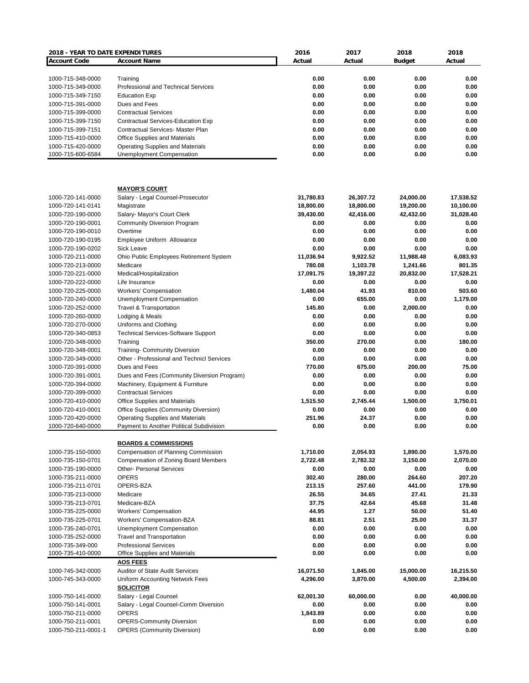| 2018 - YEAR TO DATE EXPENDITURES |                                                  | 2016      | 2017      | 2018          | 2018      |
|----------------------------------|--------------------------------------------------|-----------|-----------|---------------|-----------|
| <b>Account Code</b>              | <b>Account Name</b>                              | Actual    | Actual    | <b>Budget</b> | Actual    |
|                                  |                                                  |           |           |               |           |
| 1000-715-348-0000                | Training                                         | 0.00      | 0.00      | 0.00          | 0.00      |
| 1000-715-349-0000                | Professional and Technical Services              | 0.00      | 0.00      | 0.00          | 0.00      |
| 1000-715-349-7150                | <b>Education Exp</b>                             | 0.00      | 0.00      | 0.00          | 0.00      |
| 1000-715-391-0000                | Dues and Fees                                    | 0.00      | 0.00      | 0.00          | 0.00      |
| 1000-715-399-0000                | <b>Contractual Services</b>                      | 0.00      | 0.00      | 0.00          | 0.00      |
| 1000-715-399-7150                | Contractual Services-Education Exp               | 0.00      | 0.00      | 0.00          | 0.00      |
| 1000-715-399-7151                | <b>Contractual Services- Master Plan</b>         | 0.00      | 0.00      | 0.00          | 0.00      |
| 1000-715-410-0000                | <b>Office Supplies and Materials</b>             | 0.00      | 0.00      | 0.00          | 0.00      |
| 1000-715-420-0000                | <b>Operating Supplies and Materials</b>          | 0.00      | 0.00      | 0.00          | 0.00      |
| 1000-715-600-6584                | Unemployment Compensation                        | 0.00      | 0.00      | 0.00          | 0.00      |
|                                  |                                                  |           |           |               |           |
|                                  | <b>MAYOR'S COURT</b>                             |           |           |               |           |
| 1000-720-141-0000                | Salary - Legal Counsel-Prosecutor                | 31,780.83 | 26,307.72 | 24,000.00     | 17,538.52 |
| 1000-720-141-0141                | Magistrate                                       | 18,800.00 | 18,800.00 | 19,200.00     | 10,100.00 |
| 1000-720-190-0000                | Salary- Mayor's Court Clerk                      | 39,430.00 | 42,416.00 | 42,432.00     | 31,028.40 |
| 1000-720-190-0001                | <b>Community Diversion Program</b>               | 0.00      | 0.00      | 0.00          | 0.00      |
| 1000-720-190-0010                | Overtime                                         | 0.00      | 0.00      | 0.00          | 0.00      |
| 1000-720-190-0195                | Employee Uniform Allowance                       | 0.00      | 0.00      | 0.00          | 0.00      |
| 1000-720-190-0202                | <b>Sick Leave</b>                                | 0.00      | 0.00      | 0.00          | 0.00      |
| 1000-720-211-0000                | Ohio Public Employees Retirement System          | 11,036.94 | 9,922.52  | 11,988.48     | 6,083.93  |
| 1000-720-213-0000                | Medicare                                         | 780.08    | 1,103.78  | 1,241.66      | 801.35    |
| 1000-720-221-0000                | Medical/Hospitalization                          | 17,091.75 | 19,397.22 | 20,832.00     | 17,528.21 |
| 1000-720-222-0000                | Life Insurance                                   | 0.00      | 0.00      | 0.00          | 0.00      |
| 1000-720-225-0000                | <b>Workers' Compensation</b>                     | 1,480.04  | 41.93     | 810.00        | 503.60    |
|                                  |                                                  | 0.00      | 655.00    | 0.00          |           |
| 1000-720-240-0000                | Unemployment Compensation                        |           |           |               | 1,179.00  |
| 1000-720-252-0000                | <b>Travel &amp; Transportation</b>               | 145.80    | 0.00      | 2,000.00      | 0.00      |
| 1000-720-260-0000                | Lodging & Meals                                  | 0.00      | 0.00      | 0.00          | 0.00      |
| 1000-720-270-0000                | Uniforms and Clothing                            | 0.00      | 0.00      | 0.00          | 0.00      |
| 1000-720-340-0853                | <b>Technical Services-Software Support</b>       | 0.00      | 0.00      | 0.00          | 0.00      |
| 1000-720-348-0000                | Training                                         | 350.00    | 270.00    | 0.00          | 180.00    |
| 1000-720-348-0001                | <b>Training- Community Diversion</b>             | 0.00      | 0.00      | 0.00          | 0.00      |
| 1000-720-349-0000                | Other - Professional and Technicl Services       | 0.00      | 0.00      | 0.00          | 0.00      |
| 1000-720-391-0000                | Dues and Fees                                    | 770.00    | 675.00    | 200.00        | 75.00     |
| 1000-720-391-0001                | Dues and Fees (Community Diversion Program)      | 0.00      | 0.00      | 0.00          | 0.00      |
| 1000-720-394-0000                | Machinery, Equipment & Furniture                 | 0.00      | 0.00      | 0.00          | 0.00      |
| 1000-720-399-0000                | <b>Contractual Services</b>                      | 0.00      | 0.00      | 0.00          | 0.00      |
| 1000-720-410-0000                | Office Supplies and Materials                    | 1.515.50  | 2,745.44  | 1,500.00      | 3,750.01  |
| 1000-720-410-0001                | Office Supplies (Community Diversion)            | 0.00      | 0.00      | 0.00          | 0.00      |
| 1000-720-420-0000                | Operating Supplies and Materials                 | 251.96    | 24.37     | 0.00          | 0.00      |
| 1000-720-640-0000                | Payment to Another Political Subdivision         | 0.00      | 0.00      | 0.00          | 0.00      |
|                                  | <b>BOARDS &amp; COMMISSIONS</b>                  |           |           |               |           |
| 1000-735-150-0000                | Compensation of Planning Commission              | 1,710.00  | 2,054.93  | 1,890.00      | 1,570.00  |
| 1000-735-150-0701                |                                                  |           | 2,782.32  |               | 2,070.00  |
|                                  | Compensation of Zoning Board Members             | 2,722.48  |           | 3,150.00      |           |
| 1000-735-190-0000                | <b>Other- Personal Services</b>                  | 0.00      | 0.00      | 0.00          | 0.00      |
| 1000-735-211-0000                | <b>OPERS</b>                                     | 302.40    | 280.00    | 264.60        | 207.20    |
| 1000-735-211-0701                | OPERS-BZA                                        | 213.15    | 257.60    | 441.00        | 179.90    |
| 1000-735-213-0000                | Medicare                                         | 26.55     | 34.65     | 27.41         | 21.33     |
| 1000-735-213-0701                | Medicare-BZA                                     | 37.75     | 42.64     | 45.68         | 31.48     |
| 1000-735-225-0000                | <b>Workers' Compensation</b>                     | 44.95     | 1.27      | 50.00         | 51.40     |
| 1000-735-225-0701                | Workers' Compensation-BZA                        | 88.81     | 2.51      | 25.00         | 31.37     |
| 1000-735-240-0701                | <b>Unemployment Compensation</b>                 | 0.00      | 0.00      | 0.00          | 0.00      |
| 1000-735-252-0000                | <b>Travel and Transportation</b>                 | 0.00      | 0.00      | 0.00          | 0.00      |
| 1000-735-349-000                 | <b>Professional Services</b>                     | 0.00      | 0.00      | 0.00          | 0.00      |
| 1000-735-410-0000                | Office Supplies and Materials<br><b>AOS FEES</b> | 0.00      | 0.00      | 0.00          | 0.00      |
| 1000-745-342-0000                | <b>Auditor of State Audit Services</b>           | 16,071.50 | 1,845.00  | 15,000.00     | 16,215.50 |
| 1000-745-343-0000                | Uniform Accounting Network Fees                  | 4,296.00  | 3,870.00  | 4,500.00      | 2,394.00  |
|                                  | <b>SOLICITOR</b>                                 |           |           |               |           |
| 1000-750-141-0000                | Salary - Legal Counsel                           | 62,001.30 | 60,000.00 | 0.00          | 40,000.00 |
| 1000-750-141-0001                | Salary - Legal Counsel-Comm Diversion            | 0.00      | 0.00      | 0.00          | 0.00      |
| 1000-750-211-0000                | <b>OPERS</b>                                     | 1,843.89  | 0.00      | 0.00          | 0.00      |
| 1000-750-211-0001                | <b>OPERS-Community Diversion</b>                 | 0.00      | 0.00      | 0.00          | 0.00      |
| 1000-750-211-0001-1              | <b>OPERS (Community Diversion)</b>               | 0.00      | 0.00      | 0.00          | 0.00      |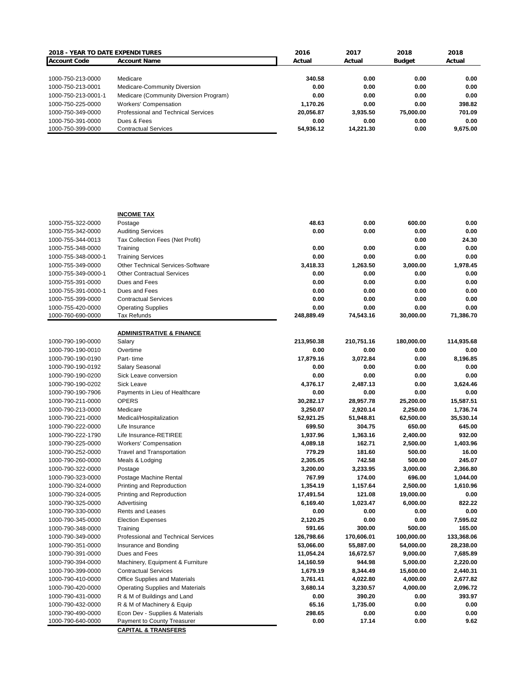| <b>2018 - YEAR TO DATE EXPENDITURES</b> |                                        | 2016      | 2017      | 2018      | 2018     |
|-----------------------------------------|----------------------------------------|-----------|-----------|-----------|----------|
| <b>Account Code</b>                     | <b>Account Name</b>                    | Actual    | Actual    | Budget    | Actual   |
|                                         |                                        |           |           |           |          |
| 1000-750-213-0000                       | Medicare                               | 340.58    | 0.00      | 0.00      | 0.00     |
| 1000-750-213-0001                       | Medicare-Community Diversion           | 0.00      | 0.00      | 0.00      | 0.00     |
| 1000-750-213-0001-1                     | Medicare (Community Diversion Program) | 0.00      | 0.00      | 0.00      | 0.00     |
| 1000-750-225-0000                       | <b>Workers' Compensation</b>           | 1.170.26  | 0.00      | 0.00      | 398.82   |
| 1000-750-349-0000                       | Professional and Technical Services    | 20.056.87 | 3.935.50  | 75,000,00 | 701.09   |
| 1000-750-391-0000                       | Dues & Fees                            | 0.00      | 0.00      | 0.00      | 0.00     |
| 1000-750-399-0000                       | <b>Contractual Services</b>            | 54.936.12 | 14.221.30 | 0.00      | 9.675.00 |

|                     | <b>INCOME TAX</b>                       |            |            |            |            |
|---------------------|-----------------------------------------|------------|------------|------------|------------|
| 1000-755-322-0000   | Postage                                 | 48.63      | 0.00       | 600.00     | 0.00       |
| 1000-755-342-0000   | <b>Auditing Services</b>                | 0.00       | 0.00       | 0.00       | 0.00       |
| 1000-755-344-0013   | Tax Collection Fees (Net Profit)        |            |            | 0.00       | 24.30      |
| 1000-755-348-0000   | Training                                | 0.00       | 0.00       | 0.00       | 0.00       |
| 1000-755-348-0000-1 | <b>Training Services</b>                | 0.00       | 0.00       | 0.00       | 0.00       |
| 1000-755-349-0000   | Other Technical Services-Software       | 3,418.33   | 1,263.50   | 3,000.00   | 1,978.45   |
| 1000-755-349-0000-1 | <b>Other Contractual Services</b>       | 0.00       | 0.00       | 0.00       | 0.00       |
| 1000-755-391-0000   | Dues and Fees                           | 0.00       | 0.00       | 0.00       | 0.00       |
| 1000-755-391-0000-1 | Dues and Fees                           | 0.00       | 0.00       | 0.00       | 0.00       |
| 1000-755-399-0000   | <b>Contractual Services</b>             | 0.00       | 0.00       | 0.00       | 0.00       |
| 1000-755-420-0000   | <b>Operating Supplies</b>               | 0.00       | 0.00       | 0.00       | 0.00       |
| 1000-760-690-0000   | <b>Tax Refunds</b>                      | 248,889.49 | 74,543.16  | 30,000.00  | 71,386.70  |
|                     |                                         |            |            |            |            |
| 1000-790-190-0000   | <b>ADMINISTRATIVE &amp; FINANCE</b>     |            |            |            |            |
|                     | Salary                                  | 213,950.38 | 210,751.16 | 180,000.00 | 114,935.68 |
| 1000-790-190-0010   | Overtime                                | 0.00       | 0.00       | 0.00       | 0.00       |
| 1000-790-190-0190   | Part-time                               | 17,879.16  | 3,072.84   | 0.00       | 8,196.85   |
| 1000-790-190-0192   | Salary Seasonal                         | 0.00       | 0.00       | 0.00       | 0.00       |
| 1000-790-190-0200   | Sick Leave conversion                   | 0.00       | 0.00       | 0.00       | 0.00       |
| 1000-790-190-0202   | <b>Sick Leave</b>                       | 4,376.17   | 2,487.13   | 0.00       | 3.624.46   |
| 1000-790-190-7906   | Payments in Lieu of Healthcare          | 0.00       | 0.00       | 0.00       | 0.00       |
| 1000-790-211-0000   | <b>OPERS</b>                            | 30,282.17  | 28,957.78  | 25,200.00  | 15,587.51  |
| 1000-790-213-0000   | Medicare                                | 3,250.07   | 2,920.14   | 2,250.00   | 1,736.74   |
| 1000-790-221-0000   | Medical/Hospitalization                 | 52,921.25  | 51,948.81  | 62,500.00  | 35,530.14  |
| 1000-790-222-0000   | Life Insurance                          | 699.50     | 304.75     | 650.00     | 645.00     |
| 1000-790-222-1790   | Life Insurance-RETIREE                  | 1,937.96   | 1,363.16   | 2,400.00   | 932.00     |
| 1000-790-225-0000   | <b>Workers' Compensation</b>            | 4,089.18   | 162.71     | 2,500.00   | 1,403.96   |
| 1000-790-252-0000   | <b>Travel and Transportation</b>        | 779.29     | 181.60     | 500.00     | 16.00      |
| 1000-790-260-0000   | Meals & Lodging                         | 2,305.05   | 742.58     | 500.00     | 245.07     |
| 1000-790-322-0000   | Postage                                 | 3,200.00   | 3,233.95   | 3,000.00   | 2.366.80   |
| 1000-790-323-0000   | Postage Machine Rental                  | 767.99     | 174.00     | 696.00     | 1,044.00   |
| 1000-790-324-0000   | Printing and Reproduction               | 1,354.19   | 1,157.64   | 2,500.00   | 1,610.96   |
| 1000-790-324-0005   | Printing and Reproduction               | 17,491.54  | 121.08     | 19,000.00  | 0.00       |
| 1000-790-325-0000   | Advertising                             | 6,169.40   | 1,023.47   | 6,000.00   | 822.22     |
| 1000-790-330-0000   | Rents and Leases                        | 0.00       | 0.00       | 0.00       | 0.00       |
| 1000-790-345-0000   | <b>Election Expenses</b>                | 2,120.25   | 0.00       | 0.00       | 7,595.02   |
| 1000-790-348-0000   | Training                                | 591.66     | 300.00     | 500.00     | 165.00     |
| 1000-790-349-0000   | Professional and Technical Services     | 126,798.66 | 170,606.01 | 100,000.00 | 133,368.06 |
| 1000-790-351-0000   | Insurance and Bonding                   | 53,066.00  | 55,887.00  | 54,000.00  | 28,238.00  |
| 1000-790-391-0000   | Dues and Fees                           | 11,054.24  | 16,672.57  | 9,000.00   | 7,685.89   |
| 1000-790-394-0000   | Machinery, Equipment & Furniture        | 14,160.59  | 944.98     | 5,000.00   | 2,220.00   |
| 1000-790-399-0000   | <b>Contractual Services</b>             | 1,679.19   | 8,344.49   | 15,600.00  | 2,440.31   |
| 1000-790-410-0000   | Office Supplies and Materials           | 3,761.41   | 4,022.80   | 4,000.00   | 2,677.82   |
| 1000-790-420-0000   | <b>Operating Supplies and Materials</b> | 3,680.14   | 3,230.57   | 4,000.00   | 2,096.72   |
| 1000-790-431-0000   | R & M of Buildings and Land             | 0.00       | 390.20     | 0.00       | 393.97     |
| 1000-790-432-0000   | R & M of Machinery & Equip              | 65.16      | 1,735.00   | 0.00       | 0.00       |
| 1000-790-490-0000   | Econ Dev - Supplies & Materials         | 298.65     | 0.00       | 0.00       | 0.00       |
| 1000-790-640-0000   | Payment to County Treasurer             | 0.00       | 17.14      | 0.00       | 9.62       |
|                     | <b>CAPITAL &amp; TRANSFERS</b>          |            |            |            |            |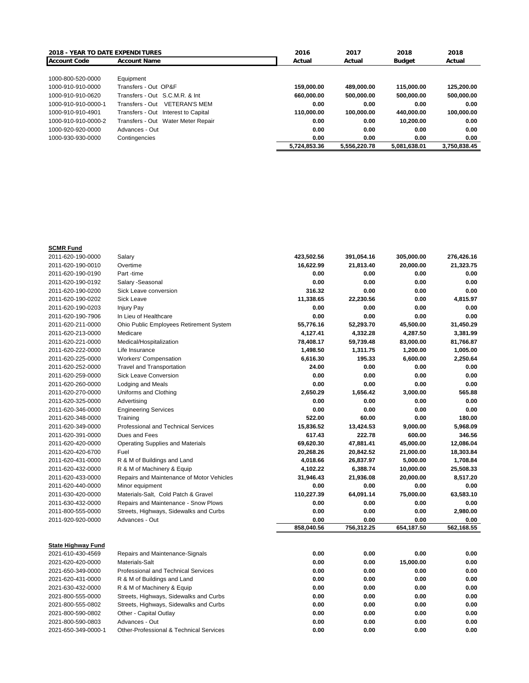| <b>2018 - YEAR TO DATE EXPENDITURES</b> |                                         | 2016         | 2017         | 2018          | 2018         |
|-----------------------------------------|-----------------------------------------|--------------|--------------|---------------|--------------|
| <b>Account Code</b>                     | <b>Account Name</b>                     | Actual       | Actual       | <b>Budget</b> | Actual       |
|                                         |                                         |              |              |               |              |
| 1000-800-520-0000                       | Equipment                               |              |              |               |              |
| 1000-910-910-0000                       | Transfers - Out OP&F                    | 159.000.00   | 489.000.00   | 115.000.00    | 125.200.00   |
| 1000-910-910-0620                       | Transfers - Out S.C.M.R. & Int          | 660.000.00   | 500.000.00   | 500.000.00    | 500.000.00   |
| 1000-910-910-0000-1                     | Transfers - Out<br><b>VETERAN'S MEM</b> | 0.00         | 0.00         | 0.00          | 0.00         |
| 1000-910-910-4901                       | Transfers - Out Interest to Capital     | 110.000.00   | 100.000.00   | 440.000.00    | 100.000.00   |
| 1000-910-910-0000-2                     | Transfers - Out Water Meter Repair      | 0.00         | 0.00         | 10.200.00     | 0.00         |
| 1000-920-920-0000                       | Advances - Out                          | 0.00         | 0.00         | 0.00          | 0.00         |
| 1000-930-930-0000                       | Contingencies                           | 0.00         | 0.00         | 0.00          | 0.00         |
|                                         |                                         | 5,724,853.36 | 5.556.220.78 | 5.081.638.01  | 3.750.838.45 |

| <b>SCMR Fund</b>                               |                                                                      |              |              |                   |              |
|------------------------------------------------|----------------------------------------------------------------------|--------------|--------------|-------------------|--------------|
| 2011-620-190-0000                              | Salary                                                               | 423,502.56   | 391,054.16   | 305,000.00        | 276,426.16   |
| 2011-620-190-0010                              | Overtime                                                             | 16,622.99    | 21,813.40    | 20,000.00         | 21,323.75    |
| 2011-620-190-0190                              | Part -time                                                           | 0.00         | 0.00         | 0.00              | 0.00         |
| 2011-620-190-0192                              | Salary - Seasonal                                                    | 0.00         | 0.00         | 0.00              | 0.00         |
| 2011-620-190-0200                              | Sick Leave conversion                                                | 316.32       | 0.00         | 0.00              | 0.00         |
| 2011-620-190-0202                              | <b>Sick Leave</b>                                                    | 11,338.65    | 22,230.56    | 0.00              | 4,815.97     |
| 2011-620-190-0203                              | <b>Injury Pay</b>                                                    | 0.00         | 0.00         | 0.00              | 0.00         |
| 2011-620-190-7906                              | In Lieu of Healthcare                                                | 0.00         | 0.00         | 0.00              | 0.00         |
| 2011-620-211-0000                              | Ohio Public Employees Retirement System                              | 55,776.16    | 52,293.70    | 45,500.00         | 31,450.29    |
| 2011-620-213-0000                              | Medicare                                                             | 4,127.41     | 4,332.28     | 4,287.50          | 3,381.99     |
| 2011-620-221-0000                              | Medical/Hospitalization                                              | 78,408.17    | 59,739.48    | 83,000.00         | 81,766.87    |
| 2011-620-222-0000                              | Life Insurance                                                       | 1,498.50     | 1,311.75     | 1,200.00          | 1,005.00     |
| 2011-620-225-0000                              | <b>Workers' Compensation</b>                                         | 6,616.30     | 195.33       | 6,600.00          | 2,250.64     |
| 2011-620-252-0000                              | <b>Travel and Transportation</b>                                     | 24.00        | 0.00         | 0.00              | 0.00         |
| 2011-620-259-0000                              | <b>Sick Leave Conversion</b>                                         | 0.00         | 0.00         | 0.00              | 0.00         |
| 2011-620-260-0000                              | Lodging and Meals                                                    | 0.00         | 0.00         | 0.00              | 0.00         |
| 2011-620-270-0000                              | Uniforms and Clothing                                                | 2,650.29     | 1,656.42     | 3,000.00          | 565.88       |
| 2011-620-325-0000                              | Advertising                                                          | 0.00         | 0.00         | 0.00              | 0.00         |
| 2011-620-346-0000                              | <b>Engineering Services</b>                                          | 0.00         | 0.00         | 0.00              | 0.00         |
| 2011-620-348-0000                              | Training                                                             | 522.00       | 60.00        | 0.00              | 180.00       |
| 2011-620-349-0000                              | Professional and Technical Services                                  | 15,836.52    | 13,424.53    | 9,000.00          | 5,968.09     |
| 2011-620-391-0000                              | Dues and Fees                                                        | 617.43       | 222.78       | 600.00            | 346.56       |
| 2011-620-420-0000                              | <b>Operating Supplies and Materials</b>                              | 69,620.30    | 47,881.41    | 45,000.00         | 12,086.04    |
| 2011-620-420-6700                              | Fuel                                                                 | 20,268.26    | 20,842.52    | 21,000.00         | 18,303.84    |
| 2011-620-431-0000                              | R & M of Buildings and Land                                          | 4,018.66     | 26,837.97    | 5,000.00          | 1,708.84     |
| 2011-620-432-0000                              | R & M of Machinery & Equip                                           | 4,102.22     | 6,388.74     | 10,000.00         | 25,508.33    |
| 2011-620-433-0000                              | Repairs and Maintenance of Motor Vehicles                            | 31,946.43    | 21,936.08    | 20,000.00         | 8,517.20     |
| 2011-620-440-0000                              | Minor equipment                                                      | 0.00         | 0.00         | 0.00              | 0.00         |
| 2011-630-420-0000                              | Materials-Salt, Cold Patch & Gravel                                  | 110,227.39   | 64,091.14    | 75,000.00         | 63,583.10    |
| 2011-630-432-0000                              | Repairs and Maintenance - Snow Plows                                 | 0.00         | 0.00         | 0.00              | 0.00         |
| 2011-800-555-0000                              | Streets, Highways, Sidewalks and Curbs                               | 0.00         | 0.00         | 0.00              | 2,980.00     |
| 2011-920-920-0000                              | Advances - Out                                                       | 0.00         | 0.00         | 0.00              | 0.00         |
|                                                |                                                                      | 858,040.56   | 756,312.25   | 654,187.50        | 562,168.55   |
|                                                |                                                                      |              |              |                   |              |
| <b>State Highway Fund</b><br>2021-610-430-4569 |                                                                      | 0.00         | 0.00         | 0.00              | 0.00         |
|                                                | Repairs and Maintenance-Signals<br>Materials-Salt                    | 0.00         | 0.00         |                   | 0.00         |
| 2021-620-420-0000                              | Professional and Technical Services                                  | 0.00         | 0.00         | 15,000.00<br>0.00 | 0.00         |
| 2021-650-349-0000                              |                                                                      |              |              |                   |              |
| 2021-620-431-0000                              | R & M of Buildings and Land                                          | 0.00         | 0.00         | 0.00              | 0.00         |
| 2021-630-432-0000                              | R & M of Machinery & Equip<br>Streets, Highways, Sidewalks and Curbs | 0.00<br>0.00 | 0.00<br>0.00 | 0.00<br>0.00      | 0.00<br>0.00 |
| 2021-800-555-0000<br>2021-800-555-0802         |                                                                      | 0.00         | 0.00         | 0.00              | 0.00         |
|                                                | Streets, Highways, Sidewalks and Curbs                               |              |              |                   |              |
| 2021-800-590-0802                              | Other - Capital Outlay                                               | 0.00         | 0.00         | 0.00              | 0.00         |
| 2021-800-590-0803                              | Advances - Out                                                       | 0.00         | 0.00         | 0.00              | 0.00         |
| 2021-650-349-0000-1                            | Other-Professional & Technical Services                              | 0.00         | 0.00         | 0.00              | 0.00         |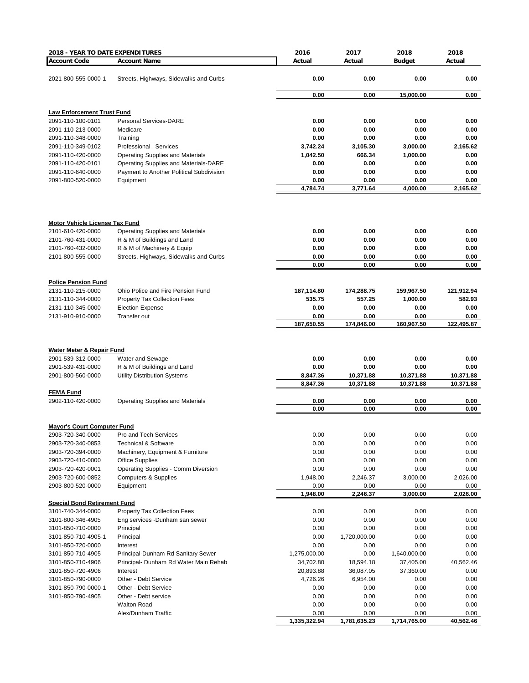| <b>Account Code</b><br>Actual<br><b>Budget</b><br>Actual<br><b>Account Name</b><br>Actual<br>Streets, Highways, Sidewalks and Curbs<br>0.00<br>0.00<br>0.00<br>0.00<br>2021-800-555-0000-1<br>0.00<br>0.00<br>15,000.00<br>0.00<br><b>Law Enforcement Trust Fund</b><br><b>Personal Services-DARE</b><br>0.00<br>0.00<br>0.00<br>0.00<br>2091-110-100-0101<br>Medicare<br>0.00<br>0.00<br>0.00<br>0.00<br>2091-110-213-0000<br>Training<br>0.00<br>0.00<br>0.00<br>2091-110-348-0000<br>0.00<br>Professional Services<br>3,742.24<br>3,105.30<br>3,000.00<br>2,165.62<br>2091-110-349-0102<br><b>Operating Supplies and Materials</b><br>1,042.50<br>666.34<br>1,000.00<br>0.00<br>2091-110-420-0000<br>0.00<br>Operating Supplies and Materials-DARE<br>0.00<br>0.00<br>0.00<br>2091-110-420-0101<br>0.00<br>2091-110-640-0000<br>Payment to Another Political Subdivision<br>0.00<br>0.00<br>0.00<br>0.00<br>Equipment<br>0.00<br>0.00<br>0.00<br>2091-800-520-0000<br>4,784.74<br>3,771.64<br>4,000.00<br>2,165.62<br><b>Motor Vehicle License Tax Fund</b><br>2101-610-420-0000<br><b>Operating Supplies and Materials</b><br>0.00<br>0.00<br>0.00<br>0.00<br>0.00<br>R & M of Buildings and Land<br>0.00<br>0.00<br>0.00<br>2101-760-431-0000<br>2101-760-432-0000<br>R & M of Machinery & Equip<br>0.00<br>0.00<br>0.00<br>0.00<br>0.00<br>Streets, Highways, Sidewalks and Curbs<br>0.00<br>0.00<br>0.00<br>2101-800-555-0000<br>0.00<br>0.00<br>0.00<br>0.00<br><b>Police Pension Fund</b><br>2131-110-215-0000<br>Ohio Police and Fire Pension Fund<br>187,114.80<br>174,288.75<br>159,967.50<br>121,912.94<br>557.25<br>582.93<br>535.75<br>1,000.00<br>2131-110-344-0000<br><b>Property Tax Collection Fees</b><br>2131-110-345-0000<br><b>Election Expense</b><br>0.00<br>0.00<br>0.00<br>0.00<br>Transfer out<br>0.00<br>0.00<br>0.00<br>0.00<br>2131-910-910-0000<br>187,650.55<br>174,846.00<br>160,967.50<br>122,495.87<br>Water Meter & Repair Fund<br>0.00<br>0.00<br>0.00<br>0.00<br>2901-539-312-0000<br>Water and Sewage<br>0.00<br>R & M of Buildings and Land<br>0.00<br>0.00<br>0.00<br>2901-539-431-0000<br>2901-800-560-0000<br><b>Utility Distribution Systems</b><br>8,847.36<br>10,371.88<br>10,371.88<br>10,371.88<br>8,847.36<br>10,371.88<br>10,371.88<br>10,371.88<br><b>FEMA Fund</b><br>0.00<br>0.00<br>0.00<br>0.00<br>2902-110-420-0000<br><b>Operating Supplies and Materials</b><br>0.00<br>0.00<br>0.00<br>0.00<br><b>Mayor's Court Computer Fund</b><br>2903-720-340-0000 Pro and Tech Services<br>0.00<br>0.00<br>0.00<br>0.00<br>0.00<br>0.00<br>2903-720-340-0853<br><b>Technical &amp; Software</b><br>0.00<br>0.00<br>0.00<br>0.00<br>0.00<br>2903-720-394-0000<br>Machinery, Equipment & Furniture<br>0.00<br>2903-720-410-0000<br><b>Office Supplies</b><br>0.00<br>0.00<br>0.00<br>0.00<br>Operating Supplies - Comm Diversion<br>0.00<br>0.00<br>0.00<br>0.00<br>2903-720-420-0001<br><b>Computers &amp; Supplies</b><br>1,948.00<br>2,246.37<br>3,000.00<br>2,026.00<br>2903-720-600-0852<br>2903-800-520-0000<br>0.00<br>Equipment<br>0.00<br>0.00<br>0.00<br>1,948.00<br>2,246.37<br>3,000.00<br>2,026.00<br><b>Special Bond Retirement Fund</b><br>3101-740-344-0000<br><b>Property Tax Collection Fees</b><br>0.00<br>0.00<br>0.00<br>0.00<br>3101-800-346-4905<br>0.00<br>0.00<br>0.00<br>0.00<br>Eng services -Dunham san sewer<br>0.00<br>0.00<br>3101-850-710-0000<br>Principal<br>0.00<br>0.00<br>Principal<br>1,720,000.00<br>0.00<br>0.00<br>3101-850-710-4905-1<br>0.00<br>3101-850-720-0000<br>0.00<br>0.00<br>0.00<br>0.00<br>Interest<br>3101-850-710-4905<br>Principal-Dunham Rd Sanitary Sewer<br>1,275,000.00<br>0.00<br>1,640,000.00<br>0.00<br>Principal- Dunham Rd Water Main Rehab<br>34,702.80<br>18,594.18<br>37,405.00<br>40,562.46<br>3101-850-710-4906<br>0.00<br>3101-850-720-4906<br>Interest<br>20,893.88<br>36,087.05<br>37,360.00<br>3101-850-790-0000<br>Other - Debt Service<br>4,726.26<br>6,954.00<br>0.00<br>0.00<br>3101-850-790-0000-1<br>0.00<br>0.00<br>Other - Debt Service<br>0.00<br>0.00<br>3101-850-790-4905<br>Other - Debt service<br>0.00<br>0.00<br>0.00<br>0.00<br><b>Walton Road</b><br>0.00<br>0.00<br>0.00<br>0.00<br>Alex/Dunham Traffic<br>0.00<br>0.00<br>0.00<br>0.00<br>1,335,322.94<br>1,781,635.23<br>1,714,765.00<br>40,562.46 | 2018 - YEAR TO DATE EXPENDITURES | 2016 | 2017 | 2018 | 2018 |
|-------------------------------------------------------------------------------------------------------------------------------------------------------------------------------------------------------------------------------------------------------------------------------------------------------------------------------------------------------------------------------------------------------------------------------------------------------------------------------------------------------------------------------------------------------------------------------------------------------------------------------------------------------------------------------------------------------------------------------------------------------------------------------------------------------------------------------------------------------------------------------------------------------------------------------------------------------------------------------------------------------------------------------------------------------------------------------------------------------------------------------------------------------------------------------------------------------------------------------------------------------------------------------------------------------------------------------------------------------------------------------------------------------------------------------------------------------------------------------------------------------------------------------------------------------------------------------------------------------------------------------------------------------------------------------------------------------------------------------------------------------------------------------------------------------------------------------------------------------------------------------------------------------------------------------------------------------------------------------------------------------------------------------------------------------------------------------------------------------------------------------------------------------------------------------------------------------------------------------------------------------------------------------------------------------------------------------------------------------------------------------------------------------------------------------------------------------------------------------------------------------------------------------------------------------------------------------------------------------------------------------------------------------------------------------------------------------------------------------------------------------------------------------------------------------------------------------------------------------------------------------------------------------------------------------------------------------------------------------------------------------------------------------------------------------------------------------------------------------------------------------------------------------------------------------------------------------------------------------------------------------------------------------------------------------------------------------------------------------------------------------------------------------------------------------------------------------------------------------------------------------------------------------------------------------------------------------------------------------------------------------------------------------------------------------------------------------------------------------------------------------------------------------------------------------------------------------------------------------------------------------------------------------------------------------------------------------------------------------------------------------------------------------------------------------------------------------------------------------------------------------------------------------------------------------------------------------------------------------------------------------------------------------------------------------------------------------------------------|----------------------------------|------|------|------|------|
|                                                                                                                                                                                                                                                                                                                                                                                                                                                                                                                                                                                                                                                                                                                                                                                                                                                                                                                                                                                                                                                                                                                                                                                                                                                                                                                                                                                                                                                                                                                                                                                                                                                                                                                                                                                                                                                                                                                                                                                                                                                                                                                                                                                                                                                                                                                                                                                                                                                                                                                                                                                                                                                                                                                                                                                                                                                                                                                                                                                                                                                                                                                                                                                                                                                                                                                                                                                                                                                                                                                                                                                                                                                                                                                                                                                                                                                                                                                                                                                                                                                                                                                                                                                                                                                                                                                                                 |                                  |      |      |      |      |
|                                                                                                                                                                                                                                                                                                                                                                                                                                                                                                                                                                                                                                                                                                                                                                                                                                                                                                                                                                                                                                                                                                                                                                                                                                                                                                                                                                                                                                                                                                                                                                                                                                                                                                                                                                                                                                                                                                                                                                                                                                                                                                                                                                                                                                                                                                                                                                                                                                                                                                                                                                                                                                                                                                                                                                                                                                                                                                                                                                                                                                                                                                                                                                                                                                                                                                                                                                                                                                                                                                                                                                                                                                                                                                                                                                                                                                                                                                                                                                                                                                                                                                                                                                                                                                                                                                                                                 |                                  |      |      |      |      |
|                                                                                                                                                                                                                                                                                                                                                                                                                                                                                                                                                                                                                                                                                                                                                                                                                                                                                                                                                                                                                                                                                                                                                                                                                                                                                                                                                                                                                                                                                                                                                                                                                                                                                                                                                                                                                                                                                                                                                                                                                                                                                                                                                                                                                                                                                                                                                                                                                                                                                                                                                                                                                                                                                                                                                                                                                                                                                                                                                                                                                                                                                                                                                                                                                                                                                                                                                                                                                                                                                                                                                                                                                                                                                                                                                                                                                                                                                                                                                                                                                                                                                                                                                                                                                                                                                                                                                 |                                  |      |      |      |      |
|                                                                                                                                                                                                                                                                                                                                                                                                                                                                                                                                                                                                                                                                                                                                                                                                                                                                                                                                                                                                                                                                                                                                                                                                                                                                                                                                                                                                                                                                                                                                                                                                                                                                                                                                                                                                                                                                                                                                                                                                                                                                                                                                                                                                                                                                                                                                                                                                                                                                                                                                                                                                                                                                                                                                                                                                                                                                                                                                                                                                                                                                                                                                                                                                                                                                                                                                                                                                                                                                                                                                                                                                                                                                                                                                                                                                                                                                                                                                                                                                                                                                                                                                                                                                                                                                                                                                                 |                                  |      |      |      |      |
|                                                                                                                                                                                                                                                                                                                                                                                                                                                                                                                                                                                                                                                                                                                                                                                                                                                                                                                                                                                                                                                                                                                                                                                                                                                                                                                                                                                                                                                                                                                                                                                                                                                                                                                                                                                                                                                                                                                                                                                                                                                                                                                                                                                                                                                                                                                                                                                                                                                                                                                                                                                                                                                                                                                                                                                                                                                                                                                                                                                                                                                                                                                                                                                                                                                                                                                                                                                                                                                                                                                                                                                                                                                                                                                                                                                                                                                                                                                                                                                                                                                                                                                                                                                                                                                                                                                                                 |                                  |      |      |      |      |
|                                                                                                                                                                                                                                                                                                                                                                                                                                                                                                                                                                                                                                                                                                                                                                                                                                                                                                                                                                                                                                                                                                                                                                                                                                                                                                                                                                                                                                                                                                                                                                                                                                                                                                                                                                                                                                                                                                                                                                                                                                                                                                                                                                                                                                                                                                                                                                                                                                                                                                                                                                                                                                                                                                                                                                                                                                                                                                                                                                                                                                                                                                                                                                                                                                                                                                                                                                                                                                                                                                                                                                                                                                                                                                                                                                                                                                                                                                                                                                                                                                                                                                                                                                                                                                                                                                                                                 |                                  |      |      |      |      |
|                                                                                                                                                                                                                                                                                                                                                                                                                                                                                                                                                                                                                                                                                                                                                                                                                                                                                                                                                                                                                                                                                                                                                                                                                                                                                                                                                                                                                                                                                                                                                                                                                                                                                                                                                                                                                                                                                                                                                                                                                                                                                                                                                                                                                                                                                                                                                                                                                                                                                                                                                                                                                                                                                                                                                                                                                                                                                                                                                                                                                                                                                                                                                                                                                                                                                                                                                                                                                                                                                                                                                                                                                                                                                                                                                                                                                                                                                                                                                                                                                                                                                                                                                                                                                                                                                                                                                 |                                  |      |      |      |      |
|                                                                                                                                                                                                                                                                                                                                                                                                                                                                                                                                                                                                                                                                                                                                                                                                                                                                                                                                                                                                                                                                                                                                                                                                                                                                                                                                                                                                                                                                                                                                                                                                                                                                                                                                                                                                                                                                                                                                                                                                                                                                                                                                                                                                                                                                                                                                                                                                                                                                                                                                                                                                                                                                                                                                                                                                                                                                                                                                                                                                                                                                                                                                                                                                                                                                                                                                                                                                                                                                                                                                                                                                                                                                                                                                                                                                                                                                                                                                                                                                                                                                                                                                                                                                                                                                                                                                                 |                                  |      |      |      |      |
|                                                                                                                                                                                                                                                                                                                                                                                                                                                                                                                                                                                                                                                                                                                                                                                                                                                                                                                                                                                                                                                                                                                                                                                                                                                                                                                                                                                                                                                                                                                                                                                                                                                                                                                                                                                                                                                                                                                                                                                                                                                                                                                                                                                                                                                                                                                                                                                                                                                                                                                                                                                                                                                                                                                                                                                                                                                                                                                                                                                                                                                                                                                                                                                                                                                                                                                                                                                                                                                                                                                                                                                                                                                                                                                                                                                                                                                                                                                                                                                                                                                                                                                                                                                                                                                                                                                                                 |                                  |      |      |      |      |
|                                                                                                                                                                                                                                                                                                                                                                                                                                                                                                                                                                                                                                                                                                                                                                                                                                                                                                                                                                                                                                                                                                                                                                                                                                                                                                                                                                                                                                                                                                                                                                                                                                                                                                                                                                                                                                                                                                                                                                                                                                                                                                                                                                                                                                                                                                                                                                                                                                                                                                                                                                                                                                                                                                                                                                                                                                                                                                                                                                                                                                                                                                                                                                                                                                                                                                                                                                                                                                                                                                                                                                                                                                                                                                                                                                                                                                                                                                                                                                                                                                                                                                                                                                                                                                                                                                                                                 |                                  |      |      |      |      |
|                                                                                                                                                                                                                                                                                                                                                                                                                                                                                                                                                                                                                                                                                                                                                                                                                                                                                                                                                                                                                                                                                                                                                                                                                                                                                                                                                                                                                                                                                                                                                                                                                                                                                                                                                                                                                                                                                                                                                                                                                                                                                                                                                                                                                                                                                                                                                                                                                                                                                                                                                                                                                                                                                                                                                                                                                                                                                                                                                                                                                                                                                                                                                                                                                                                                                                                                                                                                                                                                                                                                                                                                                                                                                                                                                                                                                                                                                                                                                                                                                                                                                                                                                                                                                                                                                                                                                 |                                  |      |      |      |      |
|                                                                                                                                                                                                                                                                                                                                                                                                                                                                                                                                                                                                                                                                                                                                                                                                                                                                                                                                                                                                                                                                                                                                                                                                                                                                                                                                                                                                                                                                                                                                                                                                                                                                                                                                                                                                                                                                                                                                                                                                                                                                                                                                                                                                                                                                                                                                                                                                                                                                                                                                                                                                                                                                                                                                                                                                                                                                                                                                                                                                                                                                                                                                                                                                                                                                                                                                                                                                                                                                                                                                                                                                                                                                                                                                                                                                                                                                                                                                                                                                                                                                                                                                                                                                                                                                                                                                                 |                                  |      |      |      |      |
|                                                                                                                                                                                                                                                                                                                                                                                                                                                                                                                                                                                                                                                                                                                                                                                                                                                                                                                                                                                                                                                                                                                                                                                                                                                                                                                                                                                                                                                                                                                                                                                                                                                                                                                                                                                                                                                                                                                                                                                                                                                                                                                                                                                                                                                                                                                                                                                                                                                                                                                                                                                                                                                                                                                                                                                                                                                                                                                                                                                                                                                                                                                                                                                                                                                                                                                                                                                                                                                                                                                                                                                                                                                                                                                                                                                                                                                                                                                                                                                                                                                                                                                                                                                                                                                                                                                                                 |                                  |      |      |      |      |
|                                                                                                                                                                                                                                                                                                                                                                                                                                                                                                                                                                                                                                                                                                                                                                                                                                                                                                                                                                                                                                                                                                                                                                                                                                                                                                                                                                                                                                                                                                                                                                                                                                                                                                                                                                                                                                                                                                                                                                                                                                                                                                                                                                                                                                                                                                                                                                                                                                                                                                                                                                                                                                                                                                                                                                                                                                                                                                                                                                                                                                                                                                                                                                                                                                                                                                                                                                                                                                                                                                                                                                                                                                                                                                                                                                                                                                                                                                                                                                                                                                                                                                                                                                                                                                                                                                                                                 |                                  |      |      |      |      |
|                                                                                                                                                                                                                                                                                                                                                                                                                                                                                                                                                                                                                                                                                                                                                                                                                                                                                                                                                                                                                                                                                                                                                                                                                                                                                                                                                                                                                                                                                                                                                                                                                                                                                                                                                                                                                                                                                                                                                                                                                                                                                                                                                                                                                                                                                                                                                                                                                                                                                                                                                                                                                                                                                                                                                                                                                                                                                                                                                                                                                                                                                                                                                                                                                                                                                                                                                                                                                                                                                                                                                                                                                                                                                                                                                                                                                                                                                                                                                                                                                                                                                                                                                                                                                                                                                                                                                 |                                  |      |      |      |      |
|                                                                                                                                                                                                                                                                                                                                                                                                                                                                                                                                                                                                                                                                                                                                                                                                                                                                                                                                                                                                                                                                                                                                                                                                                                                                                                                                                                                                                                                                                                                                                                                                                                                                                                                                                                                                                                                                                                                                                                                                                                                                                                                                                                                                                                                                                                                                                                                                                                                                                                                                                                                                                                                                                                                                                                                                                                                                                                                                                                                                                                                                                                                                                                                                                                                                                                                                                                                                                                                                                                                                                                                                                                                                                                                                                                                                                                                                                                                                                                                                                                                                                                                                                                                                                                                                                                                                                 |                                  |      |      |      |      |
|                                                                                                                                                                                                                                                                                                                                                                                                                                                                                                                                                                                                                                                                                                                                                                                                                                                                                                                                                                                                                                                                                                                                                                                                                                                                                                                                                                                                                                                                                                                                                                                                                                                                                                                                                                                                                                                                                                                                                                                                                                                                                                                                                                                                                                                                                                                                                                                                                                                                                                                                                                                                                                                                                                                                                                                                                                                                                                                                                                                                                                                                                                                                                                                                                                                                                                                                                                                                                                                                                                                                                                                                                                                                                                                                                                                                                                                                                                                                                                                                                                                                                                                                                                                                                                                                                                                                                 |                                  |      |      |      |      |
|                                                                                                                                                                                                                                                                                                                                                                                                                                                                                                                                                                                                                                                                                                                                                                                                                                                                                                                                                                                                                                                                                                                                                                                                                                                                                                                                                                                                                                                                                                                                                                                                                                                                                                                                                                                                                                                                                                                                                                                                                                                                                                                                                                                                                                                                                                                                                                                                                                                                                                                                                                                                                                                                                                                                                                                                                                                                                                                                                                                                                                                                                                                                                                                                                                                                                                                                                                                                                                                                                                                                                                                                                                                                                                                                                                                                                                                                                                                                                                                                                                                                                                                                                                                                                                                                                                                                                 |                                  |      |      |      |      |
|                                                                                                                                                                                                                                                                                                                                                                                                                                                                                                                                                                                                                                                                                                                                                                                                                                                                                                                                                                                                                                                                                                                                                                                                                                                                                                                                                                                                                                                                                                                                                                                                                                                                                                                                                                                                                                                                                                                                                                                                                                                                                                                                                                                                                                                                                                                                                                                                                                                                                                                                                                                                                                                                                                                                                                                                                                                                                                                                                                                                                                                                                                                                                                                                                                                                                                                                                                                                                                                                                                                                                                                                                                                                                                                                                                                                                                                                                                                                                                                                                                                                                                                                                                                                                                                                                                                                                 |                                  |      |      |      |      |
|                                                                                                                                                                                                                                                                                                                                                                                                                                                                                                                                                                                                                                                                                                                                                                                                                                                                                                                                                                                                                                                                                                                                                                                                                                                                                                                                                                                                                                                                                                                                                                                                                                                                                                                                                                                                                                                                                                                                                                                                                                                                                                                                                                                                                                                                                                                                                                                                                                                                                                                                                                                                                                                                                                                                                                                                                                                                                                                                                                                                                                                                                                                                                                                                                                                                                                                                                                                                                                                                                                                                                                                                                                                                                                                                                                                                                                                                                                                                                                                                                                                                                                                                                                                                                                                                                                                                                 |                                  |      |      |      |      |
|                                                                                                                                                                                                                                                                                                                                                                                                                                                                                                                                                                                                                                                                                                                                                                                                                                                                                                                                                                                                                                                                                                                                                                                                                                                                                                                                                                                                                                                                                                                                                                                                                                                                                                                                                                                                                                                                                                                                                                                                                                                                                                                                                                                                                                                                                                                                                                                                                                                                                                                                                                                                                                                                                                                                                                                                                                                                                                                                                                                                                                                                                                                                                                                                                                                                                                                                                                                                                                                                                                                                                                                                                                                                                                                                                                                                                                                                                                                                                                                                                                                                                                                                                                                                                                                                                                                                                 |                                  |      |      |      |      |
|                                                                                                                                                                                                                                                                                                                                                                                                                                                                                                                                                                                                                                                                                                                                                                                                                                                                                                                                                                                                                                                                                                                                                                                                                                                                                                                                                                                                                                                                                                                                                                                                                                                                                                                                                                                                                                                                                                                                                                                                                                                                                                                                                                                                                                                                                                                                                                                                                                                                                                                                                                                                                                                                                                                                                                                                                                                                                                                                                                                                                                                                                                                                                                                                                                                                                                                                                                                                                                                                                                                                                                                                                                                                                                                                                                                                                                                                                                                                                                                                                                                                                                                                                                                                                                                                                                                                                 |                                  |      |      |      |      |
|                                                                                                                                                                                                                                                                                                                                                                                                                                                                                                                                                                                                                                                                                                                                                                                                                                                                                                                                                                                                                                                                                                                                                                                                                                                                                                                                                                                                                                                                                                                                                                                                                                                                                                                                                                                                                                                                                                                                                                                                                                                                                                                                                                                                                                                                                                                                                                                                                                                                                                                                                                                                                                                                                                                                                                                                                                                                                                                                                                                                                                                                                                                                                                                                                                                                                                                                                                                                                                                                                                                                                                                                                                                                                                                                                                                                                                                                                                                                                                                                                                                                                                                                                                                                                                                                                                                                                 |                                  |      |      |      |      |
|                                                                                                                                                                                                                                                                                                                                                                                                                                                                                                                                                                                                                                                                                                                                                                                                                                                                                                                                                                                                                                                                                                                                                                                                                                                                                                                                                                                                                                                                                                                                                                                                                                                                                                                                                                                                                                                                                                                                                                                                                                                                                                                                                                                                                                                                                                                                                                                                                                                                                                                                                                                                                                                                                                                                                                                                                                                                                                                                                                                                                                                                                                                                                                                                                                                                                                                                                                                                                                                                                                                                                                                                                                                                                                                                                                                                                                                                                                                                                                                                                                                                                                                                                                                                                                                                                                                                                 |                                  |      |      |      |      |
|                                                                                                                                                                                                                                                                                                                                                                                                                                                                                                                                                                                                                                                                                                                                                                                                                                                                                                                                                                                                                                                                                                                                                                                                                                                                                                                                                                                                                                                                                                                                                                                                                                                                                                                                                                                                                                                                                                                                                                                                                                                                                                                                                                                                                                                                                                                                                                                                                                                                                                                                                                                                                                                                                                                                                                                                                                                                                                                                                                                                                                                                                                                                                                                                                                                                                                                                                                                                                                                                                                                                                                                                                                                                                                                                                                                                                                                                                                                                                                                                                                                                                                                                                                                                                                                                                                                                                 |                                  |      |      |      |      |
|                                                                                                                                                                                                                                                                                                                                                                                                                                                                                                                                                                                                                                                                                                                                                                                                                                                                                                                                                                                                                                                                                                                                                                                                                                                                                                                                                                                                                                                                                                                                                                                                                                                                                                                                                                                                                                                                                                                                                                                                                                                                                                                                                                                                                                                                                                                                                                                                                                                                                                                                                                                                                                                                                                                                                                                                                                                                                                                                                                                                                                                                                                                                                                                                                                                                                                                                                                                                                                                                                                                                                                                                                                                                                                                                                                                                                                                                                                                                                                                                                                                                                                                                                                                                                                                                                                                                                 |                                  |      |      |      |      |
|                                                                                                                                                                                                                                                                                                                                                                                                                                                                                                                                                                                                                                                                                                                                                                                                                                                                                                                                                                                                                                                                                                                                                                                                                                                                                                                                                                                                                                                                                                                                                                                                                                                                                                                                                                                                                                                                                                                                                                                                                                                                                                                                                                                                                                                                                                                                                                                                                                                                                                                                                                                                                                                                                                                                                                                                                                                                                                                                                                                                                                                                                                                                                                                                                                                                                                                                                                                                                                                                                                                                                                                                                                                                                                                                                                                                                                                                                                                                                                                                                                                                                                                                                                                                                                                                                                                                                 |                                  |      |      |      |      |
|                                                                                                                                                                                                                                                                                                                                                                                                                                                                                                                                                                                                                                                                                                                                                                                                                                                                                                                                                                                                                                                                                                                                                                                                                                                                                                                                                                                                                                                                                                                                                                                                                                                                                                                                                                                                                                                                                                                                                                                                                                                                                                                                                                                                                                                                                                                                                                                                                                                                                                                                                                                                                                                                                                                                                                                                                                                                                                                                                                                                                                                                                                                                                                                                                                                                                                                                                                                                                                                                                                                                                                                                                                                                                                                                                                                                                                                                                                                                                                                                                                                                                                                                                                                                                                                                                                                                                 |                                  |      |      |      |      |
|                                                                                                                                                                                                                                                                                                                                                                                                                                                                                                                                                                                                                                                                                                                                                                                                                                                                                                                                                                                                                                                                                                                                                                                                                                                                                                                                                                                                                                                                                                                                                                                                                                                                                                                                                                                                                                                                                                                                                                                                                                                                                                                                                                                                                                                                                                                                                                                                                                                                                                                                                                                                                                                                                                                                                                                                                                                                                                                                                                                                                                                                                                                                                                                                                                                                                                                                                                                                                                                                                                                                                                                                                                                                                                                                                                                                                                                                                                                                                                                                                                                                                                                                                                                                                                                                                                                                                 |                                  |      |      |      |      |
|                                                                                                                                                                                                                                                                                                                                                                                                                                                                                                                                                                                                                                                                                                                                                                                                                                                                                                                                                                                                                                                                                                                                                                                                                                                                                                                                                                                                                                                                                                                                                                                                                                                                                                                                                                                                                                                                                                                                                                                                                                                                                                                                                                                                                                                                                                                                                                                                                                                                                                                                                                                                                                                                                                                                                                                                                                                                                                                                                                                                                                                                                                                                                                                                                                                                                                                                                                                                                                                                                                                                                                                                                                                                                                                                                                                                                                                                                                                                                                                                                                                                                                                                                                                                                                                                                                                                                 |                                  |      |      |      |      |
|                                                                                                                                                                                                                                                                                                                                                                                                                                                                                                                                                                                                                                                                                                                                                                                                                                                                                                                                                                                                                                                                                                                                                                                                                                                                                                                                                                                                                                                                                                                                                                                                                                                                                                                                                                                                                                                                                                                                                                                                                                                                                                                                                                                                                                                                                                                                                                                                                                                                                                                                                                                                                                                                                                                                                                                                                                                                                                                                                                                                                                                                                                                                                                                                                                                                                                                                                                                                                                                                                                                                                                                                                                                                                                                                                                                                                                                                                                                                                                                                                                                                                                                                                                                                                                                                                                                                                 |                                  |      |      |      |      |
|                                                                                                                                                                                                                                                                                                                                                                                                                                                                                                                                                                                                                                                                                                                                                                                                                                                                                                                                                                                                                                                                                                                                                                                                                                                                                                                                                                                                                                                                                                                                                                                                                                                                                                                                                                                                                                                                                                                                                                                                                                                                                                                                                                                                                                                                                                                                                                                                                                                                                                                                                                                                                                                                                                                                                                                                                                                                                                                                                                                                                                                                                                                                                                                                                                                                                                                                                                                                                                                                                                                                                                                                                                                                                                                                                                                                                                                                                                                                                                                                                                                                                                                                                                                                                                                                                                                                                 |                                  |      |      |      |      |
|                                                                                                                                                                                                                                                                                                                                                                                                                                                                                                                                                                                                                                                                                                                                                                                                                                                                                                                                                                                                                                                                                                                                                                                                                                                                                                                                                                                                                                                                                                                                                                                                                                                                                                                                                                                                                                                                                                                                                                                                                                                                                                                                                                                                                                                                                                                                                                                                                                                                                                                                                                                                                                                                                                                                                                                                                                                                                                                                                                                                                                                                                                                                                                                                                                                                                                                                                                                                                                                                                                                                                                                                                                                                                                                                                                                                                                                                                                                                                                                                                                                                                                                                                                                                                                                                                                                                                 |                                  |      |      |      |      |
|                                                                                                                                                                                                                                                                                                                                                                                                                                                                                                                                                                                                                                                                                                                                                                                                                                                                                                                                                                                                                                                                                                                                                                                                                                                                                                                                                                                                                                                                                                                                                                                                                                                                                                                                                                                                                                                                                                                                                                                                                                                                                                                                                                                                                                                                                                                                                                                                                                                                                                                                                                                                                                                                                                                                                                                                                                                                                                                                                                                                                                                                                                                                                                                                                                                                                                                                                                                                                                                                                                                                                                                                                                                                                                                                                                                                                                                                                                                                                                                                                                                                                                                                                                                                                                                                                                                                                 |                                  |      |      |      |      |
|                                                                                                                                                                                                                                                                                                                                                                                                                                                                                                                                                                                                                                                                                                                                                                                                                                                                                                                                                                                                                                                                                                                                                                                                                                                                                                                                                                                                                                                                                                                                                                                                                                                                                                                                                                                                                                                                                                                                                                                                                                                                                                                                                                                                                                                                                                                                                                                                                                                                                                                                                                                                                                                                                                                                                                                                                                                                                                                                                                                                                                                                                                                                                                                                                                                                                                                                                                                                                                                                                                                                                                                                                                                                                                                                                                                                                                                                                                                                                                                                                                                                                                                                                                                                                                                                                                                                                 |                                  |      |      |      |      |
|                                                                                                                                                                                                                                                                                                                                                                                                                                                                                                                                                                                                                                                                                                                                                                                                                                                                                                                                                                                                                                                                                                                                                                                                                                                                                                                                                                                                                                                                                                                                                                                                                                                                                                                                                                                                                                                                                                                                                                                                                                                                                                                                                                                                                                                                                                                                                                                                                                                                                                                                                                                                                                                                                                                                                                                                                                                                                                                                                                                                                                                                                                                                                                                                                                                                                                                                                                                                                                                                                                                                                                                                                                                                                                                                                                                                                                                                                                                                                                                                                                                                                                                                                                                                                                                                                                                                                 |                                  |      |      |      |      |
|                                                                                                                                                                                                                                                                                                                                                                                                                                                                                                                                                                                                                                                                                                                                                                                                                                                                                                                                                                                                                                                                                                                                                                                                                                                                                                                                                                                                                                                                                                                                                                                                                                                                                                                                                                                                                                                                                                                                                                                                                                                                                                                                                                                                                                                                                                                                                                                                                                                                                                                                                                                                                                                                                                                                                                                                                                                                                                                                                                                                                                                                                                                                                                                                                                                                                                                                                                                                                                                                                                                                                                                                                                                                                                                                                                                                                                                                                                                                                                                                                                                                                                                                                                                                                                                                                                                                                 |                                  |      |      |      |      |
|                                                                                                                                                                                                                                                                                                                                                                                                                                                                                                                                                                                                                                                                                                                                                                                                                                                                                                                                                                                                                                                                                                                                                                                                                                                                                                                                                                                                                                                                                                                                                                                                                                                                                                                                                                                                                                                                                                                                                                                                                                                                                                                                                                                                                                                                                                                                                                                                                                                                                                                                                                                                                                                                                                                                                                                                                                                                                                                                                                                                                                                                                                                                                                                                                                                                                                                                                                                                                                                                                                                                                                                                                                                                                                                                                                                                                                                                                                                                                                                                                                                                                                                                                                                                                                                                                                                                                 |                                  |      |      |      |      |
|                                                                                                                                                                                                                                                                                                                                                                                                                                                                                                                                                                                                                                                                                                                                                                                                                                                                                                                                                                                                                                                                                                                                                                                                                                                                                                                                                                                                                                                                                                                                                                                                                                                                                                                                                                                                                                                                                                                                                                                                                                                                                                                                                                                                                                                                                                                                                                                                                                                                                                                                                                                                                                                                                                                                                                                                                                                                                                                                                                                                                                                                                                                                                                                                                                                                                                                                                                                                                                                                                                                                                                                                                                                                                                                                                                                                                                                                                                                                                                                                                                                                                                                                                                                                                                                                                                                                                 |                                  |      |      |      |      |
|                                                                                                                                                                                                                                                                                                                                                                                                                                                                                                                                                                                                                                                                                                                                                                                                                                                                                                                                                                                                                                                                                                                                                                                                                                                                                                                                                                                                                                                                                                                                                                                                                                                                                                                                                                                                                                                                                                                                                                                                                                                                                                                                                                                                                                                                                                                                                                                                                                                                                                                                                                                                                                                                                                                                                                                                                                                                                                                                                                                                                                                                                                                                                                                                                                                                                                                                                                                                                                                                                                                                                                                                                                                                                                                                                                                                                                                                                                                                                                                                                                                                                                                                                                                                                                                                                                                                                 |                                  |      |      |      |      |
|                                                                                                                                                                                                                                                                                                                                                                                                                                                                                                                                                                                                                                                                                                                                                                                                                                                                                                                                                                                                                                                                                                                                                                                                                                                                                                                                                                                                                                                                                                                                                                                                                                                                                                                                                                                                                                                                                                                                                                                                                                                                                                                                                                                                                                                                                                                                                                                                                                                                                                                                                                                                                                                                                                                                                                                                                                                                                                                                                                                                                                                                                                                                                                                                                                                                                                                                                                                                                                                                                                                                                                                                                                                                                                                                                                                                                                                                                                                                                                                                                                                                                                                                                                                                                                                                                                                                                 |                                  |      |      |      |      |
|                                                                                                                                                                                                                                                                                                                                                                                                                                                                                                                                                                                                                                                                                                                                                                                                                                                                                                                                                                                                                                                                                                                                                                                                                                                                                                                                                                                                                                                                                                                                                                                                                                                                                                                                                                                                                                                                                                                                                                                                                                                                                                                                                                                                                                                                                                                                                                                                                                                                                                                                                                                                                                                                                                                                                                                                                                                                                                                                                                                                                                                                                                                                                                                                                                                                                                                                                                                                                                                                                                                                                                                                                                                                                                                                                                                                                                                                                                                                                                                                                                                                                                                                                                                                                                                                                                                                                 |                                  |      |      |      |      |
|                                                                                                                                                                                                                                                                                                                                                                                                                                                                                                                                                                                                                                                                                                                                                                                                                                                                                                                                                                                                                                                                                                                                                                                                                                                                                                                                                                                                                                                                                                                                                                                                                                                                                                                                                                                                                                                                                                                                                                                                                                                                                                                                                                                                                                                                                                                                                                                                                                                                                                                                                                                                                                                                                                                                                                                                                                                                                                                                                                                                                                                                                                                                                                                                                                                                                                                                                                                                                                                                                                                                                                                                                                                                                                                                                                                                                                                                                                                                                                                                                                                                                                                                                                                                                                                                                                                                                 |                                  |      |      |      |      |
|                                                                                                                                                                                                                                                                                                                                                                                                                                                                                                                                                                                                                                                                                                                                                                                                                                                                                                                                                                                                                                                                                                                                                                                                                                                                                                                                                                                                                                                                                                                                                                                                                                                                                                                                                                                                                                                                                                                                                                                                                                                                                                                                                                                                                                                                                                                                                                                                                                                                                                                                                                                                                                                                                                                                                                                                                                                                                                                                                                                                                                                                                                                                                                                                                                                                                                                                                                                                                                                                                                                                                                                                                                                                                                                                                                                                                                                                                                                                                                                                                                                                                                                                                                                                                                                                                                                                                 |                                  |      |      |      |      |
|                                                                                                                                                                                                                                                                                                                                                                                                                                                                                                                                                                                                                                                                                                                                                                                                                                                                                                                                                                                                                                                                                                                                                                                                                                                                                                                                                                                                                                                                                                                                                                                                                                                                                                                                                                                                                                                                                                                                                                                                                                                                                                                                                                                                                                                                                                                                                                                                                                                                                                                                                                                                                                                                                                                                                                                                                                                                                                                                                                                                                                                                                                                                                                                                                                                                                                                                                                                                                                                                                                                                                                                                                                                                                                                                                                                                                                                                                                                                                                                                                                                                                                                                                                                                                                                                                                                                                 |                                  |      |      |      |      |
|                                                                                                                                                                                                                                                                                                                                                                                                                                                                                                                                                                                                                                                                                                                                                                                                                                                                                                                                                                                                                                                                                                                                                                                                                                                                                                                                                                                                                                                                                                                                                                                                                                                                                                                                                                                                                                                                                                                                                                                                                                                                                                                                                                                                                                                                                                                                                                                                                                                                                                                                                                                                                                                                                                                                                                                                                                                                                                                                                                                                                                                                                                                                                                                                                                                                                                                                                                                                                                                                                                                                                                                                                                                                                                                                                                                                                                                                                                                                                                                                                                                                                                                                                                                                                                                                                                                                                 |                                  |      |      |      |      |
|                                                                                                                                                                                                                                                                                                                                                                                                                                                                                                                                                                                                                                                                                                                                                                                                                                                                                                                                                                                                                                                                                                                                                                                                                                                                                                                                                                                                                                                                                                                                                                                                                                                                                                                                                                                                                                                                                                                                                                                                                                                                                                                                                                                                                                                                                                                                                                                                                                                                                                                                                                                                                                                                                                                                                                                                                                                                                                                                                                                                                                                                                                                                                                                                                                                                                                                                                                                                                                                                                                                                                                                                                                                                                                                                                                                                                                                                                                                                                                                                                                                                                                                                                                                                                                                                                                                                                 |                                  |      |      |      |      |
|                                                                                                                                                                                                                                                                                                                                                                                                                                                                                                                                                                                                                                                                                                                                                                                                                                                                                                                                                                                                                                                                                                                                                                                                                                                                                                                                                                                                                                                                                                                                                                                                                                                                                                                                                                                                                                                                                                                                                                                                                                                                                                                                                                                                                                                                                                                                                                                                                                                                                                                                                                                                                                                                                                                                                                                                                                                                                                                                                                                                                                                                                                                                                                                                                                                                                                                                                                                                                                                                                                                                                                                                                                                                                                                                                                                                                                                                                                                                                                                                                                                                                                                                                                                                                                                                                                                                                 |                                  |      |      |      |      |
|                                                                                                                                                                                                                                                                                                                                                                                                                                                                                                                                                                                                                                                                                                                                                                                                                                                                                                                                                                                                                                                                                                                                                                                                                                                                                                                                                                                                                                                                                                                                                                                                                                                                                                                                                                                                                                                                                                                                                                                                                                                                                                                                                                                                                                                                                                                                                                                                                                                                                                                                                                                                                                                                                                                                                                                                                                                                                                                                                                                                                                                                                                                                                                                                                                                                                                                                                                                                                                                                                                                                                                                                                                                                                                                                                                                                                                                                                                                                                                                                                                                                                                                                                                                                                                                                                                                                                 |                                  |      |      |      |      |
|                                                                                                                                                                                                                                                                                                                                                                                                                                                                                                                                                                                                                                                                                                                                                                                                                                                                                                                                                                                                                                                                                                                                                                                                                                                                                                                                                                                                                                                                                                                                                                                                                                                                                                                                                                                                                                                                                                                                                                                                                                                                                                                                                                                                                                                                                                                                                                                                                                                                                                                                                                                                                                                                                                                                                                                                                                                                                                                                                                                                                                                                                                                                                                                                                                                                                                                                                                                                                                                                                                                                                                                                                                                                                                                                                                                                                                                                                                                                                                                                                                                                                                                                                                                                                                                                                                                                                 |                                  |      |      |      |      |
|                                                                                                                                                                                                                                                                                                                                                                                                                                                                                                                                                                                                                                                                                                                                                                                                                                                                                                                                                                                                                                                                                                                                                                                                                                                                                                                                                                                                                                                                                                                                                                                                                                                                                                                                                                                                                                                                                                                                                                                                                                                                                                                                                                                                                                                                                                                                                                                                                                                                                                                                                                                                                                                                                                                                                                                                                                                                                                                                                                                                                                                                                                                                                                                                                                                                                                                                                                                                                                                                                                                                                                                                                                                                                                                                                                                                                                                                                                                                                                                                                                                                                                                                                                                                                                                                                                                                                 |                                  |      |      |      |      |
|                                                                                                                                                                                                                                                                                                                                                                                                                                                                                                                                                                                                                                                                                                                                                                                                                                                                                                                                                                                                                                                                                                                                                                                                                                                                                                                                                                                                                                                                                                                                                                                                                                                                                                                                                                                                                                                                                                                                                                                                                                                                                                                                                                                                                                                                                                                                                                                                                                                                                                                                                                                                                                                                                                                                                                                                                                                                                                                                                                                                                                                                                                                                                                                                                                                                                                                                                                                                                                                                                                                                                                                                                                                                                                                                                                                                                                                                                                                                                                                                                                                                                                                                                                                                                                                                                                                                                 |                                  |      |      |      |      |
|                                                                                                                                                                                                                                                                                                                                                                                                                                                                                                                                                                                                                                                                                                                                                                                                                                                                                                                                                                                                                                                                                                                                                                                                                                                                                                                                                                                                                                                                                                                                                                                                                                                                                                                                                                                                                                                                                                                                                                                                                                                                                                                                                                                                                                                                                                                                                                                                                                                                                                                                                                                                                                                                                                                                                                                                                                                                                                                                                                                                                                                                                                                                                                                                                                                                                                                                                                                                                                                                                                                                                                                                                                                                                                                                                                                                                                                                                                                                                                                                                                                                                                                                                                                                                                                                                                                                                 |                                  |      |      |      |      |
|                                                                                                                                                                                                                                                                                                                                                                                                                                                                                                                                                                                                                                                                                                                                                                                                                                                                                                                                                                                                                                                                                                                                                                                                                                                                                                                                                                                                                                                                                                                                                                                                                                                                                                                                                                                                                                                                                                                                                                                                                                                                                                                                                                                                                                                                                                                                                                                                                                                                                                                                                                                                                                                                                                                                                                                                                                                                                                                                                                                                                                                                                                                                                                                                                                                                                                                                                                                                                                                                                                                                                                                                                                                                                                                                                                                                                                                                                                                                                                                                                                                                                                                                                                                                                                                                                                                                                 |                                  |      |      |      |      |
|                                                                                                                                                                                                                                                                                                                                                                                                                                                                                                                                                                                                                                                                                                                                                                                                                                                                                                                                                                                                                                                                                                                                                                                                                                                                                                                                                                                                                                                                                                                                                                                                                                                                                                                                                                                                                                                                                                                                                                                                                                                                                                                                                                                                                                                                                                                                                                                                                                                                                                                                                                                                                                                                                                                                                                                                                                                                                                                                                                                                                                                                                                                                                                                                                                                                                                                                                                                                                                                                                                                                                                                                                                                                                                                                                                                                                                                                                                                                                                                                                                                                                                                                                                                                                                                                                                                                                 |                                  |      |      |      |      |
|                                                                                                                                                                                                                                                                                                                                                                                                                                                                                                                                                                                                                                                                                                                                                                                                                                                                                                                                                                                                                                                                                                                                                                                                                                                                                                                                                                                                                                                                                                                                                                                                                                                                                                                                                                                                                                                                                                                                                                                                                                                                                                                                                                                                                                                                                                                                                                                                                                                                                                                                                                                                                                                                                                                                                                                                                                                                                                                                                                                                                                                                                                                                                                                                                                                                                                                                                                                                                                                                                                                                                                                                                                                                                                                                                                                                                                                                                                                                                                                                                                                                                                                                                                                                                                                                                                                                                 |                                  |      |      |      |      |
|                                                                                                                                                                                                                                                                                                                                                                                                                                                                                                                                                                                                                                                                                                                                                                                                                                                                                                                                                                                                                                                                                                                                                                                                                                                                                                                                                                                                                                                                                                                                                                                                                                                                                                                                                                                                                                                                                                                                                                                                                                                                                                                                                                                                                                                                                                                                                                                                                                                                                                                                                                                                                                                                                                                                                                                                                                                                                                                                                                                                                                                                                                                                                                                                                                                                                                                                                                                                                                                                                                                                                                                                                                                                                                                                                                                                                                                                                                                                                                                                                                                                                                                                                                                                                                                                                                                                                 |                                  |      |      |      |      |
|                                                                                                                                                                                                                                                                                                                                                                                                                                                                                                                                                                                                                                                                                                                                                                                                                                                                                                                                                                                                                                                                                                                                                                                                                                                                                                                                                                                                                                                                                                                                                                                                                                                                                                                                                                                                                                                                                                                                                                                                                                                                                                                                                                                                                                                                                                                                                                                                                                                                                                                                                                                                                                                                                                                                                                                                                                                                                                                                                                                                                                                                                                                                                                                                                                                                                                                                                                                                                                                                                                                                                                                                                                                                                                                                                                                                                                                                                                                                                                                                                                                                                                                                                                                                                                                                                                                                                 |                                  |      |      |      |      |
|                                                                                                                                                                                                                                                                                                                                                                                                                                                                                                                                                                                                                                                                                                                                                                                                                                                                                                                                                                                                                                                                                                                                                                                                                                                                                                                                                                                                                                                                                                                                                                                                                                                                                                                                                                                                                                                                                                                                                                                                                                                                                                                                                                                                                                                                                                                                                                                                                                                                                                                                                                                                                                                                                                                                                                                                                                                                                                                                                                                                                                                                                                                                                                                                                                                                                                                                                                                                                                                                                                                                                                                                                                                                                                                                                                                                                                                                                                                                                                                                                                                                                                                                                                                                                                                                                                                                                 |                                  |      |      |      |      |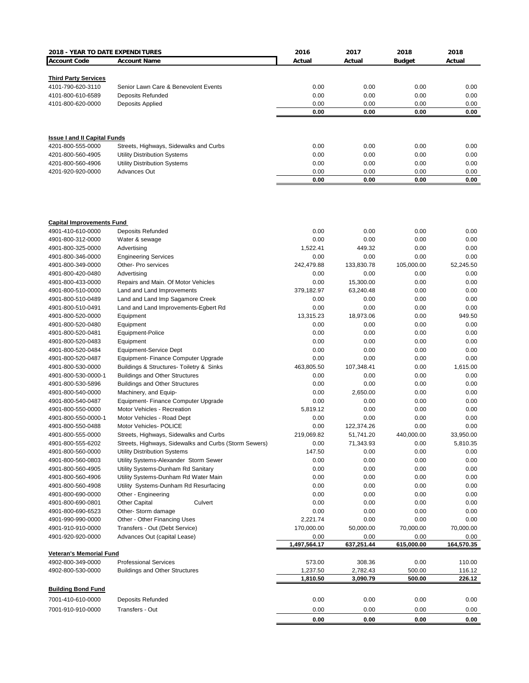| 2018 - YEAR TO DATE EXPENDITURES                    |                                                                                                 | 2016                 | 2017                    | 2018               | 2018                  |
|-----------------------------------------------------|-------------------------------------------------------------------------------------------------|----------------------|-------------------------|--------------------|-----------------------|
| <b>Account Code</b>                                 | <b>Account Name</b>                                                                             | Actual               | Actual                  | <b>Budget</b>      | Actual                |
|                                                     |                                                                                                 |                      |                         |                    |                       |
| <b>Third Party Services</b>                         |                                                                                                 |                      |                         |                    |                       |
| 4101-790-620-3110                                   | Senior Lawn Care & Benevolent Events                                                            | 0.00                 | 0.00                    | 0.00               | 0.00                  |
| 4101-800-610-6589<br>4101-800-620-0000              | <b>Deposits Refunded</b><br>Deposits Applied                                                    | 0.00<br>0.00         | 0.00<br>0.00            | 0.00<br>0.00       | 0.00<br>0.00          |
|                                                     |                                                                                                 | 0.00                 | 0.00                    | 0.00               | 0.00                  |
|                                                     |                                                                                                 |                      |                         |                    |                       |
| <b>Issue I and II Capital Funds</b>                 |                                                                                                 |                      |                         |                    |                       |
| 4201-800-555-0000                                   | Streets, Highways, Sidewalks and Curbs                                                          | 0.00                 | 0.00                    | 0.00               | 0.00                  |
| 4201-800-560-4905                                   | <b>Utility Distribution Systems</b>                                                             | 0.00                 | 0.00                    | 0.00               | 0.00                  |
| 4201-800-560-4906                                   | <b>Utility Distribution Systems</b>                                                             | 0.00                 | 0.00                    | 0.00               | 0.00                  |
| 4201-920-920-0000                                   | Advances Out                                                                                    | 0.00                 | 0.00                    | 0.00               | 0.00                  |
|                                                     |                                                                                                 | 0.00                 | 0.00                    | 0.00               | 0.00                  |
|                                                     |                                                                                                 |                      |                         |                    |                       |
| <b>Capital Improvements Fund</b>                    |                                                                                                 |                      |                         |                    |                       |
| 4901-410-610-0000                                   | <b>Deposits Refunded</b>                                                                        | 0.00                 | 0.00                    | 0.00               | 0.00                  |
| 4901-800-312-0000                                   | Water & sewage                                                                                  | 0.00                 | 0.00                    | 0.00               | 0.00                  |
| 4901-800-325-0000                                   | Advertising                                                                                     | 1,522.41             | 449.32                  | 0.00               | 0.00                  |
| 4901-800-346-0000                                   | <b>Engineering Services</b>                                                                     | 0.00                 | 0.00                    | 0.00               | 0.00                  |
| 4901-800-349-0000                                   | Other- Pro services                                                                             | 242,479.88           | 133,830.78              | 105,000.00         | 52,245.50             |
| 4901-800-420-0480                                   | Advertising                                                                                     | 0.00                 | 0.00                    | 0.00               | 0.00                  |
| 4901-800-433-0000                                   | Repairs and Main. Of Motor Vehicles                                                             | 0.00                 | 15,300.00<br>63,240.48  | 0.00               | 0.00<br>0.00          |
| 4901-800-510-0000<br>4901-800-510-0489              | Land and Land Improvements<br>Land and Land Imp Sagamore Creek                                  | 379,182.97<br>0.00   | 0.00                    | 0.00<br>0.00       | 0.00                  |
| 4901-800-510-0491                                   | Land and Land Improvements-Egbert Rd                                                            | 0.00                 | 0.00                    | 0.00               | 0.00                  |
| 4901-800-520-0000                                   | Equipment                                                                                       | 13,315.23            | 18,973.06               | 0.00               | 949.50                |
| 4901-800-520-0480                                   | Equipment                                                                                       | 0.00                 | 0.00                    | 0.00               | 0.00                  |
| 4901-800-520-0481                                   | Equipment-Police                                                                                | 0.00                 | 0.00                    | 0.00               | 0.00                  |
| 4901-800-520-0483                                   | Equipment                                                                                       | 0.00                 | 0.00                    | 0.00               | 0.00                  |
| 4901-800-520-0484                                   | Equipment-Service Dept                                                                          | 0.00                 | 0.00                    | 0.00               | 0.00                  |
| 4901-800-520-0487                                   | Equipment- Finance Computer Upgrade                                                             | 0.00                 | 0.00                    | 0.00               | 0.00                  |
| 4901-800-530-0000                                   | Buildings & Structures- Toiletry & Sinks                                                        | 463,805.50           | 107,348.41              | 0.00               | 1,615.00              |
| 4901-800-530-0000-1                                 | <b>Buildings and Other Structures</b>                                                           | 0.00                 | 0.00                    | 0.00               | 0.00                  |
| 4901-800-530-5896                                   | <b>Buildings and Other Structures</b>                                                           | 0.00                 | 0.00                    | 0.00               | 0.00                  |
| 4901-800-540-0000                                   | Machinery, and Equip-                                                                           | 0.00                 | 2,650.00                | 0.00               | 0.00                  |
| 4901-800-540-0487                                   | Equipment- Finance Computer Upgrade                                                             | 0.00                 | 0.00                    | 0.00               | 0.00                  |
| 4901-800-550-0000                                   | Motor Vehicles - Recreation                                                                     | 5,819.12             | 0.00                    | 0.00               | 0.00                  |
| 4901-800-550-0000-1                                 | Motor Vehicles - Road Dept                                                                      | 0.00                 | 0.00                    | 0.00               | 0.00<br>0.00          |
| 4901-800-550-0488                                   | Motor Vehicles- POLICE                                                                          | 0.00                 | 122,374.26<br>51,741.20 | 0.00               |                       |
| 4901-800-555-0000<br>4901-800-555-6202              | Streets, Highways, Sidewalks and Curbs<br>Streets, Highways, Sidewalks and Curbs (Storm Sewers) | 219,069.82<br>0.00   | 71,343.93               | 440,000.00<br>0.00 | 33,950.00<br>5,810.35 |
| 4901-800-560-0000                                   | <b>Utility Distribution Systems</b>                                                             | 147.50               | 0.00                    | 0.00               | 0.00                  |
| 4901-800-560-0803                                   | Utility Systems-Alexander Storm Sewer                                                           | 0.00                 | 0.00                    | 0.00               | 0.00                  |
| 4901-800-560-4905                                   | Utility Systems-Dunham Rd Sanitary                                                              | 0.00                 | 0.00                    | 0.00               | 0.00                  |
| 4901-800-560-4906                                   | Utility Systems-Dunham Rd Water Main                                                            | 0.00                 | 0.00                    | 0.00               | 0.00                  |
| 4901-800-560-4908                                   | Utility Systems-Dunham Rd Resurfacing                                                           | 0.00                 | 0.00                    | 0.00               | 0.00                  |
| 4901-800-690-0000                                   | Other - Engineering                                                                             | 0.00                 | 0.00                    | 0.00               | 0.00                  |
| 4901-800-690-0801                                   | <b>Other Capital</b><br>Culvert                                                                 | 0.00                 | 0.00                    | 0.00               | 0.00                  |
| 4901-800-690-6523                                   | Other- Storm damage                                                                             | 0.00                 | 0.00                    | 0.00               | 0.00                  |
| 4901-990-990-0000                                   | Other - Other Financing Uses                                                                    | 2,221.74             | 0.00                    | 0.00               | 0.00                  |
| 4901-910-910-0000                                   | Transfers - Out (Debt Service)                                                                  | 170,000.00           | 50,000.00               | 70,000.00          | 70,000.00             |
| 4901-920-920-0000                                   | Advances Out (capital Lease)                                                                    | 0.00                 | 0.00                    | 0.00               | 0.00                  |
|                                                     |                                                                                                 | 1,497,564.17         | 637,251.44              | 615,000.00         | 164,570.35            |
| <b>Veteran's Memorial Fund</b><br>4902-800-349-0000 | <b>Professional Services</b>                                                                    | 573.00               | 308.36                  | 0.00               | 110.00                |
|                                                     |                                                                                                 |                      |                         |                    |                       |
| 4902-800-530-0000                                   | <b>Buildings and Other Structures</b>                                                           | 1,237.50<br>1,810.50 | 2,782.43<br>3,090.79    | 500.00<br>500.00   | 116.12<br>226.12      |
|                                                     |                                                                                                 |                      |                         |                    |                       |
| <b>Building Bond Fund</b>                           |                                                                                                 |                      |                         |                    |                       |
| 7001-410-610-0000                                   | <b>Deposits Refunded</b>                                                                        | 0.00                 | 0.00                    | 0.00               | 0.00                  |
| 7001-910-910-0000                                   | Transfers - Out                                                                                 | 0.00                 | 0.00                    | 0.00               | 0.00                  |
|                                                     |                                                                                                 | 0.00                 | 0.00                    | 0.00               | 0.00                  |